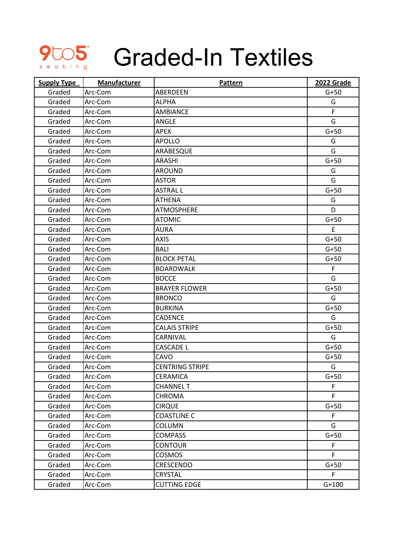

## **SLOS** Graded-In Textiles

| <b>Supply Type</b> | <b>Manufacturer</b> | Pattern                | 2022 Grade |
|--------------------|---------------------|------------------------|------------|
| Graded             | Arc-Com             | ABERDEEN               | $G+50$     |
| Graded             | Arc-Com             | <b>ALPHA</b>           | G          |
| Graded             | Arc-Com             | <b>AMBIANCE</b>        | F          |
| Graded             | Arc-Com             | ANGLE                  | G          |
| Graded             | Arc-Com             | <b>APEX</b>            | $G+50$     |
| Graded             | Arc-Com             | <b>APOLLO</b>          | G          |
| Graded             | Arc-Com             | ARABESQUE              | G          |
| Graded             | Arc-Com             | <b>ARASHI</b>          | $G+50$     |
| Graded             | Arc-Com             | <b>AROUND</b>          | G          |
| Graded             | Arc-Com             | <b>ASTOR</b>           | G          |
| Graded             | Arc-Com             | <b>ASTRAL L</b>        | $G+50$     |
| Graded             | Arc-Com             | <b>ATHENA</b>          | G          |
| Graded             | Arc-Com             | <b>ATMOSPHERE</b>      | D          |
| Graded             | Arc-Com             | <b>ATOMIC</b>          | $G+50$     |
| Graded             | Arc-Com             | <b>AURA</b>            | E          |
| Graded             | Arc-Com             | <b>AXIS</b>            | $G+50$     |
| Graded             | Arc-Com             | <b>BALI</b>            | $G+50$     |
| Graded             | Arc-Com             | <b>BLOCK PETAL</b>     | $G+50$     |
| Graded             | Arc-Com             | <b>BOARDWALK</b>       | F          |
| Graded             | Arc-Com             | <b>BOCCE</b>           | G          |
| Graded             | Arc-Com             | <b>BRAYER FLOWER</b>   | $G+50$     |
| Graded             | Arc-Com             | <b>BRONCO</b>          | G          |
| Graded             | Arc-Com             | <b>BURKINA</b>         | $G+50$     |
| Graded             | Arc-Com             | <b>CADENCE</b>         | G          |
| Graded             | Arc-Com             | <b>CALAIS STRIPE</b>   | $G+50$     |
| Graded             | Arc-Com             | CARNIVAL               | G          |
| Graded             | Arc-Com             | <b>CASCADE L</b>       | $G+50$     |
| Graded             | Arc-Com             | CAVO                   | $G+50$     |
| Graded             | Arc-Com             | <b>CENTRING STRIPE</b> | G          |
| Graded             | Arc-Com             | <b>CERAMICA</b>        | $G+50$     |
| Graded             | Arc-Com             | <b>CHANNEL T</b>       | F          |
| Graded             | Arc-Com             | <b>CHROMA</b>          | F.         |
| Graded             | Arc-Com             | <b>CIRQUE</b>          | $G+50$     |
| Graded             | Arc-Com             | <b>COASTLINE C</b>     | F.         |
| Graded             | Arc-Com             | <b>COLUMN</b>          | G          |
| Graded             | Arc-Com             | <b>COMPASS</b>         | $G+50$     |
| Graded             | Arc-Com             | <b>CONTOUR</b>         | F.         |
| Graded             | Arc-Com             | <b>COSMOS</b>          | F          |
| Graded             | Arc-Com             | CRESCENDO              | $G+50$     |
| Graded             | Arc-Com             | CRYSTAL                | F          |
| Graded             | Arc-Com             | <b>CUTTING EDGE</b>    | $G+100$    |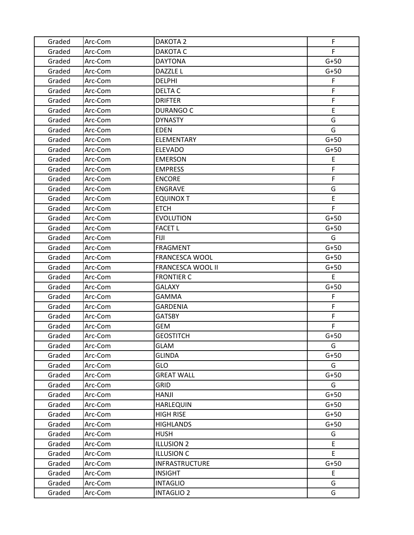| Graded | Arc-Com | DAKOTA <sub>2</sub>      | F      |
|--------|---------|--------------------------|--------|
| Graded | Arc-Com | DAKOTA C                 | F.     |
| Graded | Arc-Com | <b>DAYTONA</b>           | $G+50$ |
| Graded | Arc-Com | DAZZLE L                 | $G+50$ |
| Graded | Arc-Com | <b>DELPHI</b>            | F      |
| Graded | Arc-Com | DELTA C                  | F      |
| Graded | Arc-Com | <b>DRIFTER</b>           | F      |
| Graded | Arc-Com | <b>DURANGO C</b>         | E      |
| Graded | Arc-Com | <b>DYNASTY</b>           | G      |
| Graded | Arc-Com | <b>EDEN</b>              | G      |
| Graded | Arc-Com | <b>ELEMENTARY</b>        | $G+50$ |
| Graded | Arc-Com | <b>ELEVADO</b>           | $G+50$ |
| Graded | Arc-Com | <b>EMERSON</b>           | E      |
| Graded | Arc-Com | <b>EMPRESS</b>           | F      |
| Graded | Arc-Com | <b>ENCORE</b>            | F      |
| Graded | Arc-Com | <b>ENGRAVE</b>           | G      |
| Graded | Arc-Com | <b>EQUINOX T</b>         | E      |
| Graded | Arc-Com | <b>ETCH</b>              | F      |
| Graded | Arc-Com | <b>EVOLUTION</b>         | $G+50$ |
| Graded | Arc-Com | <b>FACET L</b>           | $G+50$ |
| Graded | Arc-Com | <b>FIJI</b>              | G      |
| Graded | Arc-Com | <b>FRAGMENT</b>          | $G+50$ |
| Graded | Arc-Com | FRANCESCA WOOL           | $G+50$ |
| Graded | Arc-Com | <b>FRANCESCA WOOL II</b> | $G+50$ |
| Graded | Arc-Com | <b>FRONTIER C</b>        | E.     |
| Graded | Arc-Com | <b>GALAXY</b>            | $G+50$ |
| Graded | Arc-Com | GAMMA                    | F      |
| Graded | Arc-Com | <b>GARDENIA</b>          | F.     |
| Graded | Arc-Com | <b>GATSBY</b>            | F      |
| Graded | Arc-Com | <b>GEM</b>               | F.     |
| Graded | Arc-Com | <b>GEOSTITCH</b>         | $G+50$ |
| Graded | Arc-Com | <b>GLAM</b>              | G      |
| Graded | Arc-Com | <b>GLINDA</b>            | $G+50$ |
| Graded | Arc-Com | <b>GLO</b>               | G      |
| Graded | Arc-Com | <b>GREAT WALL</b>        | $G+50$ |
| Graded | Arc-Com | <b>GRID</b>              | G      |
| Graded | Arc-Com | <b>HANJI</b>             | $G+50$ |
| Graded | Arc-Com | <b>HARLEQUIN</b>         | $G+50$ |
| Graded | Arc-Com | <b>HIGH RISE</b>         | $G+50$ |
| Graded | Arc-Com | <b>HIGHLANDS</b>         | $G+50$ |
| Graded | Arc-Com | <b>HUSH</b>              | G      |
| Graded | Arc-Com | <b>ILLUSION 2</b>        | E      |
| Graded | Arc-Com | <b>ILLUSION C</b>        | E      |
| Graded | Arc-Com | INFRASTRUCTURE           | $G+50$ |
| Graded | Arc-Com | <b>INSIGHT</b>           | E      |
| Graded | Arc-Com | <b>INTAGLIO</b>          | G      |
| Graded | Arc-Com | <b>INTAGLIO 2</b>        | G      |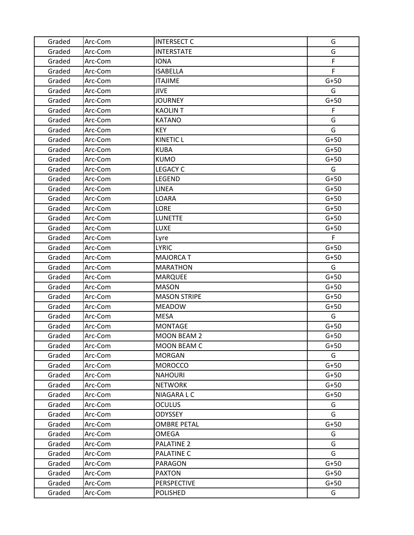| Graded | Arc-Com | <b>INTERSECT C</b>  | G      |
|--------|---------|---------------------|--------|
| Graded | Arc-Com | <b>INTERSTATE</b>   | G      |
| Graded | Arc-Com | <b>IONA</b>         | F      |
| Graded | Arc-Com | <b>ISABELLA</b>     | F.     |
| Graded | Arc-Com | <b>ITAJIME</b>      | $G+50$ |
| Graded | Arc-Com | <b>JIVE</b>         | G      |
| Graded | Arc-Com | <b>JOURNEY</b>      | $G+50$ |
| Graded | Arc-Com | <b>KAOLIN T</b>     | F      |
| Graded | Arc-Com | <b>KATANO</b>       | G      |
| Graded | Arc-Com | <b>KEY</b>          | G      |
| Graded | Arc-Com | <b>KINETIC L</b>    | $G+50$ |
| Graded | Arc-Com | <b>KUBA</b>         | $G+50$ |
| Graded | Arc-Com | <b>KUMO</b>         | $G+50$ |
| Graded | Arc-Com | <b>LEGACY C</b>     | G      |
| Graded | Arc-Com | <b>LEGEND</b>       | $G+50$ |
| Graded | Arc-Com | <b>LINEA</b>        | $G+50$ |
| Graded | Arc-Com | LOARA               | $G+50$ |
| Graded | Arc-Com | <b>LORE</b>         | $G+50$ |
| Graded | Arc-Com | <b>LUNETTE</b>      | $G+50$ |
| Graded | Arc-Com | <b>LUXE</b>         | $G+50$ |
| Graded | Arc-Com | Lyre                | F      |
| Graded | Arc-Com | <b>LYRIC</b>        | $G+50$ |
| Graded | Arc-Com | <b>MAJORCA T</b>    | $G+50$ |
| Graded | Arc-Com | <b>MARATHON</b>     | G      |
| Graded | Arc-Com | <b>MARQUEE</b>      | $G+50$ |
| Graded | Arc-Com | <b>MASON</b>        | $G+50$ |
| Graded | Arc-Com | <b>MASON STRIPE</b> | $G+50$ |
| Graded | Arc-Com | <b>MEADOW</b>       | $G+50$ |
| Graded | Arc-Com | <b>MESA</b>         | G      |
| Graded | Arc-Com | <b>MONTAGE</b>      | $G+50$ |
| Graded | Arc-Com | <b>MOON BEAM 2</b>  | $G+50$ |
| Graded | Arc-Com | <b>MOON BEAM C</b>  | $G+50$ |
| Graded | Arc-Com | <b>MORGAN</b>       | G      |
| Graded | Arc-Com | <b>MOROCCO</b>      | $G+50$ |
| Graded | Arc-Com | <b>NAHOURI</b>      | $G+50$ |
| Graded | Arc-Com | <b>NETWORK</b>      | $G+50$ |
| Graded | Arc-Com | NIAGARA L C         | $G+50$ |
| Graded | Arc-Com | <b>OCULUS</b>       | G      |
| Graded | Arc-Com | <b>ODYSSEY</b>      | G      |
| Graded | Arc-Com | <b>OMBRE PETAL</b>  | $G+50$ |
| Graded | Arc-Com | OMEGA               | G      |
| Graded | Arc-Com | <b>PALATINE 2</b>   | G      |
| Graded | Arc-Com | <b>PALATINE C</b>   | G      |
| Graded | Arc-Com | PARAGON             | $G+50$ |
| Graded | Arc-Com | <b>PAXTON</b>       | $G+50$ |
| Graded | Arc-Com | <b>PERSPECTIVE</b>  | $G+50$ |
| Graded | Arc-Com | POLISHED            | G      |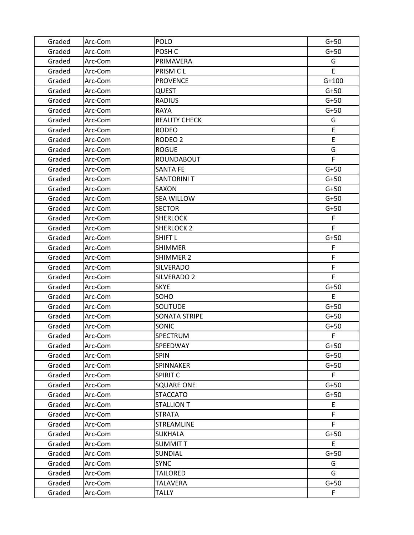| Graded | Arc-Com | <b>POLO</b>          | $G+50$  |
|--------|---------|----------------------|---------|
| Graded | Arc-Com | POSH <sub>C</sub>    | $G+50$  |
| Graded | Arc-Com | PRIMAVERA            | G       |
| Graded | Arc-Com | PRISM CL             | E       |
| Graded | Arc-Com | <b>PROVENCE</b>      | $G+100$ |
| Graded | Arc-Com | QUEST                | $G+50$  |
| Graded | Arc-Com | <b>RADIUS</b>        | $G+50$  |
| Graded | Arc-Com | <b>RAYA</b>          | $G+50$  |
| Graded | Arc-Com | <b>REALITY CHECK</b> | G       |
| Graded | Arc-Com | <b>RODEO</b>         | E       |
| Graded | Arc-Com | RODEO <sub>2</sub>   | E       |
| Graded | Arc-Com | <b>ROGUE</b>         | G       |
| Graded | Arc-Com | ROUNDABOUT           | F       |
| Graded | Arc-Com | <b>SANTA FE</b>      | $G+50$  |
| Graded | Arc-Com | <b>SANTORINI T</b>   | $G+50$  |
| Graded | Arc-Com | SAXON                | $G+50$  |
| Graded | Arc-Com | <b>SEA WILLOW</b>    | $G+50$  |
| Graded | Arc-Com | <b>SECTOR</b>        | $G+50$  |
| Graded | Arc-Com | <b>SHERLOCK</b>      | F       |
| Graded | Arc-Com | <b>SHERLOCK 2</b>    | F.      |
| Graded | Arc-Com | SHIFT L              | $G+50$  |
| Graded | Arc-Com | <b>SHIMMER</b>       | F       |
| Graded | Arc-Com | SHIMMER 2            | F       |
| Graded | Arc-Com | <b>SILVERADO</b>     | F       |
| Graded | Arc-Com | SILVERADO 2          | F       |
| Graded | Arc-Com | <b>SKYE</b>          | $G+50$  |
| Graded | Arc-Com | SOHO                 | E.      |
| Graded | Arc-Com | <b>SOLITUDE</b>      | $G+50$  |
| Graded | Arc-Com | SONATA STRIPE        | $G+50$  |
| Graded | Arc-Com | <b>SONIC</b>         | $G+50$  |
| Graded | Arc-Com | SPECTRUM             | F       |
| Graded | Arc-Com | SPEEDWAY             | $G+50$  |
| Graded | Arc-Com | <b>SPIN</b>          | $G+50$  |
| Graded | Arc-Com | SPINNAKER            | $G+50$  |
| Graded | Arc-Com | SPIRIT C             | F       |
| Graded | Arc-Com | <b>SQUARE ONE</b>    | $G+50$  |
| Graded | Arc-Com | <b>STACCATO</b>      | $G+50$  |
| Graded | Arc-Com | <b>STALLION T</b>    | E       |
| Graded | Arc-Com | <b>STRATA</b>        | F       |
| Graded | Arc-Com | <b>STREAMLINE</b>    | F.      |
| Graded | Arc-Com | <b>SUKHALA</b>       | $G+50$  |
| Graded | Arc-Com | <b>SUMMITT</b>       | E       |
| Graded | Arc-Com | SUNDIAL              | $G+50$  |
| Graded | Arc-Com | <b>SYNC</b>          | G       |
| Graded | Arc-Com | <b>TAILORED</b>      | G       |
| Graded | Arc-Com | TALAVERA             | $G+50$  |
| Graded | Arc-Com | <b>TALLY</b>         | F       |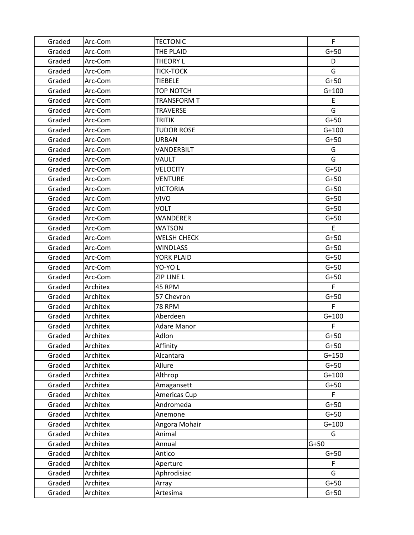| Graded | Arc-Com  | <b>TECTONIC</b>    | F       |
|--------|----------|--------------------|---------|
| Graded | Arc-Com  | THE PLAID          | $G+50$  |
| Graded | Arc-Com  | <b>THEORY L</b>    | D       |
| Graded | Arc-Com  | <b>TICK-TOCK</b>   | G       |
| Graded | Arc-Com  | <b>TIEBELE</b>     | $G+50$  |
| Graded | Arc-Com  | TOP NOTCH          | $G+100$ |
| Graded | Arc-Com  | <b>TRANSFORM T</b> | E       |
| Graded | Arc-Com  | <b>TRAVERSE</b>    | G       |
| Graded | Arc-Com  | <b>TRITIK</b>      | $G+50$  |
| Graded | Arc-Com  | <b>TUDOR ROSE</b>  | $G+100$ |
| Graded | Arc-Com  | <b>URBAN</b>       | $G+50$  |
| Graded | Arc-Com  | VANDERBILT         | G       |
| Graded | Arc-Com  | VAULT              | G       |
| Graded | Arc-Com  | <b>VELOCITY</b>    | $G+50$  |
| Graded | Arc-Com  | <b>VENTURE</b>     | $G+50$  |
| Graded | Arc-Com  | <b>VICTORIA</b>    | $G+50$  |
| Graded | Arc-Com  | <b>VIVO</b>        | $G+50$  |
| Graded | Arc-Com  | <b>VOLT</b>        | $G+50$  |
| Graded | Arc-Com  | <b>WANDERER</b>    | $G+50$  |
| Graded | Arc-Com  | WATSON             | E.      |
| Graded | Arc-Com  | <b>WELSH CHECK</b> | $G+50$  |
| Graded | Arc-Com  | <b>WINDLASS</b>    | $G+50$  |
| Graded | Arc-Com  | YORK PLAID         | $G+50$  |
| Graded | Arc-Com  | YO-YO L            | $G+50$  |
| Graded | Arc-Com  | ZIP LINE L         | $G+50$  |
| Graded | Architex | 45 RPM             | F       |
| Graded | Architex | 57 Chevron         | $G+50$  |
| Graded | Architex | <b>78 RPM</b>      | F.      |
| Graded | Architex | Aberdeen           | $G+100$ |
| Graded | Architex | <b>Adare Manor</b> | F.      |
| Graded | Architex | Adlon              | $G+50$  |
| Graded | Architex | Affinity           | $G+50$  |
| Graded | Architex | Alcantara          | $G+150$ |
| Graded | Architex | Allure             | $G+50$  |
| Graded | Architex | Althrop            | $G+100$ |
| Graded | Architex | Amagansett         | $G+50$  |
| Graded | Architex | Americas Cup       | F.      |
| Graded | Architex | Andromeda          | $G+50$  |
| Graded | Architex | Anemone            | $G+50$  |
| Graded | Architex | Angora Mohair      | $G+100$ |
| Graded | Architex | Animal             | G       |
| Graded | Architex | Annual             | $G+50$  |
| Graded | Architex | Antico             | $G+50$  |
| Graded | Architex | Aperture           | F       |
| Graded | Architex | Aphrodisiac        | G       |
| Graded | Architex | Array              | $G+50$  |
| Graded | Architex | Artesima           | $G+50$  |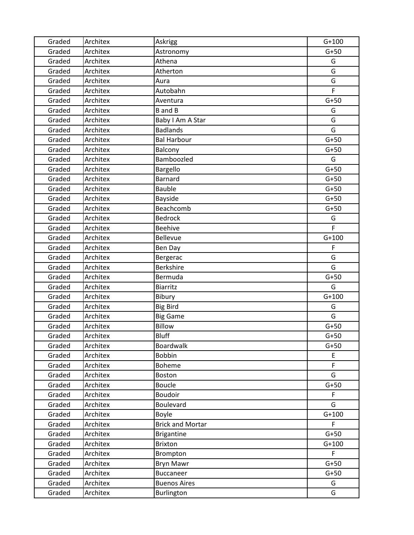| Graded | Architex | Askrigg                 | $G+100$ |
|--------|----------|-------------------------|---------|
| Graded | Architex | Astronomy               | $G+50$  |
| Graded | Architex | Athena                  | G       |
| Graded | Architex | Atherton                | G       |
| Graded | Architex | Aura                    | G       |
| Graded | Architex | Autobahn                | F       |
| Graded | Architex | Aventura                | $G+50$  |
| Graded | Architex | <b>B</b> and <b>B</b>   | G       |
| Graded | Architex | Baby I Am A Star        | G       |
| Graded | Architex | <b>Badlands</b>         | G       |
| Graded | Architex | <b>Bal Harbour</b>      | $G+50$  |
| Graded | Architex | Balcony                 | $G+50$  |
| Graded | Architex | Bamboozled              | G       |
| Graded | Architex | Bargello                | $G+50$  |
| Graded | Architex | <b>Barnard</b>          | $G+50$  |
| Graded | Architex | <b>Bauble</b>           | $G+50$  |
| Graded | Architex | Bayside                 | $G+50$  |
| Graded | Architex | Beachcomb               | $G+50$  |
| Graded | Architex | <b>Bedrock</b>          | G       |
| Graded | Architex | <b>Beehive</b>          | F       |
| Graded | Architex | <b>Bellevue</b>         | $G+100$ |
| Graded | Architex | Ben Day                 | F       |
| Graded | Architex | Bergerac                | G       |
| Graded | Architex | <b>Berkshire</b>        | G       |
| Graded | Architex | Bermuda                 | $G+50$  |
| Graded | Architex | <b>Biarritz</b>         | G       |
| Graded | Architex | Bibury                  | $G+100$ |
| Graded | Architex | <b>Big Bird</b>         | G       |
| Graded | Architex | <b>Big Game</b>         | G       |
| Graded | Architex | <b>Billow</b>           | $G+50$  |
| Graded | Architex | <b>Bluff</b>            | $G+50$  |
| Graded | Architex | Boardwalk               | $G+50$  |
| Graded | Architex | <b>Bobbin</b>           | E       |
| Graded | Architex | Boheme                  | F       |
| Graded | Architex | Boston                  | G       |
| Graded | Architex | <b>Boucle</b>           | $G+50$  |
| Graded | Architex | Boudoir                 | F       |
| Graded | Architex | <b>Boulevard</b>        | G       |
| Graded | Architex | Boyle                   | $G+100$ |
| Graded | Architex | <b>Brick and Mortar</b> | F       |
| Graded | Architex | <b>Brigantine</b>       | $G+50$  |
| Graded | Architex | <b>Brixton</b>          | $G+100$ |
| Graded | Architex | Brompton                | F       |
| Graded | Architex | <b>Bryn Mawr</b>        | $G+50$  |
| Graded | Architex | Buccaneer               | $G+50$  |
| Graded | Architex | <b>Buenos Aires</b>     | G       |
| Graded | Architex | Burlington              | G       |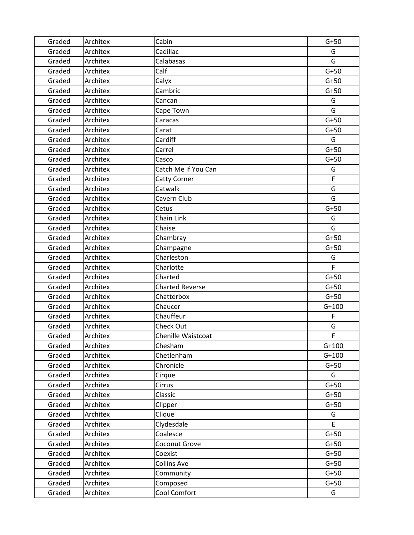| Graded | Architex | Cabin                     | $G+50$  |
|--------|----------|---------------------------|---------|
| Graded | Architex | Cadillac                  | G       |
| Graded | Architex | Calabasas                 | G       |
| Graded | Architex | Calf                      | $G+50$  |
| Graded | Architex | Calyx                     | $G+50$  |
| Graded | Architex | Cambric                   | $G+50$  |
| Graded | Architex | Cancan                    | G       |
| Graded | Architex | Cape Town                 | G       |
| Graded | Architex | Caracas                   | $G+50$  |
| Graded | Architex | Carat                     | $G+50$  |
| Graded | Architex | Cardiff                   | G       |
| Graded | Architex | Carrel                    | $G+50$  |
| Graded | Architex | Casco                     | $G+50$  |
| Graded | Architex | Catch Me If You Can       | G       |
| Graded | Architex | Catty Corner              | F       |
| Graded | Architex | Catwalk                   | G       |
| Graded | Architex | Cavern Club               | G       |
| Graded | Architex | Cetus                     | $G+50$  |
| Graded | Architex | Chain Link                | G       |
| Graded | Architex | Chaise                    | G       |
| Graded | Architex | Chambray                  | $G+50$  |
| Graded | Architex | Champagne                 | $G+50$  |
| Graded | Architex | Charleston                | G       |
| Graded | Architex | Charlotte                 | F.      |
| Graded | Architex | Charted                   | $G+50$  |
| Graded | Architex | <b>Charted Reverse</b>    | $G+50$  |
| Graded | Architex | Chatterbox                | $G+50$  |
| Graded | Architex | Chaucer                   | $G+100$ |
| Graded | Architex | Chauffeur                 | F       |
| Graded | Architex | Check Out                 | G       |
| Graded | Architex | <b>Chenille Waistcoat</b> | F       |
| Graded | Architex | Chesham                   | $G+100$ |
| Graded | Architex | Chetlenham                | $G+100$ |
| Graded | Architex | Chronicle                 | $G+50$  |
| Graded | Architex | Cirque                    | G       |
| Graded | Architex | Cirrus                    | $G+50$  |
| Graded | Architex | Classic                   | $G+50$  |
| Graded | Architex | Clipper                   | $G+50$  |
| Graded | Architex | Clique                    | G       |
| Graded | Architex | Clydesdale                | E       |
| Graded | Architex | Coalesce                  | $G+50$  |
| Graded | Architex | Coconut Grove             | $G+50$  |
| Graded | Architex | Coexist                   | $G+50$  |
| Graded | Architex | <b>Collins Ave</b>        | $G+50$  |
| Graded | Architex | Community                 | $G+50$  |
| Graded | Architex | Composed                  | $G+50$  |
| Graded | Architex | Cool Comfort              | G       |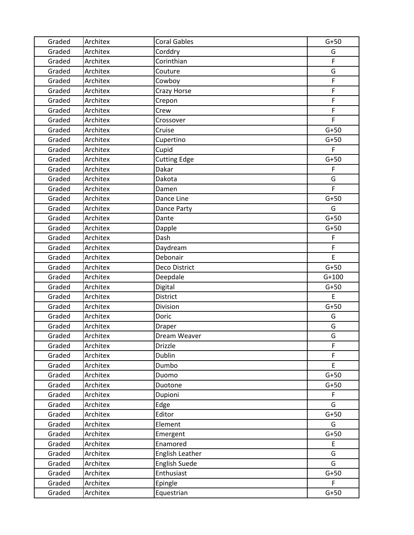| Graded | Architex | <b>Coral Gables</b>  | $G+50$      |
|--------|----------|----------------------|-------------|
| Graded | Architex | Corddry              | G           |
| Graded | Architex | Corinthian           | F           |
| Graded | Architex | Couture              | G           |
| Graded | Architex | Cowboy               | F           |
| Graded | Architex | Crazy Horse          | $\mathsf F$ |
| Graded | Architex | Crepon               | F           |
| Graded | Architex | Crew                 | F           |
| Graded | Architex | Crossover            | F           |
| Graded | Architex | Cruise               | $G+50$      |
| Graded | Architex | Cupertino            | $G+50$      |
| Graded | Architex | Cupid                | F           |
| Graded | Architex | <b>Cutting Edge</b>  | $G+50$      |
| Graded | Architex | Dakar                | F           |
| Graded | Architex | Dakota               | G           |
| Graded | Architex | Damen                | F           |
| Graded | Architex | Dance Line           | $G+50$      |
| Graded | Architex | Dance Party          | G           |
| Graded | Architex | Dante                | $G+50$      |
| Graded | Architex | Dapple               | $G+50$      |
| Graded | Architex | Dash                 | F           |
| Graded | Architex | Daydream             | F           |
| Graded | Architex | Debonair             | E           |
| Graded | Architex | Deco District        | $G+50$      |
| Graded | Architex | Deepdale             | $G+100$     |
| Graded | Architex | Digital              | $G+50$      |
| Graded | Architex | District             | E           |
| Graded | Architex | Division             | $G+50$      |
| Graded | Architex | Doric                | G           |
| Graded | Architex | Draper               | G           |
| Graded | Architex | Dream Weaver         | G           |
| Graded | Architex | <b>Drizzle</b>       | $\mathsf F$ |
| Graded | Architex | <b>Dublin</b>        | F           |
| Graded | Architex | Dumbo                | E           |
| Graded | Architex | Duomo                | $G+50$      |
| Graded | Architex | Duotone              | $G+50$      |
| Graded | Architex | Dupioni              | F           |
| Graded | Architex | Edge                 | G           |
| Graded | Architex | Editor               | $G+50$      |
| Graded | Architex | Element              | G           |
| Graded | Architex | Emergent             | $G+50$      |
| Graded | Architex | Enamored             | E           |
| Graded | Architex | English Leather      | G           |
| Graded | Architex | <b>English Suede</b> | G           |
| Graded | Architex | Enthusiast           | $G+50$      |
| Graded | Architex | Epingle              | F           |
| Graded | Architex | Equestrian           | $G+50$      |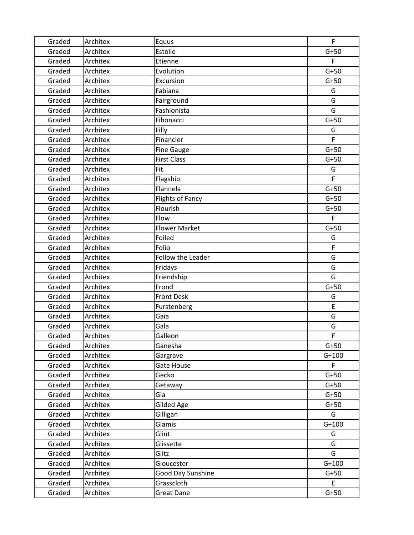| Graded | Architex | Equus                | F       |
|--------|----------|----------------------|---------|
| Graded | Architex | Estoile              | $G+50$  |
| Graded | Architex | Etienne              | F       |
| Graded | Architex | Evolution            | $G+50$  |
| Graded | Architex | Excursion            | $G+50$  |
| Graded | Architex | Fabiana              | G       |
| Graded | Architex | Fairground           | G       |
| Graded | Architex | Fashionista          | G       |
| Graded | Architex | Fibonacci            | $G+50$  |
| Graded | Architex | Filly                | G       |
| Graded | Architex | Financier            | F       |
| Graded | Architex | <b>Fine Gauge</b>    | $G+50$  |
| Graded | Architex | <b>First Class</b>   | $G+50$  |
| Graded | Architex | Fit                  | G       |
| Graded | Architex | Flagship             | F       |
| Graded | Architex | Flannela             | $G+50$  |
| Graded | Architex | Flights of Fancy     | $G+50$  |
| Graded | Architex | Flourish             | $G+50$  |
| Graded | Architex | Flow                 | F.      |
| Graded | Architex | <b>Flower Market</b> | $G+50$  |
| Graded | Architex | Foiled               | G       |
| Graded | Architex | Folio                | F       |
| Graded | Architex | Follow the Leader    | G       |
| Graded | Architex | Fridays              | G       |
| Graded | Architex | Friendship           | G       |
| Graded | Architex | Frond                | $G+50$  |
| Graded | Architex | <b>Front Desk</b>    | G       |
| Graded | Architex | Furstenberg          | E       |
| Graded | Architex | Gaia                 | G       |
| Graded | Architex | Gala                 | G       |
| Graded | Architex | Galleon              | F       |
| Graded | Architex | Ganesha              | $G+50$  |
| Graded | Architex | Gargrave             | $G+100$ |
| Graded | Architex | Gate House           | F       |
| Graded | Architex | Gecko                | $G+50$  |
| Graded | Architex | Getaway              | $G+50$  |
| Graded | Architex | Gia                  | $G+50$  |
| Graded | Architex | <b>Gilded Age</b>    | $G+50$  |
| Graded | Architex | Gilligan             | G       |
| Graded | Architex | Glamis               | $G+100$ |
| Graded | Architex | Glint                | G       |
| Graded | Architex | Glissette            | G       |
| Graded | Architex | Glitz                | G       |
| Graded | Architex | Gloucester           | $G+100$ |
| Graded | Architex | Good Day Sunshine    | $G+50$  |
| Graded | Architex | Grasscloth           | E       |
| Graded | Architex | <b>Great Dane</b>    | $G+50$  |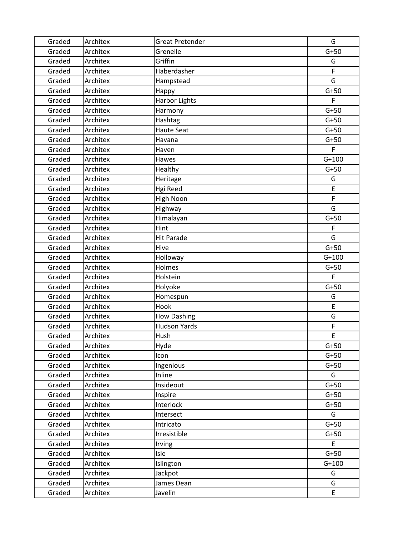| Graded | Architex | <b>Great Pretender</b> | G           |
|--------|----------|------------------------|-------------|
| Graded | Architex | Grenelle               | $G+50$      |
| Graded | Architex | Griffin                | G           |
| Graded | Architex | Haberdasher            | $\mathsf F$ |
| Graded | Architex | Hampstead              | G           |
| Graded | Architex | Happy                  | $G+50$      |
| Graded | Architex | <b>Harbor Lights</b>   | F           |
| Graded | Architex | Harmony                | $G+50$      |
| Graded | Architex | Hashtag                | $G+50$      |
| Graded | Architex | <b>Haute Seat</b>      | $G+50$      |
| Graded | Architex | Havana                 | $G+50$      |
| Graded | Architex | Haven                  | F           |
| Graded | Architex | Hawes                  | $G+100$     |
| Graded | Architex | Healthy                | $G+50$      |
| Graded | Architex | Heritage               | G           |
| Graded | Architex | Hgi Reed               | E           |
| Graded | Architex | High Noon              | F           |
| Graded | Architex | Highway                | G           |
| Graded | Architex | Himalayan              | $G+50$      |
| Graded | Architex | Hint                   | F           |
| Graded | Architex | <b>Hit Parade</b>      | G           |
| Graded | Architex | Hive                   | $G+50$      |
| Graded | Architex | Holloway               | $G+100$     |
| Graded | Architex | Holmes                 | $G+50$      |
| Graded | Architex | Holstein               | F           |
| Graded | Architex | Holyoke                | $G+50$      |
| Graded | Architex | Homespun               | G           |
| Graded | Architex | Hook                   | E           |
| Graded | Architex | <b>How Dashing</b>     | G           |
| Graded | Architex | <b>Hudson Yards</b>    | $\mathsf F$ |
| Graded | Architex | Hush                   | E           |
| Graded | Architex | Hyde                   | $G+50$      |
| Graded | Architex | Icon                   | $G+50$      |
| Graded | Architex | Ingenious              | $G+50$      |
| Graded | Architex | Inline                 | G           |
| Graded | Architex | Insideout              | $G+50$      |
| Graded | Architex | Inspire                | $G+50$      |
| Graded | Architex | Interlock              | $G+50$      |
| Graded | Architex | Intersect              | G           |
| Graded | Architex | Intricato              | $G+50$      |
| Graded | Architex | Irresistible           | $G+50$      |
| Graded | Architex | Irving                 | E           |
| Graded | Architex | Isle                   | $G+50$      |
| Graded | Architex | Islington              | $G+100$     |
| Graded | Architex | Jackpot                | G           |
| Graded | Architex | James Dean             | G           |
| Graded | Architex | Javelin                | E           |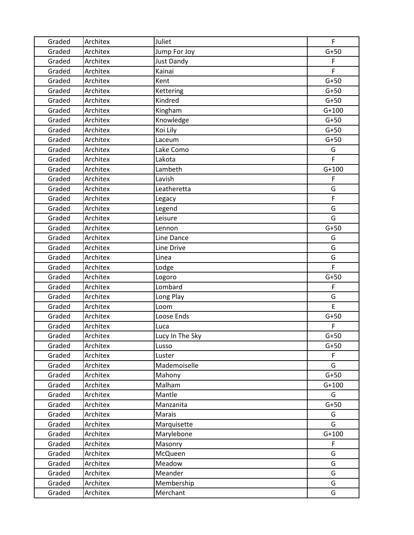| Graded | Architex | Juliet          | F       |
|--------|----------|-----------------|---------|
| Graded | Architex | Jump For Joy    | $G+50$  |
| Graded | Architex | Just Dandy      | F       |
| Graded | Architex | Kainai          | F       |
| Graded | Architex | Kent            | $G+50$  |
| Graded | Architex | Kettering       | $G+50$  |
| Graded | Architex | Kindred         | $G+50$  |
| Graded | Architex | Kingham         | $G+100$ |
| Graded | Architex | Knowledge       | $G+50$  |
| Graded | Architex | Koi Lily        | $G+50$  |
| Graded | Architex | Laceum          | $G+50$  |
| Graded | Architex | Lake Como       | G       |
| Graded | Architex | Lakota          | F       |
| Graded | Architex | Lambeth         | $G+100$ |
| Graded | Architex | Lavish          | F       |
| Graded | Architex | Leatheretta     | G       |
| Graded | Architex | Legacy          | F       |
| Graded | Architex | Legend          | G       |
| Graded | Architex | Leisure         | G       |
| Graded | Architex | Lennon          | $G+50$  |
| Graded | Architex | Line Dance      | G       |
| Graded | Architex | Line Drive      | G       |
| Graded | Architex | Linea           | G       |
| Graded | Architex | Lodge           | F       |
| Graded | Architex | Logoro          | $G+50$  |
| Graded | Architex | Lombard         | F       |
| Graded | Architex | Long Play       | G       |
| Graded | Architex | Loom            | E       |
| Graded | Architex | Loose Ends      | $G+50$  |
| Graded | Architex | Luca            | F       |
| Graded | Architex | Lucy In The Sky | $G+50$  |
| Graded | Architex | Lusso           | $G+50$  |
| Graded | Architex | Luster          | F.      |
| Graded | Architex | Mademoiselle    | G       |
| Graded | Architex | Mahony          | $G+50$  |
| Graded | Architex | Malham          | $G+100$ |
| Graded | Architex | Mantle          | G       |
| Graded | Architex | Manzanita       | $G+50$  |
| Graded | Architex | <b>Marais</b>   | G       |
| Graded | Architex | Marquisette     | G       |
| Graded | Architex | Marylebone      | $G+100$ |
| Graded | Architex | Masonry         | F       |
| Graded | Architex | McQueen         | G       |
| Graded | Architex | Meadow          | G       |
| Graded | Architex | Meander         | G       |
| Graded | Architex | Membership      | G       |
| Graded | Architex | Merchant        | G       |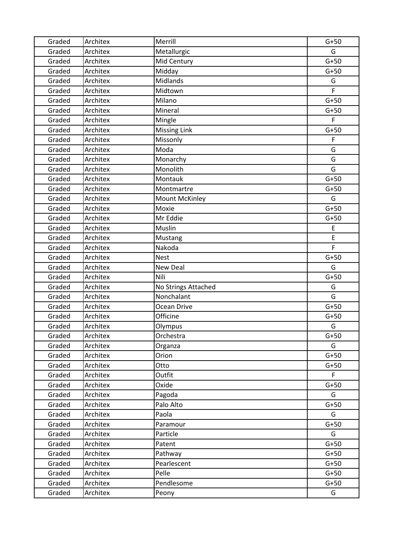| Graded | Architex | Merrill             | $G+50$       |
|--------|----------|---------------------|--------------|
| Graded | Architex | Metallurgic         | G            |
| Graded | Architex | Mid Century         | $G+50$       |
| Graded | Architex | Midday              | $G+50$       |
| Graded | Architex | <b>Midlands</b>     | G            |
| Graded | Architex | Midtown             | F            |
| Graded | Architex | Milano              | $G+50$       |
| Graded | Architex | Mineral             | $G+50$       |
| Graded | Architex | Mingle              | F            |
| Graded | Architex | <b>Missing Link</b> | $G+50$       |
| Graded | Architex | Missonly            | F            |
| Graded | Architex | Moda                | G            |
| Graded | Architex | Monarchy            | G            |
| Graded | Architex | Monolith            | G            |
| Graded | Architex | Montauk             | $G+50$       |
| Graded | Architex | Montmartre          | $G+50$       |
| Graded | Architex | Mount McKinley      | G            |
| Graded | Architex | Moxie               | $G+50$       |
| Graded | Architex | Mr Eddie            | $G+50$       |
| Graded | Architex | Muslin              | E            |
| Graded | Architex | Mustang             | E            |
| Graded | Architex | Nakoda              | F            |
| Graded | Architex | <b>Nest</b>         | $G+50$       |
| Graded | Architex | New Deal            | G            |
| Graded | Architex | Nili                | $G+50$       |
| Graded | Architex | No Strings Attached | G            |
| Graded | Architex | Nonchalant          | G            |
| Graded | Architex | Ocean Drive         | $G+50$       |
| Graded | Architex | Officine            | $G+50$       |
| Graded | Architex | Olympus             | G            |
| Graded | Architex | Orchestra           | $G+50$       |
| Graded | Architex | Organza             | G            |
| Graded | Architex | Orion               | $G+50$       |
| Graded | Architex | Otto                | $G+50$       |
| Graded | Architex | Outfit              | $\mathsf{F}$ |
| Graded | Architex | Oxide               | $G+50$       |
| Graded | Architex | Pagoda              | G            |
| Graded | Architex | Palo Alto           | $G+50$       |
| Graded | Architex | Paola               | G            |
| Graded | Architex | Paramour            | $G+50$       |
| Graded | Architex | Particle            | G            |
| Graded | Architex | Patent              | $G+50$       |
| Graded | Architex | Pathway             | $G+50$       |
| Graded | Architex | Pearlescent         | $G+50$       |
| Graded | Architex | Pelle               | $G+50$       |
| Graded | Architex | Pendlesome          | $G+50$       |
| Graded | Architex | Peony               | G            |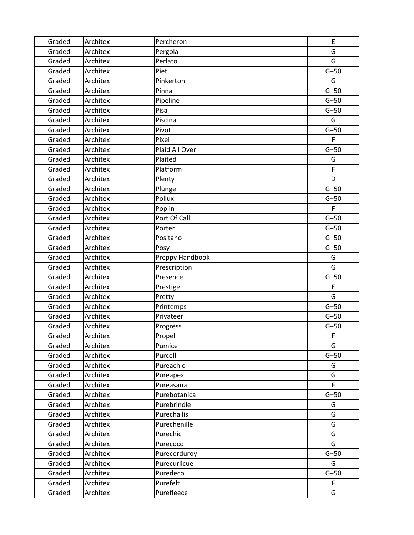| Graded | Architex | Percheron       | E           |
|--------|----------|-----------------|-------------|
| Graded | Architex | Pergola         | G           |
| Graded | Architex | Perlato         | G           |
| Graded | Architex | Piet            | $G+50$      |
| Graded | Architex | Pinkerton       | G           |
| Graded | Architex | Pinna           | $G+50$      |
| Graded | Architex | Pipeline        | $G+50$      |
| Graded | Architex | Pisa            | $G+50$      |
| Graded | Architex | Piscina         | G           |
| Graded | Architex | Pivot           | $G+50$      |
| Graded | Architex | Pixel           | F           |
| Graded | Architex | Plaid All Over  | $G+50$      |
| Graded | Architex | Plaited         | G           |
| Graded | Architex | Platform        | F           |
| Graded | Architex | Plenty          | D           |
| Graded | Architex | Plunge          | $G+50$      |
| Graded | Architex | Pollux          | $G+50$      |
| Graded | Architex | Poplin          | F           |
| Graded | Architex | Port Of Call    | $G+50$      |
| Graded | Architex | Porter          | $G+50$      |
| Graded | Architex | Positano        | $G+50$      |
| Graded | Architex | Posy            | $G+50$      |
| Graded | Architex | Preppy Handbook | G           |
| Graded | Architex | Prescription    | G           |
| Graded | Architex | Presence        | $G+50$      |
| Graded | Architex | Prestige        | E           |
| Graded | Architex | Pretty          | G           |
| Graded | Architex | Printemps       | $G+50$      |
| Graded | Architex | Privateer       | $G+50$      |
| Graded | Architex | Progress        | $G+50$      |
| Graded | Architex | Propel          | $\mathsf F$ |
| Graded | Architex | Pumice          | G           |
| Graded | Architex | Purcell         | $G+50$      |
| Graded | Architex | Pureachic       | G           |
| Graded | Architex | Pureapex        | G           |
| Graded | Architex | Pureasana       | F.          |
| Graded | Architex | Purebotanica    | $G+50$      |
| Graded | Architex | Purebrindle     | G           |
| Graded | Architex | Purechallis     | G           |
| Graded | Architex | Purechenille    | G           |
| Graded | Architex | Purechic        | G           |
| Graded | Architex | Purecoco        | G           |
| Graded | Architex | Purecorduroy    | $G+50$      |
| Graded | Architex | Purecurlicue    | G           |
| Graded | Architex | Puredeco        | $G+50$      |
| Graded | Architex | Purefelt        | F           |
| Graded | Architex | Purefleece      | G           |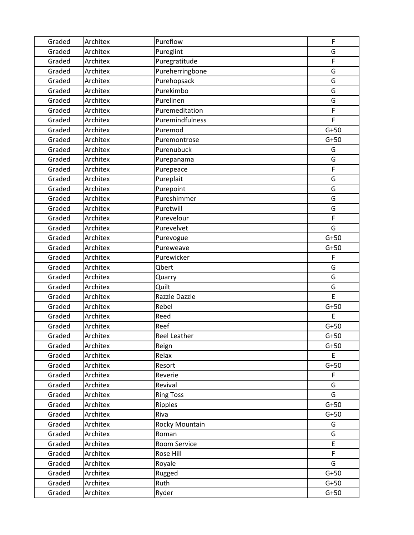| Graded | Architex | Pureflow            | $\mathsf F$ |
|--------|----------|---------------------|-------------|
| Graded | Architex | Pureglint           | G           |
| Graded | Architex | Puregratitude       | F           |
| Graded | Architex | Pureherringbone     | G           |
| Graded | Architex | Purehopsack         | G           |
| Graded | Architex | Purekimbo           | G           |
| Graded | Architex | Purelinen           | G           |
| Graded | Architex | Puremeditation      | F           |
| Graded | Architex | Puremindfulness     | F           |
| Graded | Architex | Puremod             | $G+50$      |
| Graded | Architex | Puremontrose        | $G+50$      |
| Graded | Architex | Purenubuck          | G           |
| Graded | Architex | Purepanama          | G           |
| Graded | Architex | Purepeace           | F           |
| Graded | Architex | Pureplait           | G           |
| Graded | Architex | Purepoint           | G           |
| Graded | Architex | Pureshimmer         | G           |
| Graded | Architex | Puretwill           | G           |
| Graded | Architex | Purevelour          | F           |
| Graded | Architex | Purevelvet          | G           |
| Graded | Architex | Purevogue           | $G+50$      |
| Graded | Architex | Pureweave           | $G+50$      |
| Graded | Architex | Purewicker          | F           |
| Graded | Architex | Qbert               | G           |
| Graded | Architex | Quarry              | G           |
| Graded | Architex | Quilt               | G           |
| Graded | Architex | Razzle Dazzle       | E           |
| Graded | Architex | Rebel               | $G+50$      |
| Graded | Architex | Reed                | E           |
| Graded | Architex | Reef                | $G+50$      |
| Graded | Architex | <b>Reel Leather</b> | $G+50$      |
| Graded | Architex | Reign               | $G+50$      |
| Graded | Architex | Relax               | E           |
| Graded | Architex | Resort              | $G+50$      |
| Graded | Architex | Reverie             | $\mathsf F$ |
| Graded | Architex | Revival             | G           |
| Graded | Architex | <b>Ring Toss</b>    | G           |
| Graded | Architex | Ripples             | $G+50$      |
| Graded | Architex | Riva                | $G+50$      |
| Graded | Architex | Rocky Mountain      | G           |
| Graded | Architex | Roman               | G           |
| Graded | Architex | Room Service        | E           |
| Graded | Architex | Rose Hill           | F           |
| Graded | Architex | Royale              | G           |
| Graded | Architex | Rugged              | $G+50$      |
| Graded | Architex | Ruth                | $G+50$      |
| Graded | Architex | Ryder               | $G+50$      |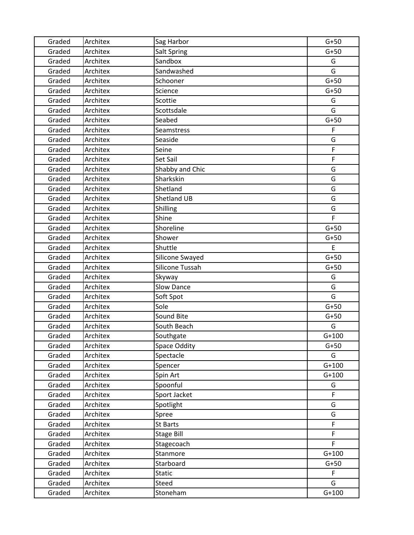| Graded | Architex | Sag Harbor          | $G+50$      |
|--------|----------|---------------------|-------------|
| Graded | Architex | <b>Salt Spring</b>  | $G+50$      |
| Graded | Architex | Sandbox             | G           |
| Graded | Architex | Sandwashed          | G           |
| Graded | Architex | Schooner            | $G+50$      |
| Graded | Architex | Science             | $G+50$      |
| Graded | Architex | Scottie             | G           |
| Graded | Architex | Scottsdale          | G           |
| Graded | Architex | Seabed              | $G+50$      |
| Graded | Architex | Seamstress          | F           |
| Graded | Architex | Seaside             | G           |
| Graded | Architex | Seine               | F           |
| Graded | Architex | Set Sail            | $\mathsf F$ |
| Graded | Architex | Shabby and Chic     | G           |
| Graded | Architex | Sharkskin           | G           |
| Graded | Architex | Shetland            | G           |
| Graded | Architex | <b>Shetland UB</b>  | G           |
| Graded | Architex | Shilling            | G           |
| Graded | Architex | Shine               | F           |
| Graded | Architex | Shoreline           | $G+50$      |
| Graded | Architex | Shower              | $G+50$      |
| Graded | Architex | Shuttle             | E           |
| Graded | Architex | Silicone Swayed     | $G+50$      |
| Graded | Architex | Silicone Tussah     | $G+50$      |
| Graded | Architex | Skyway              | G           |
| Graded | Architex | <b>Slow Dance</b>   | G           |
| Graded | Architex | Soft Spot           | G           |
| Graded | Architex | Sole                | $G+50$      |
| Graded | Architex | Sound Bite          | $G+50$      |
| Graded | Architex | South Beach         | G           |
| Graded | Architex | Southgate           | $G+100$     |
| Graded | Architex | <b>Space Oddity</b> | $G+50$      |
| Graded | Architex | Spectacle           | G           |
| Graded | Architex | Spencer             | $G+100$     |
| Graded | Architex | Spin Art            | $G+100$     |
| Graded | Architex | Spoonful            | G           |
| Graded | Architex | Sport Jacket        | F           |
| Graded | Architex | Spotlight           | G           |
| Graded | Architex | Spree               | G           |
| Graded | Architex | St Barts            | F.          |
| Graded | Architex | <b>Stage Bill</b>   | F           |
| Graded | Architex | Stagecoach          | F.          |
| Graded | Architex | Stanmore            | $G+100$     |
| Graded | Architex | Starboard           | $G+50$      |
| Graded | Architex | <b>Static</b>       | F           |
| Graded | Architex | Steed               | G           |
| Graded | Architex | Stoneham            | $G+100$     |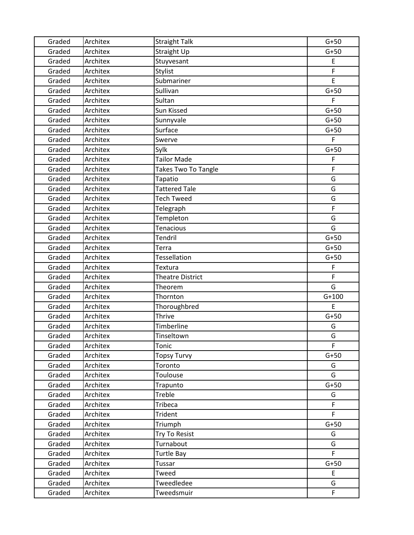| Graded | Architex | <b>Straight Talk</b>       | $G+50$      |
|--------|----------|----------------------------|-------------|
| Graded | Architex | Straight Up                | $G+50$      |
| Graded | Architex | Stuyvesant                 | E           |
| Graded | Architex | Stylist                    | F           |
| Graded | Architex | Submariner                 | E           |
| Graded | Architex | Sullivan                   | $G+50$      |
| Graded | Architex | Sultan                     | F.          |
| Graded | Architex | Sun Kissed                 | $G+50$      |
| Graded | Architex | Sunnyvale                  | $G+50$      |
| Graded | Architex | Surface                    | $G+50$      |
| Graded | Architex | Swerve                     | F           |
| Graded | Architex | Sylk                       | $G+50$      |
| Graded | Architex | <b>Tailor Made</b>         | $\mathsf F$ |
| Graded | Architex | <b>Takes Two To Tangle</b> | F           |
| Graded | Architex | Tapatio                    | G           |
| Graded | Architex | <b>Tattered Tale</b>       | G           |
| Graded | Architex | <b>Tech Tweed</b>          | G           |
| Graded | Architex | Telegraph                  | F           |
| Graded | Architex | Templeton                  | G           |
| Graded | Architex | <b>Tenacious</b>           | G           |
| Graded | Architex | <b>Tendril</b>             | $G+50$      |
| Graded | Architex | Terra                      | $G+50$      |
| Graded | Architex | Tessellation               | $G+50$      |
| Graded | Architex | Textura                    | F           |
| Graded | Architex | <b>Theatre District</b>    | F           |
| Graded | Architex | Theorem                    | G           |
| Graded | Architex | Thornton                   | $G+100$     |
| Graded | Architex | Thoroughbred               | E           |
| Graded | Architex | <b>Thrive</b>              | $G+50$      |
| Graded | Architex | Timberline                 | G           |
| Graded | Architex | Tinseltown                 | G           |
| Graded | Architex | Tonic                      | F           |
| Graded | Architex | <b>Topsy Turvy</b>         | $G+50$      |
| Graded | Architex | Toronto                    | G           |
| Graded | Architex | Toulouse                   | G           |
| Graded | Architex | Trapunto                   | $G+50$      |
| Graded | Architex | Treble                     | G           |
| Graded | Architex | Tribeca                    | F           |
| Graded | Architex | Trident                    | F           |
| Graded | Architex | Triumph                    | $G+50$      |
| Graded | Architex | Try To Resist              | G           |
| Graded | Architex | Turnabout                  | G           |
| Graded | Architex | <b>Turtle Bay</b>          | F.          |
| Graded | Architex | Tussar                     | $G+50$      |
| Graded | Architex | Tweed                      | E           |
| Graded | Architex | Tweedledee                 | G           |
| Graded | Architex | Tweedsmuir                 | F           |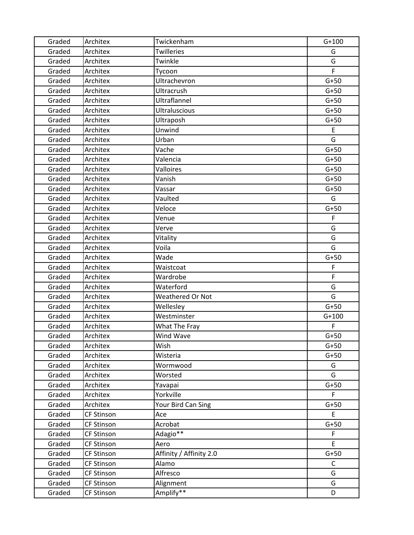| Graded | Architex          | Twickenham              | $G+100$ |
|--------|-------------------|-------------------------|---------|
| Graded | Architex          | Twilleries              | G       |
| Graded | Architex          | Twinkle                 | G       |
| Graded | Architex          | Tycoon                  | F.      |
| Graded | Architex          | Ultrachevron            | $G+50$  |
| Graded | Architex          | Ultracrush              | $G+50$  |
| Graded | Architex          | Ultraflannel            | $G+50$  |
| Graded | Architex          | <b>Ultraluscious</b>    | $G+50$  |
| Graded | Architex          | Ultraposh               | $G+50$  |
| Graded | Architex          | Unwind                  | E       |
| Graded | Architex          | Urban                   | G       |
| Graded | Architex          | Vache                   | $G+50$  |
| Graded | Architex          | Valencia                | $G+50$  |
| Graded | Architex          | Valloires               | $G+50$  |
| Graded | Architex          | Vanish                  | $G+50$  |
| Graded | Architex          | Vassar                  | $G+50$  |
| Graded | Architex          | Vaulted                 | G       |
| Graded | Architex          | Veloce                  | $G+50$  |
| Graded | Architex          | Venue                   | F       |
| Graded | Architex          | Verve                   | G       |
| Graded | Architex          | Vitality                | G       |
| Graded | Architex          | Voila                   | G       |
| Graded | Architex          | Wade                    | $G+50$  |
| Graded | Architex          | Waistcoat               | F       |
| Graded | Architex          | Wardrobe                | F       |
| Graded | Architex          | Waterford               | G       |
| Graded | Architex          | <b>Weathered Or Not</b> | G       |
| Graded | Architex          | Wellesley               | $G+50$  |
| Graded | Architex          | Westminster             | $G+100$ |
| Graded | Architex          | What The Fray           | F       |
| Graded | Architex          | Wind Wave               | $G+50$  |
| Graded | Architex          | Wish                    | $G+50$  |
| Graded | Architex          | Wisteria                | $G+50$  |
| Graded | Architex          | Wormwood                | G       |
| Graded | Architex          | Worsted                 | G       |
| Graded | Architex          | Yavapai                 | $G+50$  |
| Graded | Architex          | Yorkville               | F.      |
| Graded | Architex          | Your Bird Can Sing      | $G+50$  |
| Graded | <b>CF Stinson</b> | Ace                     | E       |
| Graded | <b>CF Stinson</b> | Acrobat                 | $G+50$  |
| Graded | <b>CF Stinson</b> | Adagio**                | F       |
| Graded | <b>CF Stinson</b> | Aero                    | E       |
| Graded | <b>CF Stinson</b> | Affinity / Affinity 2.0 | $G+50$  |
| Graded | <b>CF Stinson</b> | Alamo                   | C       |
| Graded | <b>CF Stinson</b> | Alfresco                | G       |
| Graded | <b>CF Stinson</b> | Alignment               | G       |
| Graded | <b>CF Stinson</b> | Amplify**               | D       |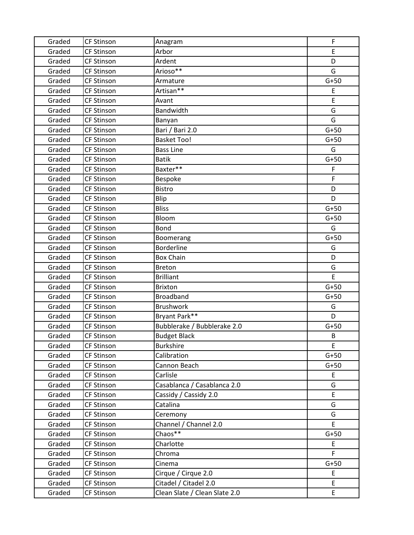| Graded | <b>CF Stinson</b> | Anagram                       | F      |
|--------|-------------------|-------------------------------|--------|
| Graded | <b>CF Stinson</b> | Arbor                         | E      |
| Graded | <b>CF Stinson</b> | Ardent                        | D      |
| Graded | <b>CF Stinson</b> | Arioso**                      | G      |
| Graded | <b>CF Stinson</b> | Armature                      | $G+50$ |
| Graded | <b>CF Stinson</b> | Artisan**                     | E      |
| Graded | <b>CF Stinson</b> | Avant                         | E      |
| Graded | <b>CF Stinson</b> | Bandwidth                     | G      |
| Graded | <b>CF Stinson</b> | Banyan                        | G      |
| Graded | <b>CF Stinson</b> | Bari / Bari 2.0               | $G+50$ |
| Graded | <b>CF Stinson</b> | <b>Basket Too!</b>            | $G+50$ |
| Graded | <b>CF Stinson</b> | <b>Bass Line</b>              | G      |
| Graded | <b>CF Stinson</b> | <b>Batik</b>                  | $G+50$ |
| Graded | <b>CF Stinson</b> | Baxter**                      | F      |
| Graded | <b>CF Stinson</b> | Bespoke                       | F      |
| Graded | <b>CF Stinson</b> | Bistro                        | D      |
| Graded | <b>CF Stinson</b> | Blip                          | D      |
| Graded | <b>CF Stinson</b> | <b>Bliss</b>                  | $G+50$ |
| Graded | <b>CF Stinson</b> | Bloom                         | $G+50$ |
| Graded | <b>CF Stinson</b> | Bond                          | G      |
| Graded | CF Stinson        | Boomerang                     | $G+50$ |
| Graded | <b>CF Stinson</b> | <b>Borderline</b>             | G      |
| Graded | <b>CF Stinson</b> | <b>Box Chain</b>              | D      |
| Graded | <b>CF Stinson</b> | <b>Breton</b>                 | G      |
| Graded | <b>CF Stinson</b> | <b>Brilliant</b>              | E      |
| Graded | <b>CF Stinson</b> | <b>Brixton</b>                | $G+50$ |
| Graded | <b>CF Stinson</b> | <b>Broadband</b>              | $G+50$ |
| Graded | <b>CF Stinson</b> | <b>Brushwork</b>              | G      |
| Graded | <b>CF Stinson</b> | Bryant Park**                 | D      |
| Graded | <b>CF Stinson</b> | Bubblerake / Bubblerake 2.0   | $G+50$ |
| Graded | <b>CF Stinson</b> | <b>Budget Black</b>           | B      |
| Graded | <b>CF Stinson</b> | <b>Burkshire</b>              | E      |
| Graded | <b>CF Stinson</b> | Calibration                   | $G+50$ |
| Graded | <b>CF Stinson</b> | Cannon Beach                  | $G+50$ |
| Graded | <b>CF Stinson</b> | Carlisle                      | E.     |
| Graded | <b>CF Stinson</b> | Casablanca / Casablanca 2.0   | G      |
| Graded | <b>CF Stinson</b> | Cassidy / Cassidy 2.0         | E      |
| Graded | <b>CF Stinson</b> | Catalina                      | G      |
| Graded | <b>CF Stinson</b> | Ceremony                      | G      |
| Graded | <b>CF Stinson</b> | Channel / Channel 2.0         | E.     |
| Graded | <b>CF Stinson</b> | Chaos**                       | $G+50$ |
| Graded | <b>CF Stinson</b> | Charlotte                     | E      |
| Graded | <b>CF Stinson</b> | Chroma                        | F.     |
| Graded | <b>CF Stinson</b> | Cinema                        | $G+50$ |
| Graded | <b>CF Stinson</b> | Cirque / Cirque 2.0           | E      |
| Graded | <b>CF Stinson</b> | Citadel / Citadel 2.0         | E.     |
| Graded | <b>CF Stinson</b> | Clean Slate / Clean Slate 2.0 | E.     |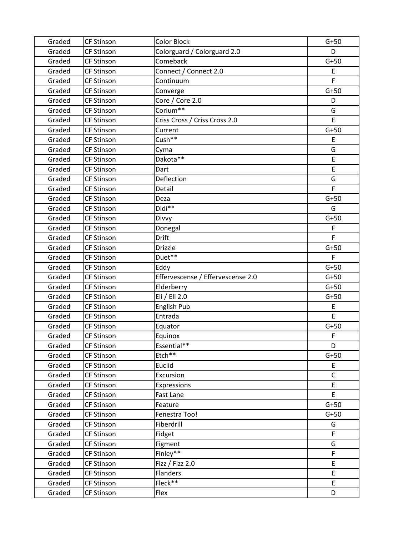| Graded | <b>CF Stinson</b> | <b>Color Block</b>                | $G+50$       |
|--------|-------------------|-----------------------------------|--------------|
| Graded | <b>CF Stinson</b> | Colorguard / Colorguard 2.0       | D            |
| Graded | <b>CF Stinson</b> | Comeback                          | $G+50$       |
| Graded | <b>CF Stinson</b> | Connect / Connect 2.0             | E            |
| Graded | <b>CF Stinson</b> | Continuum                         | F            |
| Graded | <b>CF Stinson</b> | Converge                          | $G+50$       |
| Graded | <b>CF Stinson</b> | Core / Core 2.0                   | D            |
| Graded | <b>CF Stinson</b> | Corium**                          | G            |
| Graded | <b>CF Stinson</b> | Criss Cross / Criss Cross 2.0     | E            |
| Graded | <b>CF Stinson</b> | Current                           | $G+50$       |
| Graded | <b>CF Stinson</b> | Cush**                            | E            |
| Graded | <b>CF Stinson</b> | Cyma                              | G            |
| Graded | <b>CF Stinson</b> | Dakota**                          | E            |
| Graded | <b>CF Stinson</b> | Dart                              | E            |
| Graded | <b>CF Stinson</b> | Deflection                        | G            |
| Graded | <b>CF Stinson</b> | Detail                            | F            |
| Graded | <b>CF Stinson</b> | Deza                              | $G+50$       |
| Graded | <b>CF Stinson</b> | Didi**                            | G            |
| Graded | <b>CF Stinson</b> | Divvy                             | $G+50$       |
| Graded | <b>CF Stinson</b> | Donegal                           | F            |
| Graded | <b>CF Stinson</b> | Drift                             | F.           |
| Graded | <b>CF Stinson</b> | <b>Drizzle</b>                    | $G+50$       |
| Graded | <b>CF Stinson</b> | Duet**                            | F            |
| Graded | <b>CF Stinson</b> | Eddy                              | $G+50$       |
| Graded | <b>CF Stinson</b> | Effervescense / Effervescense 2.0 | $G+50$       |
| Graded | <b>CF Stinson</b> | Elderberry                        | $G+50$       |
| Graded | <b>CF Stinson</b> | Eli / Eli 2.0                     | $G+50$       |
| Graded | <b>CF Stinson</b> | English Pub                       | E            |
| Graded | <b>CF Stinson</b> | Entrada                           | E            |
| Graded | <b>CF Stinson</b> | Equator                           | $G+50$       |
| Graded | <b>CF Stinson</b> | Equinox                           | F            |
| Graded | <b>CF Stinson</b> | Essential**                       | D            |
| Graded | <b>CF Stinson</b> | Etch**                            | $G+50$       |
| Graded | <b>CF Stinson</b> | Euclid                            | E            |
| Graded | <b>CF Stinson</b> | Excursion                         | $\mathsf{C}$ |
| Graded | <b>CF Stinson</b> | Expressions                       | E            |
| Graded | <b>CF Stinson</b> | Fast Lane                         | E            |
| Graded | <b>CF Stinson</b> | Feature                           | $G+50$       |
| Graded | <b>CF Stinson</b> | Fenestra Too!                     | $G+50$       |
| Graded | <b>CF Stinson</b> | Fiberdrill                        | G            |
| Graded | <b>CF Stinson</b> | Fidget                            | F            |
| Graded | <b>CF Stinson</b> | Figment                           | G            |
| Graded | <b>CF Stinson</b> | Finley**                          | F            |
| Graded | <b>CF Stinson</b> | Fizz / Fizz 2.0                   | E            |
| Graded | <b>CF Stinson</b> | <b>Flanders</b>                   | E            |
| Graded | <b>CF Stinson</b> | Fleck**                           | E            |
| Graded | CF Stinson        | Flex                              | D            |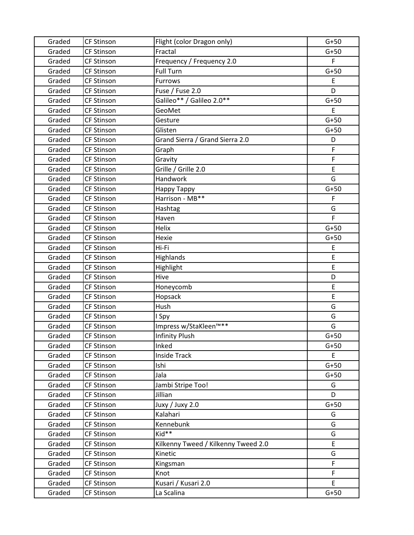| Graded | <b>CF Stinson</b> | Flight (color Dragon only)          | $G+50$ |
|--------|-------------------|-------------------------------------|--------|
| Graded | <b>CF Stinson</b> | Fractal                             | $G+50$ |
| Graded | <b>CF Stinson</b> | Frequency / Frequency 2.0           | F      |
| Graded | <b>CF Stinson</b> | <b>Full Turn</b>                    | $G+50$ |
| Graded | <b>CF Stinson</b> | <b>Furrows</b>                      | E      |
| Graded | CF Stinson        | Fuse / Fuse 2.0                     | D      |
| Graded | <b>CF Stinson</b> | Galileo** / Galileo 2.0**           | $G+50$ |
| Graded | <b>CF Stinson</b> | GeoMet                              | E      |
| Graded | <b>CF Stinson</b> | Gesture                             | $G+50$ |
| Graded | <b>CF Stinson</b> | Glisten                             | $G+50$ |
| Graded | <b>CF Stinson</b> | Grand Sierra / Grand Sierra 2.0     | D      |
| Graded | <b>CF Stinson</b> | Graph                               | F      |
| Graded | <b>CF Stinson</b> | Gravity                             | F      |
| Graded | <b>CF Stinson</b> | Grille / Grille 2.0                 | E      |
| Graded | <b>CF Stinson</b> | Handwork                            | G      |
| Graded | <b>CF Stinson</b> | Happy Tappy                         | $G+50$ |
| Graded | CF Stinson        | Harrison - MB**                     | F      |
| Graded | CF Stinson        | Hashtag                             | G      |
| Graded | <b>CF Stinson</b> | Haven                               | F      |
| Graded | <b>CF Stinson</b> | Helix                               | $G+50$ |
| Graded | <b>CF Stinson</b> | Hexie                               | $G+50$ |
| Graded | <b>CF Stinson</b> | Hi-Fi                               | E      |
| Graded | <b>CF Stinson</b> | Highlands                           | E      |
| Graded | <b>CF Stinson</b> | Highlight                           | E      |
| Graded | CF Stinson        | Hive                                | D      |
| Graded | CF Stinson        | Honeycomb                           | E      |
| Graded | <b>CF Stinson</b> | Hopsack                             | E      |
| Graded | <b>CF Stinson</b> | Hush                                | G      |
| Graded | <b>CF Stinson</b> | I Spy                               | G      |
| Graded | <b>CF Stinson</b> | Impress w/StaKleen™**               | G      |
| Graded | <b>CF Stinson</b> | <b>Infinity Plush</b>               | $G+50$ |
| Graded | <b>CF Stinson</b> | Inked                               | $G+50$ |
| Graded | <b>CF Stinson</b> | <b>Inside Track</b>                 | E.     |
| Graded | <b>CF Stinson</b> | Ishi                                | $G+50$ |
| Graded | <b>CF Stinson</b> | Jala                                | $G+50$ |
| Graded | CF Stinson        | Jambi Stripe Too!                   | G      |
| Graded | <b>CF Stinson</b> | Jillian                             | D      |
| Graded | <b>CF Stinson</b> | Juxy / Juxy 2.0                     | $G+50$ |
| Graded | <b>CF Stinson</b> | Kalahari                            | G      |
| Graded | <b>CF Stinson</b> | Kennebunk                           | G      |
| Graded | <b>CF Stinson</b> | Kid**                               | G      |
| Graded | <b>CF Stinson</b> | Kilkenny Tweed / Kilkenny Tweed 2.0 | E      |
| Graded | <b>CF Stinson</b> | Kinetic                             | G      |
| Graded | <b>CF Stinson</b> | Kingsman                            | F      |
| Graded | CF Stinson        | Knot                                | F      |
| Graded | <b>CF Stinson</b> | Kusari / Kusari 2.0                 | E.     |
| Graded | <b>CF Stinson</b> | La Scalina                          | $G+50$ |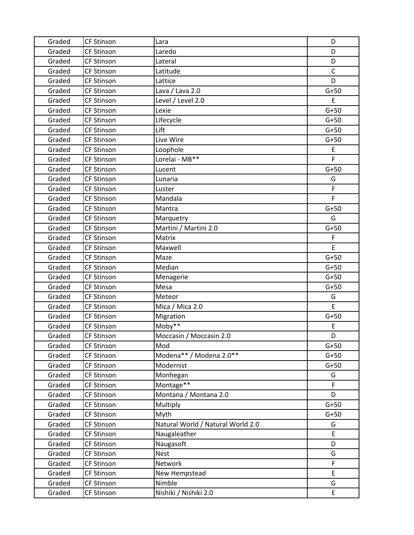| Graded | <b>CF Stinson</b> | Lara                              | D           |
|--------|-------------------|-----------------------------------|-------------|
| Graded | <b>CF Stinson</b> | Laredo                            | D           |
| Graded | <b>CF Stinson</b> | Lateral                           | D           |
| Graded | <b>CF Stinson</b> | Latitude                          | $\mathsf C$ |
| Graded | <b>CF Stinson</b> | Lattice                           | D           |
| Graded | <b>CF Stinson</b> | Lava / Lava 2.0                   | $G+50$      |
| Graded | <b>CF Stinson</b> | Level / Level 2.0                 | E           |
| Graded | <b>CF Stinson</b> | Lexie                             | $G+50$      |
| Graded | <b>CF Stinson</b> | Lifecycle                         | $G+50$      |
| Graded | <b>CF Stinson</b> | Lift                              | $G+50$      |
| Graded | <b>CF Stinson</b> | Live Wire                         | $G+50$      |
| Graded | <b>CF Stinson</b> | Loophole                          | E           |
| Graded | <b>CF Stinson</b> | Lorelai - MB**                    | F           |
| Graded | <b>CF Stinson</b> | Lucent                            | $G+50$      |
| Graded | <b>CF Stinson</b> | Lunaria                           | G           |
| Graded | <b>CF Stinson</b> | Luster                            | F           |
| Graded | <b>CF Stinson</b> | Mandala                           | F           |
| Graded | <b>CF Stinson</b> | Mantra                            | $G+50$      |
| Graded | <b>CF Stinson</b> | Marquetry                         | G           |
| Graded | <b>CF Stinson</b> | Martini / Martini 2.0             | $G+50$      |
| Graded | <b>CF Stinson</b> | Matrix                            | F           |
| Graded | <b>CF Stinson</b> | Maxwell                           | E           |
| Graded | <b>CF Stinson</b> | Maze                              | $G+50$      |
| Graded | <b>CF Stinson</b> | Median                            | $G+50$      |
| Graded | <b>CF Stinson</b> | Menagerie                         | $G+50$      |
| Graded | <b>CF Stinson</b> | Mesa                              | $G+50$      |
| Graded | <b>CF Stinson</b> | Meteor                            | G           |
| Graded | <b>CF Stinson</b> | Mica / Mica 2.0                   | E           |
| Graded | <b>CF Stinson</b> | Migration                         | $G+50$      |
| Graded | <b>CF Stinson</b> | Moby**                            | E           |
| Graded | <b>CF Stinson</b> | Moccasin / Moccasin 2.0           | D           |
| Graded | <b>CF Stinson</b> | Mod                               | $G+50$      |
| Graded | <b>CF Stinson</b> | Modena** / Modena 2.0**           | $G+50$      |
| Graded | <b>CF Stinson</b> | Modernist                         | $G+50$      |
| Graded | <b>CF Stinson</b> | Monhegan                          | G           |
| Graded | <b>CF Stinson</b> | Montage**                         | F.          |
| Graded | <b>CF Stinson</b> | Montana / Montana 2.0             | D           |
| Graded | <b>CF Stinson</b> | Multiply                          | $G+50$      |
| Graded | <b>CF Stinson</b> | Myth                              | $G+50$      |
| Graded | <b>CF Stinson</b> | Natural World / Natural World 2.0 | G           |
| Graded | <b>CF Stinson</b> | Naugaleather                      | E           |
| Graded | <b>CF Stinson</b> | Naugasoft                         | D           |
| Graded | <b>CF Stinson</b> | <b>Nest</b>                       | G           |
| Graded | <b>CF Stinson</b> | Network                           | F           |
| Graded | <b>CF Stinson</b> | New Hempstead                     | E           |
| Graded | <b>CF Stinson</b> | Nimble                            | G           |
| Graded | <b>CF Stinson</b> | Nishiki / Nishiki 2.0             | E           |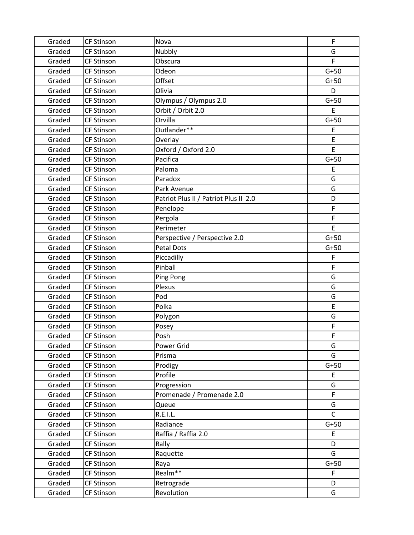| Graded | <b>CF Stinson</b> | Nova                                  | F            |
|--------|-------------------|---------------------------------------|--------------|
| Graded | <b>CF Stinson</b> | Nubbly                                | G            |
| Graded | <b>CF Stinson</b> | Obscura                               | F            |
| Graded | <b>CF Stinson</b> | Odeon                                 | $G+50$       |
| Graded | <b>CF Stinson</b> | Offset                                | $G+50$       |
| Graded | <b>CF Stinson</b> | Olivia                                | D            |
| Graded | <b>CF Stinson</b> | Olympus / Olympus 2.0                 | $G+50$       |
| Graded | <b>CF Stinson</b> | Orbit / Orbit 2.0                     | E            |
| Graded | <b>CF Stinson</b> | Orvilla                               | $G+50$       |
| Graded | <b>CF Stinson</b> | Outlander**                           | E            |
| Graded | <b>CF Stinson</b> | Overlay                               | E            |
| Graded | <b>CF Stinson</b> | Oxford / Oxford 2.0                   | E            |
| Graded | <b>CF Stinson</b> | Pacifica                              | $G+50$       |
| Graded | <b>CF Stinson</b> | Paloma                                | E            |
| Graded | <b>CF Stinson</b> | Paradox                               | G            |
| Graded | <b>CF Stinson</b> | Park Avenue                           | G            |
| Graded | <b>CF Stinson</b> | Patriot Plus II / Patriot Plus II 2.0 | D            |
| Graded | <b>CF Stinson</b> | Penelope                              | F            |
| Graded | <b>CF Stinson</b> | Pergola                               | F            |
| Graded | <b>CF Stinson</b> | Perimeter                             | E            |
| Graded | <b>CF Stinson</b> | Perspective / Perspective 2.0         | $G+50$       |
| Graded | <b>CF Stinson</b> | Petal Dots                            | $G+50$       |
| Graded | <b>CF Stinson</b> | Piccadilly                            | F            |
| Graded | <b>CF Stinson</b> | Pinball                               | F            |
| Graded | <b>CF Stinson</b> | Ping Pong                             | G            |
| Graded | <b>CF Stinson</b> | Plexus                                | G            |
| Graded | <b>CF Stinson</b> | Pod                                   | G            |
| Graded | CF Stinson        | Polka                                 | E            |
| Graded | <b>CF Stinson</b> | Polygon                               | G            |
| Graded | <b>CF Stinson</b> | Posey                                 | F            |
| Graded | <b>CF Stinson</b> | Posh                                  | F            |
| Graded | <b>CF Stinson</b> | Power Grid                            | G            |
| Graded | <b>CF Stinson</b> | Prisma                                | G            |
| Graded | <b>CF Stinson</b> | Prodigy                               | $G+50$       |
| Graded | <b>CF Stinson</b> | Profile                               | E            |
| Graded | <b>CF Stinson</b> | Progression                           | G            |
| Graded | <b>CF Stinson</b> | Promenade / Promenade 2.0             | F            |
| Graded | <b>CF Stinson</b> | Queue                                 | G            |
| Graded | <b>CF Stinson</b> | R.E.I.L.                              | $\mathsf{C}$ |
| Graded | <b>CF Stinson</b> | Radiance                              | $G+50$       |
| Graded | <b>CF Stinson</b> | Raffia / Raffia 2.0                   | E            |
| Graded | <b>CF Stinson</b> | Rally                                 | D            |
| Graded | <b>CF Stinson</b> | Raquette                              | G            |
| Graded | <b>CF Stinson</b> | Raya                                  | $G+50$       |
| Graded | <b>CF Stinson</b> | Realm <sup>**</sup>                   | F.           |
| Graded | CF Stinson        | Retrograde                            | D            |
| Graded | CF Stinson        | Revolution                            | G            |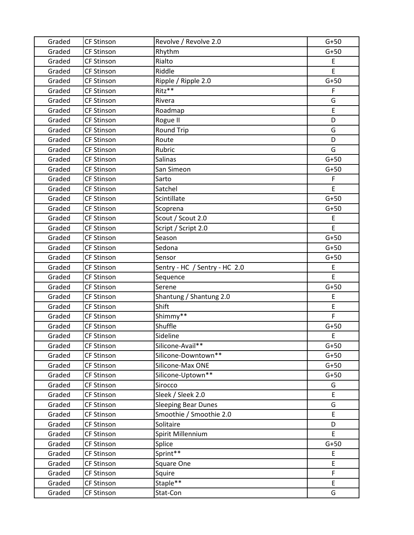| Graded | <b>CF Stinson</b> | Revolve / Revolve 2.0         | $G+50$ |
|--------|-------------------|-------------------------------|--------|
| Graded | <b>CF Stinson</b> | Rhythm                        | $G+50$ |
| Graded | <b>CF Stinson</b> | Rialto                        | E      |
| Graded | <b>CF Stinson</b> | Riddle                        | E      |
| Graded | <b>CF Stinson</b> | Ripple / Ripple 2.0           | $G+50$ |
| Graded | <b>CF Stinson</b> | $Ritz**$                      | F      |
| Graded | <b>CF Stinson</b> | Rivera                        | G      |
| Graded | <b>CF Stinson</b> | Roadmap                       | E      |
| Graded | <b>CF Stinson</b> | Rogue II                      | D      |
| Graded | <b>CF Stinson</b> | <b>Round Trip</b>             | G      |
| Graded | <b>CF Stinson</b> | Route                         | D      |
| Graded | <b>CF Stinson</b> | Rubric                        | G      |
| Graded | <b>CF Stinson</b> | <b>Salinas</b>                | $G+50$ |
| Graded | <b>CF Stinson</b> | San Simeon                    | $G+50$ |
| Graded | <b>CF Stinson</b> | Sarto                         | F      |
| Graded | <b>CF Stinson</b> | Satchel                       | E      |
| Graded | <b>CF Stinson</b> | Scintillate                   | $G+50$ |
| Graded | <b>CF Stinson</b> | Scoprena                      | $G+50$ |
| Graded | <b>CF Stinson</b> | Scout / Scout 2.0             | E      |
| Graded | <b>CF Stinson</b> | Script / Script 2.0           | E      |
| Graded | <b>CF Stinson</b> | Season                        | $G+50$ |
| Graded | <b>CF Stinson</b> | Sedona                        | $G+50$ |
| Graded | <b>CF Stinson</b> | Sensor                        | $G+50$ |
| Graded | <b>CF Stinson</b> | Sentry - HC / Sentry - HC 2.0 | E      |
| Graded | <b>CF Stinson</b> | Sequence                      | E      |
| Graded | <b>CF Stinson</b> | Serene                        | $G+50$ |
| Graded | <b>CF Stinson</b> | Shantung / Shantung 2.0       | E      |
| Graded | <b>CF Stinson</b> | Shift                         | E      |
| Graded | <b>CF Stinson</b> | Shimmy**                      | F      |
| Graded | <b>CF Stinson</b> | Shuffle                       | $G+50$ |
| Graded | <b>CF Stinson</b> | Sideline                      | E      |
| Graded | <b>CF Stinson</b> | Silicone-Avail**              | $G+50$ |
| Graded | <b>CF Stinson</b> | Silicone-Downtown**           | $G+50$ |
| Graded | <b>CF Stinson</b> | Silicone-Max ONE              | $G+50$ |
| Graded | <b>CF Stinson</b> | Silicone-Uptown**             | $G+50$ |
| Graded | <b>CF Stinson</b> | Sirocco                       | G      |
| Graded | <b>CF Stinson</b> | Sleek / Sleek 2.0             | E      |
| Graded | <b>CF Stinson</b> | <b>Sleeping Bear Dunes</b>    | G      |
| Graded | <b>CF Stinson</b> | Smoothie / Smoothie 2.0       | E      |
| Graded | <b>CF Stinson</b> | Solitaire                     | D      |
| Graded | <b>CF Stinson</b> | Spirit Millennium             | E      |
| Graded | <b>CF Stinson</b> | Splice                        | $G+50$ |
| Graded | <b>CF Stinson</b> | Sprint**                      | E      |
| Graded | <b>CF Stinson</b> | Square One                    | E      |
| Graded | <b>CF Stinson</b> | Squire                        | F      |
| Graded | <b>CF Stinson</b> | Staple**                      | E      |
| Graded | <b>CF Stinson</b> | Stat-Con                      | G      |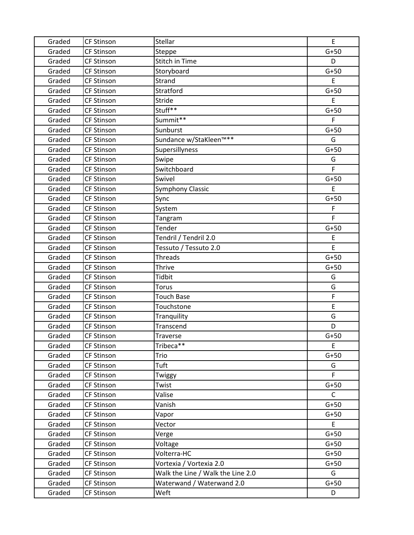| Graded | <b>CF Stinson</b> | Stellar                           | E      |
|--------|-------------------|-----------------------------------|--------|
| Graded | <b>CF Stinson</b> | Steppe                            | $G+50$ |
| Graded | <b>CF Stinson</b> | <b>Stitch in Time</b>             | D      |
| Graded | <b>CF Stinson</b> | Storyboard                        | $G+50$ |
| Graded | <b>CF Stinson</b> | Strand                            | E      |
| Graded | <b>CF Stinson</b> | Stratford                         | $G+50$ |
| Graded | <b>CF Stinson</b> | Stride                            | E      |
| Graded | <b>CF Stinson</b> | Stuff**                           | $G+50$ |
| Graded | <b>CF Stinson</b> | Summit**                          | F      |
| Graded | <b>CF Stinson</b> | Sunburst                          | $G+50$ |
| Graded | <b>CF Stinson</b> | Sundance w/StaKleen™**            | G      |
| Graded | <b>CF Stinson</b> | Supersillyness                    | $G+50$ |
| Graded | <b>CF Stinson</b> | Swipe                             | G      |
| Graded | <b>CF Stinson</b> | Switchboard                       | F      |
| Graded | <b>CF Stinson</b> | Swivel                            | $G+50$ |
| Graded | <b>CF Stinson</b> | <b>Symphony Classic</b>           | E      |
| Graded | <b>CF Stinson</b> | Sync                              | $G+50$ |
| Graded | <b>CF Stinson</b> | System                            | F      |
| Graded | <b>CF Stinson</b> | Tangram                           | F      |
| Graded | <b>CF Stinson</b> | Tender                            | $G+50$ |
| Graded | <b>CF Stinson</b> | Tendril / Tendril 2.0             | E      |
| Graded | <b>CF Stinson</b> | Tessuto / Tessuto 2.0             | E      |
| Graded | <b>CF Stinson</b> | <b>Threads</b>                    | $G+50$ |
| Graded | <b>CF Stinson</b> | <b>Thrive</b>                     | $G+50$ |
| Graded | <b>CF Stinson</b> | <b>Tidbit</b>                     | G      |
| Graded | <b>CF Stinson</b> | <b>Torus</b>                      | G      |
| Graded | <b>CF Stinson</b> | <b>Touch Base</b>                 | F      |
| Graded | <b>CF Stinson</b> | Touchstone                        | E      |
| Graded | <b>CF Stinson</b> | Tranquility                       | G      |
| Graded | <b>CF Stinson</b> | Transcend                         | D      |
| Graded | <b>CF Stinson</b> | Traverse                          | $G+50$ |
| Graded | <b>CF Stinson</b> | Tribeca**                         | E      |
| Graded | <b>CF Stinson</b> | Trio                              | $G+50$ |
| Graded | <b>CF Stinson</b> | Tuft                              | G      |
| Graded | <b>CF Stinson</b> | Twiggy                            | F.     |
| Graded | <b>CF Stinson</b> | Twist                             | $G+50$ |
| Graded | <b>CF Stinson</b> | Valise                            | C      |
| Graded | <b>CF Stinson</b> | Vanish                            | $G+50$ |
| Graded | <b>CF Stinson</b> | Vapor                             | $G+50$ |
| Graded | <b>CF Stinson</b> | Vector                            | E      |
| Graded | <b>CF Stinson</b> | Verge                             | $G+50$ |
| Graded | <b>CF Stinson</b> | Voltage                           | $G+50$ |
| Graded | <b>CF Stinson</b> | Volterra-HC                       | $G+50$ |
| Graded | <b>CF Stinson</b> | Vortexia / Vortexia 2.0           | $G+50$ |
| Graded | <b>CF Stinson</b> | Walk the Line / Walk the Line 2.0 | G      |
| Graded | <b>CF Stinson</b> | Waterwand / Waterwand 2.0         | $G+50$ |
| Graded | <b>CF Stinson</b> | Weft                              | D      |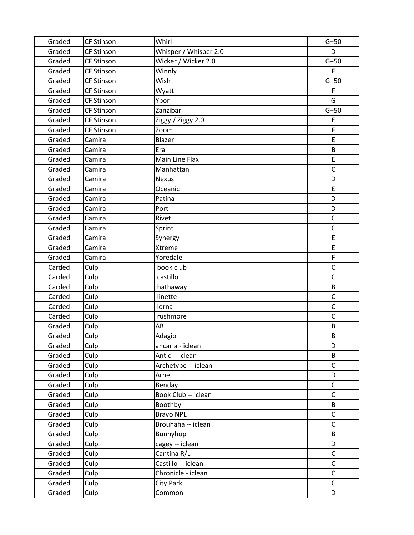| Graded | <b>CF Stinson</b> | Whirl                 | $G+50$       |
|--------|-------------------|-----------------------|--------------|
| Graded | <b>CF Stinson</b> | Whisper / Whisper 2.0 | D            |
| Graded | <b>CF Stinson</b> | Wicker / Wicker 2.0   | $G+50$       |
| Graded | <b>CF Stinson</b> | Winnly                | $\mathsf{F}$ |
| Graded | <b>CF Stinson</b> | Wish                  | $G+50$       |
| Graded | <b>CF Stinson</b> | Wyatt                 | F            |
| Graded | <b>CF Stinson</b> | Ybor                  | G            |
| Graded | <b>CF Stinson</b> | Zanzibar              | $G+50$       |
| Graded | CF Stinson        | Ziggy / Ziggy 2.0     | E            |
| Graded | <b>CF Stinson</b> | Zoom                  | F            |
| Graded | Camira            | Blazer                | E            |
| Graded | Camira            | Era                   | B            |
| Graded | Camira            | Main Line Flax        | E            |
| Graded | Camira            | Manhattan             | $\mathsf{C}$ |
| Graded | Camira            | <b>Nexus</b>          | D            |
| Graded | Camira            | Oceanic               | E            |
| Graded | Camira            | Patina                | D            |
| Graded | Camira            | Port                  | D            |
| Graded | Camira            | Rivet                 | $\mathsf C$  |
| Graded | Camira            | Sprint                | $\mathsf C$  |
| Graded | Camira            | Synergy               | E            |
| Graded | Camira            | <b>Xtreme</b>         | E            |
| Graded | Camira            | Yoredale              | F            |
| Carded | Culp              | book club             | $\mathsf{C}$ |
| Carded | Culp              | castillo              | $\mathsf C$  |
| Carded | Culp              | hathaway              | B            |
| Carded | Culp              | linette               | $\mathsf C$  |
| Carded | Culp              | lorna                 | $\mathsf C$  |
| Carded | Culp              | rushmore              | $\mathsf{C}$ |
| Graded | Culp              | AB                    | B            |
| Graded | Culp              | Adagio                | B            |
| Graded | Culp              | ancarla - iclean      | D            |
| Graded | Culp              | Antic -- iclean       | B            |
| Graded | Culp              | Archetype -- iclean   | $\mathsf C$  |
| Graded | Culp              | Arne                  | D            |
| Graded | Culp              | Benday                | $\mathsf{C}$ |
| Graded | Culp              | Book Club -- iclean   | $\mathsf{C}$ |
| Graded | Culp              | Boothby               | B            |
| Graded | Culp              | <b>Bravo NPL</b>      | $\mathsf C$  |
| Graded | Culp              | Brouhaha -- iclean    | $\mathsf{C}$ |
| Graded | Culp              | Bunnyhop              | B            |
| Graded | Culp              | cagey -- iclean       | D            |
| Graded | Culp              | Cantina R/L           | $\mathsf C$  |
| Graded | Culp              | Castillo -- iclean    | $\mathsf C$  |
| Graded | Culp              | Chronicle - iclean    | $\mathsf C$  |
| Graded | Culp              | City Park             | $\mathsf C$  |
| Graded | Culp              | Common                | D            |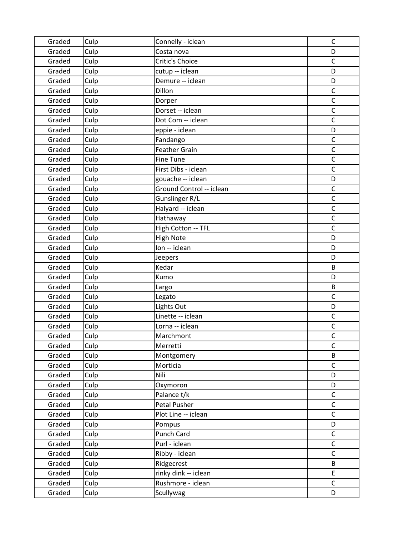| Graded | Culp | Connelly - iclean        | $\mathsf C$  |
|--------|------|--------------------------|--------------|
| Graded | Culp | Costa nova               | D            |
| Graded | Culp | Critic's Choice          | $\mathsf C$  |
| Graded | Culp | cutup -- iclean          | D            |
| Graded | Culp | Demure -- iclean         | D            |
| Graded | Culp | Dillon                   | $\mathsf C$  |
| Graded | Culp | Dorper                   | $\mathsf C$  |
| Graded | Culp | Dorset -- iclean         | $\mathsf C$  |
| Graded | Culp | Dot Com -- iclean        | $\mathsf C$  |
| Graded | Culp | eppie - iclean           | D            |
| Graded | Culp | Fandango                 | $\mathsf C$  |
| Graded | Culp | <b>Feather Grain</b>     | $\mathsf{C}$ |
| Graded | Culp | <b>Fine Tune</b>         | $\mathsf C$  |
| Graded | Culp | First Dibs - iclean      | $\mathsf C$  |
| Graded | Culp | gouache -- iclean        | D            |
| Graded | Culp | Ground Control -- iclean | $\mathsf C$  |
| Graded | Culp | Gunslinger R/L           | $\mathsf{C}$ |
| Graded | Culp | Halyard -- iclean        | $\mathsf C$  |
| Graded | Culp | Hathaway                 | $\mathsf C$  |
| Graded | Culp | High Cotton -- TFL       | $\mathsf C$  |
| Graded | Culp | <b>High Note</b>         | D            |
| Graded | Culp | Ion -- iclean            | D            |
| Graded | Culp | Jeepers                  | D            |
| Graded | Culp | Kedar                    | B            |
| Graded | Culp | Kumo                     | D            |
| Graded | Culp | Largo                    | B            |
| Graded | Culp | Legato                   | $\mathsf C$  |
| Graded | Culp | Lights Out               | D            |
| Graded | Culp | Linette -- iclean        | $\mathsf{C}$ |
| Graded | Culp | Lorna -- iclean          | $\mathsf C$  |
| Graded | Culp | Marchmont                | $\mathsf{C}$ |
| Graded | Culp | Merretti                 | C            |
| Graded | Culp | Montgomery               | B            |
| Graded | Culp | Morticia                 | $\mathsf C$  |
| Graded | Culp | Nili                     | D            |
| Graded | Culp | Oxymoron                 | D            |
| Graded | Culp | Palance t/k              | $\mathsf C$  |
| Graded | Culp | Petal Pusher             | $\mathsf C$  |
| Graded | Culp | Plot Line -- iclean      | $\mathsf C$  |
| Graded | Culp | Pompus                   | D            |
| Graded | Culp | Punch Card               | $\mathsf C$  |
| Graded | Culp | Purl - iclean            | C            |
| Graded | Culp | Ribby - iclean           | $\mathsf{C}$ |
| Graded | Culp | Ridgecrest               | B            |
| Graded | Culp | rinky dink -- iclean     | E            |
| Graded | Culp | Rushmore - iclean        | $\mathsf C$  |
| Graded | Culp | Scullywag                | D            |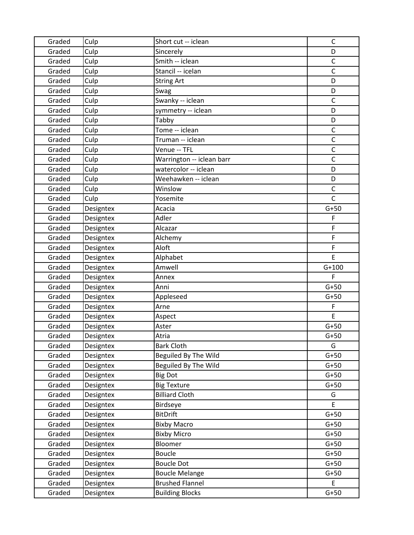| Graded | Culp      | Short cut -- iclean       | $\mathsf C$  |
|--------|-----------|---------------------------|--------------|
| Graded | Culp      | Sincerely                 | D            |
| Graded | Culp      | Smith -- iclean           | $\mathsf C$  |
| Graded | Culp      | Stancil -- icelan         | $\mathsf C$  |
| Graded | Culp      | <b>String Art</b>         | D            |
| Graded | Culp      | Swag                      | D            |
| Graded | Culp      | Swanky -- iclean          | $\mathsf{C}$ |
| Graded | Culp      | symmetry -- iclean        | D            |
| Graded | Culp      | Tabby                     | D            |
| Graded | Culp      | Tome -- iclean            | $\mathsf{C}$ |
| Graded | Culp      | Truman -- iclean          | $\mathsf C$  |
| Graded | Culp      | Venue -- TFL              | $\mathsf C$  |
| Graded | Culp      | Warrington -- iclean barr | $\mathsf{C}$ |
| Graded | Culp      | watercolor -- iclean      | D            |
| Graded | Culp      | Weehawken -- iclean       | D            |
| Graded | Culp      | Winslow                   | $\mathsf C$  |
| Graded | Culp      | Yosemite                  | $\mathsf{C}$ |
| Graded | Designtex | Acacia                    | $G+50$       |
| Graded | Designtex | Adler                     | F            |
| Graded | Designtex | Alcazar                   | F            |
| Graded | Designtex | Alchemy                   | F            |
| Graded | Designtex | Aloft                     | F            |
| Graded | Designtex | Alphabet                  | E            |
| Graded | Designtex | Amwell                    | $G+100$      |
| Graded | Designtex | Annex                     | F            |
| Graded | Designtex | Anni                      | $G+50$       |
| Graded | Designtex | Appleseed                 | $G+50$       |
| Graded | Designtex | Arne                      | F            |
| Graded | Designtex | Aspect                    | E            |
| Graded | Designtex | Aster                     | $G+50$       |
| Graded | Designtex | Atria                     | $G+50$       |
| Graded | Designtex | <b>Bark Cloth</b>         | G            |
| Graded | Designtex | Beguiled By The Wild      | $G+50$       |
| Graded | Designtex | Beguiled By The Wild      | $G+50$       |
| Graded | Designtex | <b>Big Dot</b>            | $G+50$       |
| Graded | Designtex | <b>Big Texture</b>        | $G+50$       |
| Graded | Designtex | <b>Billiard Cloth</b>     | G            |
| Graded | Designtex | Birdseye                  | E.           |
| Graded | Designtex | <b>BitDrift</b>           | $G+50$       |
| Graded | Designtex | <b>Bixby Macro</b>        | $G+50$       |
| Graded | Designtex | <b>Bixby Micro</b>        | $G+50$       |
| Graded | Designtex | Bloomer                   | $G+50$       |
| Graded | Designtex | <b>Boucle</b>             | $G+50$       |
| Graded | Designtex | <b>Boucle Dot</b>         | $G+50$       |
| Graded | Designtex | <b>Boucle Melange</b>     | $G+50$       |
| Graded | Designtex | <b>Brushed Flannel</b>    | E            |
| Graded | Designtex | <b>Building Blocks</b>    | $G+50$       |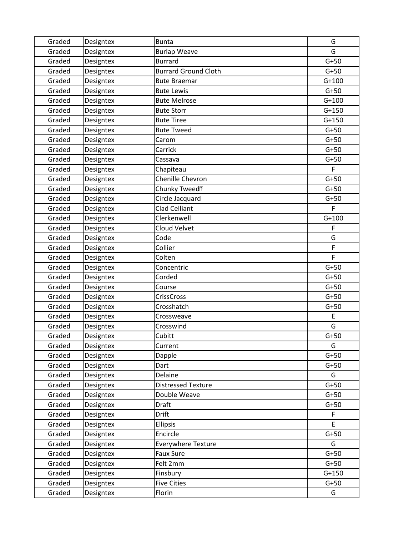| Graded | Designtex | <b>Bunta</b>                | G       |
|--------|-----------|-----------------------------|---------|
| Graded | Designtex | <b>Burlap Weave</b>         | G       |
| Graded | Designtex | <b>Burrard</b>              | $G+50$  |
| Graded | Designtex | <b>Burrard Ground Cloth</b> | $G+50$  |
| Graded | Designtex | <b>Bute Braemar</b>         | $G+100$ |
| Graded | Designtex | <b>Bute Lewis</b>           | $G+50$  |
| Graded | Designtex | <b>Bute Melrose</b>         | $G+100$ |
| Graded | Designtex | <b>Bute Storr</b>           | $G+150$ |
| Graded | Designtex | <b>Bute Tiree</b>           | $G+150$ |
| Graded | Designtex | <b>Bute Tweed</b>           | $G+50$  |
| Graded | Designtex | Carom                       | $G+50$  |
| Graded | Designtex | Carrick                     | $G+50$  |
| Graded | Designtex | Cassava                     | $G+50$  |
| Graded | Designtex | Chapiteau                   | F       |
| Graded | Designtex | Chenille Chevron            | $G+50$  |
| Graded | Designtex | Chunky Tweed?               | $G+50$  |
| Graded | Designtex | Circle Jacquard             | $G+50$  |
| Graded | Designtex | Clad Celliant               | F       |
| Graded | Designtex | Clerkenwell                 | $G+100$ |
| Graded | Designtex | Cloud Velvet                | F       |
| Graded | Designtex | Code                        | G       |
| Graded | Designtex | Collier                     | F       |
| Graded | Designtex | Colten                      | F       |
| Graded | Designtex | Concentric                  | $G+50$  |
| Graded | Designtex | Corded                      | $G+50$  |
| Graded | Designtex | Course                      | $G+50$  |
| Graded | Designtex | <b>CrissCross</b>           | $G+50$  |
| Graded | Designtex | Crosshatch                  | $G+50$  |
| Graded | Designtex | Crossweave                  | E       |
| Graded | Designtex | Crosswind                   | G       |
| Graded | Designtex | Cubitt                      | $G+50$  |
| Graded | Designtex | Current                     | G       |
| Graded | Designtex | Dapple                      | $G+50$  |
| Graded | Designtex | Dart                        | $G+50$  |
| Graded | Designtex | Delaine                     | G       |
| Graded | Designtex | <b>Distressed Texture</b>   | $G+50$  |
| Graded | Designtex | Double Weave                | $G+50$  |
| Graded | Designtex | <b>Draft</b>                | $G+50$  |
| Graded | Designtex | <b>Drift</b>                | F       |
| Graded | Designtex | <b>Ellipsis</b>             | E.      |
| Graded | Designtex | Encircle                    | $G+50$  |
| Graded | Designtex | <b>Everywhere Texture</b>   | G       |
| Graded | Designtex | Faux Sure                   | $G+50$  |
| Graded | Designtex | Felt 2mm                    | $G+50$  |
| Graded | Designtex | Finsbury                    | $G+150$ |
| Graded | Designtex | <b>Five Cities</b>          | $G+50$  |
| Graded | Designtex | Florin                      | G       |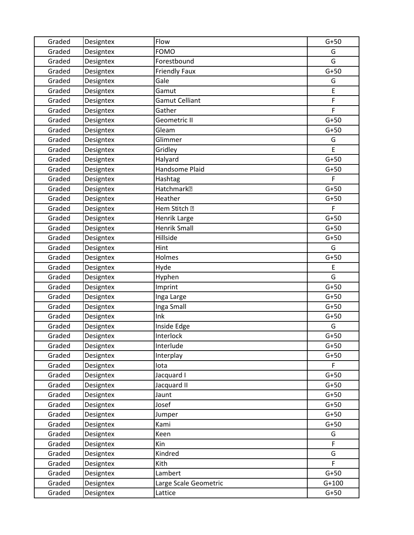| Graded | Designtex | Flow                   | $G+50$  |
|--------|-----------|------------------------|---------|
| Graded | Designtex | <b>FOMO</b>            | G       |
| Graded | Designtex | Forestbound            | G       |
| Graded | Designtex | <b>Friendly Faux</b>   | $G+50$  |
| Graded | Designtex | Gale                   | G       |
| Graded | Designtex | Gamut                  | E       |
| Graded | Designtex | <b>Gamut Celliant</b>  | F       |
| Graded | Designtex | Gather                 | F       |
| Graded | Designtex | Geometric II           | $G+50$  |
| Graded | Designtex | Gleam                  | $G+50$  |
| Graded | Designtex | Glimmer                | G       |
| Graded | Designtex | Gridley                | E       |
| Graded | Designtex | Halyard                | $G+50$  |
| Graded | Designtex | Handsome Plaid         | $G+50$  |
| Graded | Designtex | Hashtag                | F       |
| Graded | Designtex | Hatchmark <sup>®</sup> | $G+50$  |
| Graded | Designtex | Heather                | $G+50$  |
| Graded | Designtex | Hem Stitch ?           | F       |
| Graded | Designtex | Henrik Large           | $G+50$  |
| Graded | Designtex | <b>Henrik Small</b>    | $G+50$  |
| Graded | Designtex | Hillside               | $G+50$  |
| Graded | Designtex | Hint                   | G       |
| Graded | Designtex | Holmes                 | $G+50$  |
| Graded | Designtex | Hyde                   | E       |
| Graded | Designtex | Hyphen                 | G       |
| Graded | Designtex | Imprint                | $G+50$  |
| Graded | Designtex | Inga Large             | $G+50$  |
| Graded | Designtex | Inga Small             | $G+50$  |
| Graded | Designtex | Ink                    | $G+50$  |
| Graded | Designtex | Inside Edge            | G       |
| Graded | Designtex | Interlock              | $G+50$  |
| Graded | Designtex | Interlude              | $G+50$  |
| Graded | Designtex | Interplay              | $G+50$  |
| Graded | Designtex | lota                   | F       |
| Graded | Designtex | Jacquard I             | $G+50$  |
| Graded | Designtex | Jacquard II            | $G+50$  |
| Graded | Designtex | Jaunt                  | $G+50$  |
| Graded | Designtex | Josef                  | $G+50$  |
| Graded | Designtex | Jumper                 | $G+50$  |
| Graded | Designtex | Kami                   | $G+50$  |
| Graded | Designtex | Keen                   | G       |
| Graded | Designtex | Kin                    | F       |
| Graded | Designtex | Kindred                | G       |
| Graded | Designtex | Kith                   | F       |
| Graded | Designtex | Lambert                | $G+50$  |
| Graded | Designtex | Large Scale Geometric  | $G+100$ |
| Graded | Designtex | Lattice                | $G+50$  |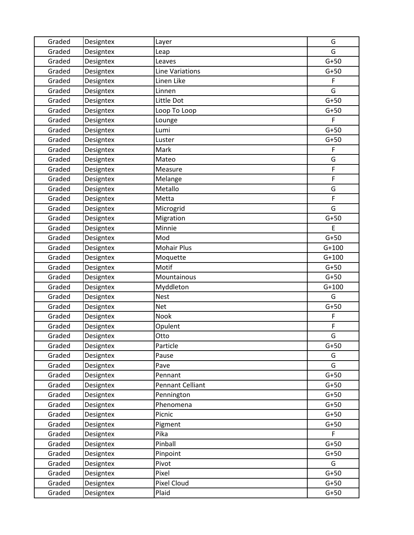| Graded | Designtex | Layer              | G       |
|--------|-----------|--------------------|---------|
| Graded | Designtex | Leap               | G       |
| Graded | Designtex | Leaves             | $G+50$  |
| Graded | Designtex | Line Variations    | $G+50$  |
| Graded | Designtex | Linen Like         | F       |
| Graded | Designtex | Linnen             | G       |
| Graded | Designtex | Little Dot         | $G+50$  |
| Graded | Designtex | Loop To Loop       | $G+50$  |
| Graded | Designtex | Lounge             | F       |
| Graded | Designtex | Lumi               | $G+50$  |
| Graded | Designtex | Luster             | $G+50$  |
| Graded | Designtex | Mark               | F       |
| Graded | Designtex | Mateo              | G       |
| Graded | Designtex | Measure            | F       |
| Graded | Designtex | Melange            | F       |
| Graded | Designtex | Metallo            | G       |
| Graded | Designtex | Metta              | F       |
| Graded | Designtex | Microgrid          | G       |
| Graded | Designtex | Migration          | $G+50$  |
| Graded | Designtex | Minnie             | E       |
| Graded | Designtex | Mod                | $G+50$  |
| Graded | Designtex | <b>Mohair Plus</b> | $G+100$ |
| Graded | Designtex | Moquette           | $G+100$ |
| Graded | Designtex | Motif              | $G+50$  |
| Graded | Designtex | Mountainous        | $G+50$  |
| Graded | Designtex | Myddleton          | $G+100$ |
| Graded | Designtex | <b>Nest</b>        | G       |
| Graded | Designtex | <b>Net</b>         | $G+50$  |
| Graded | Designtex | Nook               | F       |
| Graded | Designtex | Opulent            | F       |
| Graded | Designtex | Otto               | G       |
| Graded | Designtex | Particle           | $G+50$  |
| Graded | Designtex | Pause              | G       |
| Graded | Designtex | Pave               | G       |
| Graded | Designtex | Pennant            | $G+50$  |
| Graded | Designtex | Pennant Celliant   | $G+50$  |
| Graded | Designtex | Pennington         | $G+50$  |
| Graded | Designtex | Phenomena          | $G+50$  |
| Graded | Designtex | Picnic             | $G+50$  |
| Graded | Designtex | Pigment            | $G+50$  |
| Graded | Designtex | Pika               | F       |
| Graded | Designtex | Pinball            | $G+50$  |
| Graded | Designtex | Pinpoint           | $G+50$  |
| Graded | Designtex | Pivot              | G       |
| Graded | Designtex | Pixel              | $G+50$  |
| Graded | Designtex | Pixel Cloud        | $G+50$  |
| Graded | Designtex | Plaid              | $G+50$  |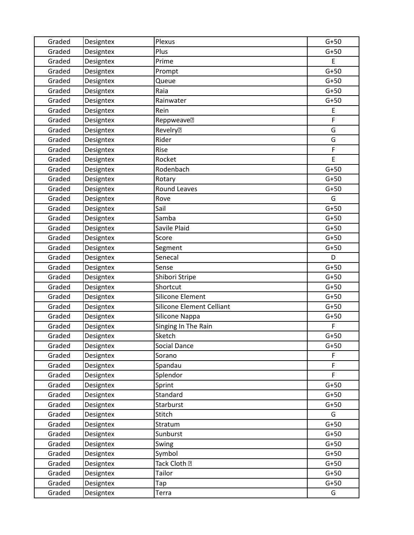| Graded | Designtex | Plexus                           | $G+50$ |
|--------|-----------|----------------------------------|--------|
| Graded | Designtex | Plus                             | $G+50$ |
| Graded | Designtex | Prime                            | E      |
| Graded | Designtex | Prompt                           | $G+50$ |
| Graded | Designtex | Queue                            | $G+50$ |
| Graded | Designtex | Raia                             | $G+50$ |
| Graded | Designtex | Rainwater                        | $G+50$ |
| Graded | Designtex | Rein                             | E      |
| Graded | Designtex | Reppweave <sup>?</sup>           | F      |
| Graded | Designtex | <b>Revelry</b> <sub>2</sub>      | G      |
| Graded | Designtex | Rider                            | G      |
| Graded | Designtex | Rise                             | F      |
| Graded | Designtex | Rocket                           | E      |
| Graded | Designtex | Rodenbach                        | $G+50$ |
| Graded | Designtex | Rotary                           | $G+50$ |
| Graded | Designtex | Round Leaves                     | $G+50$ |
| Graded | Designtex | Rove                             | G      |
| Graded | Designtex | Sail                             | $G+50$ |
| Graded | Designtex | Samba                            | $G+50$ |
| Graded | Designtex | Savile Plaid                     | $G+50$ |
| Graded | Designtex | Score                            | $G+50$ |
| Graded | Designtex | Segment                          | $G+50$ |
| Graded | Designtex | Senecal                          | D      |
| Graded | Designtex | Sense                            | $G+50$ |
| Graded | Designtex | Shibori Stripe                   | $G+50$ |
| Graded | Designtex | Shortcut                         | $G+50$ |
| Graded | Designtex | Silicone Element                 | $G+50$ |
| Graded | Designtex | <b>Silicone Element Celliant</b> | $G+50$ |
| Graded | Designtex | Silicone Nappa                   | $G+50$ |
| Graded | Designtex | Singing In The Rain              | F      |
| Graded | Designtex | Sketch                           | $G+50$ |
| Graded | Designtex | Social Dance                     | $G+50$ |
| Graded | Designtex | Sorano                           | F      |
| Graded | Designtex | Spandau                          | F      |
| Graded | Designtex | Splendor                         | F      |
| Graded | Designtex | Sprint                           | $G+50$ |
| Graded | Designtex | Standard                         | $G+50$ |
| Graded | Designtex | Starburst                        | $G+50$ |
| Graded | Designtex | Stitch                           | G      |
| Graded | Designtex | Stratum                          | $G+50$ |
| Graded | Designtex | Sunburst                         | $G+50$ |
| Graded | Designtex | Swing                            | $G+50$ |
| Graded | Designtex | Symbol                           | $G+50$ |
| Graded | Designtex | Tack Cloth <b>图</b>              | $G+50$ |
| Graded | Designtex | Tailor                           | $G+50$ |
| Graded | Designtex | Tap                              | $G+50$ |
| Graded | Designtex | Terra                            | G      |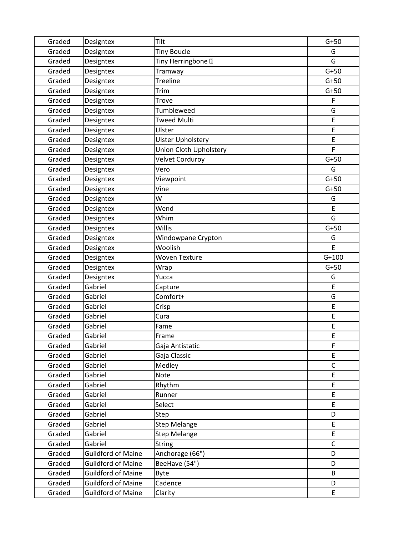| Graded | Designtex                 | Tilt                     | $G+50$       |
|--------|---------------------------|--------------------------|--------------|
| Graded | Designtex                 | <b>Tiny Boucle</b>       | G            |
| Graded | Designtex                 | Tiny Herringbone ?       | G            |
| Graded | Designtex                 | Tramway                  | $G+50$       |
| Graded | Designtex                 | Treeline                 | $G+50$       |
| Graded | Designtex                 | Trim                     | $G+50$       |
| Graded | Designtex                 | Trove                    | $\mathsf F$  |
| Graded | Designtex                 | Tumbleweed               | G            |
| Graded | Designtex                 | <b>Tweed Multi</b>       | E            |
| Graded | Designtex                 | Ulster                   | E            |
| Graded | Designtex                 | <b>Ulster Upholstery</b> | E            |
| Graded | Designtex                 | Union Cloth Upholstery   | F            |
| Graded | Designtex                 | Velvet Corduroy          | $G+50$       |
| Graded | Designtex                 | Vero                     | G            |
| Graded | Designtex                 | Viewpoint                | $G+50$       |
| Graded | Designtex                 | Vine                     | $G+50$       |
| Graded | Designtex                 | W                        | G            |
| Graded | Designtex                 | Wend                     | E            |
| Graded | Designtex                 | Whim                     | G            |
| Graded | Designtex                 | Willis                   | $G+50$       |
| Graded | Designtex                 | Windowpane Crypton       | G            |
| Graded | Designtex                 | Woolish                  | E            |
| Graded | Designtex                 | <b>Woven Texture</b>     | $G+100$      |
| Graded | Designtex                 | Wrap                     | $G+50$       |
| Graded | Designtex                 | Yucca                    | G            |
| Graded | Gabriel                   | Capture                  | E            |
| Graded | Gabriel                   | Comfort+                 | G            |
| Graded | Gabriel                   | Crisp                    | E            |
| Graded | Gabriel                   | Cura                     | E            |
| Graded | Gabriel                   | Fame                     | E            |
| Graded | Gabriel                   | Frame                    | E            |
| Graded | Gabriel                   | Gaja Antistatic          | $\mathsf F$  |
| Graded | Gabriel                   | Gaja Classic             | E            |
| Graded | Gabriel                   | Medley                   | $\mathsf C$  |
| Graded | Gabriel                   | Note                     | E            |
| Graded | Gabriel                   | Rhythm                   | E            |
| Graded | Gabriel                   | Runner                   | E            |
| Graded | Gabriel                   | Select                   | E            |
| Graded | Gabriel                   | Step                     | D            |
| Graded | Gabriel                   | <b>Step Melange</b>      | E            |
| Graded | Gabriel                   | <b>Step Melange</b>      | E            |
| Graded | Gabriel                   | <b>String</b>            | $\mathsf{C}$ |
| Graded | <b>Guildford of Maine</b> | Anchorage (66")          | D            |
| Graded | <b>Guildford of Maine</b> | BeeHave (54")            | D            |
| Graded | <b>Guildford of Maine</b> | <b>Byte</b>              | B            |
| Graded | <b>Guildford of Maine</b> | Cadence                  | D            |
| Graded | <b>Guildford of Maine</b> | Clarity                  | E            |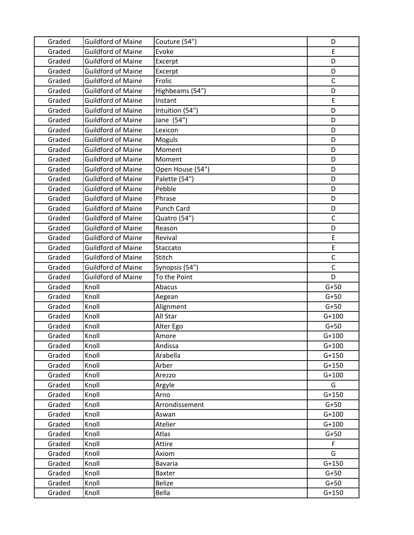| Graded           | <b>Guildford of Maine</b> | Couture (54")                   | D                |
|------------------|---------------------------|---------------------------------|------------------|
| Graded           | <b>Guildford of Maine</b> | Evoke                           | E                |
| Graded           | <b>Guildford of Maine</b> | Excerpt                         | D                |
| Graded           | <b>Guildford of Maine</b> | Excerpt                         | D                |
| Graded           | <b>Guildford of Maine</b> | Frolic                          | $\mathsf{C}$     |
| Graded           | <b>Guildford of Maine</b> | Highbeams (54")                 | D                |
| Graded           | <b>Guildford of Maine</b> | Instant                         | E                |
| Graded           | <b>Guildford of Maine</b> | Intuition (54")                 | D                |
| Graded           | <b>Guildford of Maine</b> | Jane (54")                      | D                |
| Graded           | <b>Guildford of Maine</b> | Lexicon                         | D                |
| Graded           | <b>Guildford of Maine</b> | Moguls                          | D                |
| Graded           | <b>Guildford of Maine</b> | Moment                          | D                |
| Graded           | <b>Guildford of Maine</b> | Moment                          | D                |
| Graded           | <b>Guildford of Maine</b> | Open House (54")                | D                |
| Graded           | <b>Guildford of Maine</b> | Palette (54")                   | D                |
| Graded           | <b>Guildford of Maine</b> | Pebble                          | D                |
| Graded           | <b>Guildford of Maine</b> | Phrase                          | D                |
| Graded           | <b>Guildford of Maine</b> | Punch Card                      | D                |
| Graded           | <b>Guildford of Maine</b> | Quatro (54")                    | $\mathsf{C}$     |
| Graded           | <b>Guildford of Maine</b> | Reason                          | D                |
| Graded           | <b>Guildford of Maine</b> | Revival                         | E                |
| Graded           | <b>Guildford of Maine</b> | Staccato                        | E                |
| Graded           | <b>Guildford of Maine</b> | Stitch                          | $\mathsf C$      |
| Graded           | <b>Guildford of Maine</b> | Synopsis (54")                  | $\mathsf{C}$     |
| Graded           | <b>Guildford of Maine</b> | To the Point                    | D                |
| Graded           | Knoll                     | Abacus                          | $G+50$           |
| Graded           | Knoll                     | Aegean                          | $G+50$           |
| Graded           | Knoll                     | Alignment                       | $G+50$           |
| Graded           | Knoll                     | All Star                        | $G+100$          |
| Graded           | Knoll                     | Alter Ego                       | $G+50$           |
| Graded           | Knoll                     | Amore                           | $G+100$          |
| Graded           | Knoll                     | Andissa                         | $G+100$          |
| Graded           | Knoll                     | Arabella                        | $G+150$          |
| Graded           | Knoll                     | Arber                           | $G+150$          |
| Graded           | Knoll                     | Arezzo                          | $G+100$          |
| Graded           | Knoll                     | Argyle                          | G                |
| Graded           | Knoll                     | Arno                            | $G+150$          |
| Graded           | Knoll                     | Arrondissement                  | $G+50$           |
| Graded           | Knoll                     | Aswan                           | $G+100$          |
| Graded           | Knoll                     | Atelier                         | $G+100$          |
| Graded           | Knoll                     | Atlas                           | $G+50$           |
| Graded           | Knoll                     | Attire                          | $\mathsf F$<br>G |
| Graded           | Knoll<br>Knoll            | Axiom                           | $G+150$          |
| Graded<br>Graded | Knoll                     | <b>Bavaria</b><br><b>Baxter</b> | $G+50$           |
| Graded           | Knoll                     | <b>Belize</b>                   | $G+50$           |
|                  | Knoll                     | Bella                           | $G+150$          |
| Graded           |                           |                                 |                  |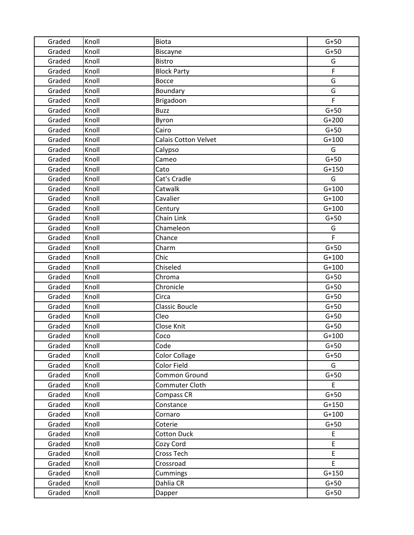| Graded | Knoll | <b>Biota</b>                | $G+50$  |
|--------|-------|-----------------------------|---------|
| Graded | Knoll | Biscayne                    | $G+50$  |
| Graded | Knoll | <b>Bistro</b>               | G       |
| Graded | Knoll | <b>Block Party</b>          | F       |
| Graded | Knoll | <b>Bocce</b>                | G       |
| Graded | Knoll | Boundary                    | G       |
| Graded | Knoll | Brigadoon                   | F       |
| Graded | Knoll | <b>Buzz</b>                 | $G+50$  |
| Graded | Knoll | Byron                       | $G+200$ |
| Graded | Knoll | Cairo                       | $G+50$  |
| Graded | Knoll | <b>Calais Cotton Velvet</b> | $G+100$ |
| Graded | Knoll | Calypso                     | G       |
| Graded | Knoll | Cameo                       | $G+50$  |
| Graded | Knoll | Cato                        | $G+150$ |
| Graded | Knoll | Cat's Cradle                | G       |
| Graded | Knoll | Catwalk                     | $G+100$ |
| Graded | Knoll | Cavalier                    | $G+100$ |
| Graded | Knoll | Century                     | $G+100$ |
| Graded | Knoll | Chain Link                  | $G+50$  |
| Graded | Knoll | Chameleon                   | G       |
| Graded | Knoll | Chance                      | F.      |
| Graded | Knoll | Charm                       | $G+50$  |
| Graded | Knoll | Chic                        | $G+100$ |
| Graded | Knoll | Chiseled                    | $G+100$ |
| Graded | Knoll | Chroma                      | $G+50$  |
| Graded | Knoll | Chronicle                   | $G+50$  |
| Graded | Knoll | Circa                       | $G+50$  |
| Graded | Knoll | <b>Classic Boucle</b>       | $G+50$  |
| Graded | Knoll | Cleo                        | $G+50$  |
| Graded | Knoll | Close Knit                  | $G+50$  |
| Graded | Knoll | Coco                        | $G+100$ |
| Graded | Knoll | Code                        | $G+50$  |
| Graded | Knoll | <b>Color Collage</b>        | $G+50$  |
| Graded | Knoll | Color Field                 | G       |
| Graded | Knoll | Common Ground               | $G+50$  |
| Graded | Knoll | Commuter Cloth              | E       |
| Graded | Knoll | Compass CR                  | $G+50$  |
| Graded | Knoll | Constance                   | $G+150$ |
| Graded | Knoll | Cornaro                     | $G+100$ |
| Graded | Knoll | Coterie                     | $G+50$  |
| Graded | Knoll | <b>Cotton Duck</b>          | E       |
| Graded | Knoll | Cozy Cord                   | E       |
| Graded | Knoll | Cross Tech                  | E       |
| Graded | Knoll | Crossroad                   | E       |
| Graded | Knoll | Cummings                    | $G+150$ |
| Graded | Knoll | Dahlia CR                   | $G+50$  |
| Graded | Knoll | Dapper                      | $G+50$  |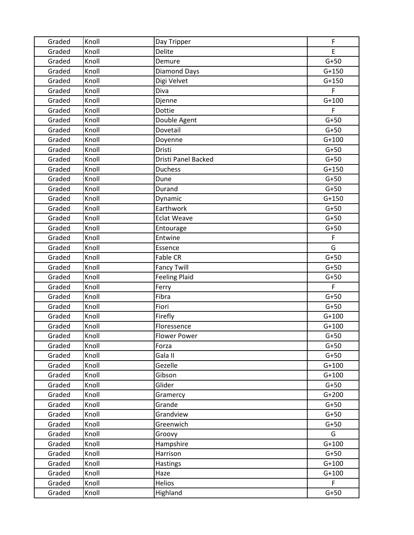| Graded | Knoll | Day Tripper          | $\mathsf F$ |
|--------|-------|----------------------|-------------|
| Graded | Knoll | Delite               | E.          |
| Graded | Knoll | Demure               | $G+50$      |
| Graded | Knoll | <b>Diamond Days</b>  | $G+150$     |
| Graded | Knoll | Digi Velvet          | $G+150$     |
| Graded | Knoll | Diva                 | F           |
| Graded | Knoll | Djenne               | $G+100$     |
| Graded | Knoll | Dottie               | F           |
| Graded | Knoll | Double Agent         | $G+50$      |
| Graded | Knoll | Dovetail             | $G+50$      |
| Graded | Knoll | Doyenne              | $G+100$     |
| Graded | Knoll | Dristi               | $G+50$      |
| Graded | Knoll | Dristi Panel Backed  | $G+50$      |
| Graded | Knoll | <b>Duchess</b>       | $G+150$     |
| Graded | Knoll | Dune                 | $G+50$      |
| Graded | Knoll | Durand               | $G+50$      |
| Graded | Knoll | Dynamic              | $G+150$     |
| Graded | Knoll | Earthwork            | $G+50$      |
| Graded | Knoll | <b>Eclat Weave</b>   | $G+50$      |
| Graded | Knoll | Entourage            | $G+50$      |
| Graded | Knoll | Entwine              | $\mathsf F$ |
| Graded | Knoll | Essence              | G           |
| Graded | Knoll | <b>Fable CR</b>      | $G+50$      |
| Graded | Knoll | <b>Fancy Twill</b>   | $G+50$      |
| Graded | Knoll | <b>Feeling Plaid</b> | $G+50$      |
| Graded | Knoll | Ferry                | F           |
| Graded | Knoll | Fibra                | $G+50$      |
| Graded | Knoll | Fiori                | $G+50$      |
| Graded | Knoll | Firefly              | $G+100$     |
| Graded | Knoll | Floressence          | $G+100$     |
| Graded | Knoll | <b>Flower Power</b>  | $G+50$      |
| Graded | Knoll | Forza                | $G+50$      |
| Graded | Knoll | Gala II              | $G+50$      |
| Graded | Knoll | Gezelle              | $G+100$     |
| Graded | Knoll | Gibson               | $G+100$     |
| Graded | Knoll | Glider               | $G+50$      |
| Graded | Knoll | Gramercy             | $G+200$     |
| Graded | Knoll | Grande               | $G+50$      |
| Graded | Knoll | Grandview            | $G+50$      |
| Graded | Knoll | Greenwich            | $G+50$      |
| Graded | Knoll | Groovy               | G           |
| Graded | Knoll | Hampshire            | $G+100$     |
| Graded | Knoll | Harrison             | $G+50$      |
| Graded | Knoll | <b>Hastings</b>      | $G+100$     |
| Graded | Knoll | Haze                 | $G+100$     |
| Graded | Knoll | <b>Helios</b>        | F           |
| Graded | Knoll | Highland             | $G+50$      |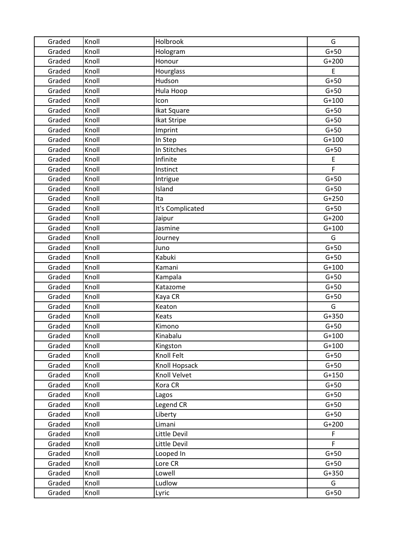| Graded | Knoll | Holbrook         | G       |
|--------|-------|------------------|---------|
| Graded | Knoll | Hologram         | $G+50$  |
| Graded | Knoll | Honour           | $G+200$ |
| Graded | Knoll | Hourglass        | E       |
| Graded | Knoll | Hudson           | $G+50$  |
| Graded | Knoll | Hula Hoop        | $G+50$  |
| Graded | Knoll | Icon             | $G+100$ |
| Graded | Knoll | Ikat Square      | $G+50$  |
| Graded | Knoll | Ikat Stripe      | $G+50$  |
| Graded | Knoll | Imprint          | $G+50$  |
| Graded | Knoll | In Step          | $G+100$ |
| Graded | Knoll | In Stitches      | $G+50$  |
| Graded | Knoll | Infinite         | E       |
| Graded | Knoll | Instinct         | F       |
| Graded | Knoll | Intrigue         | $G+50$  |
| Graded | Knoll | Island           | $G+50$  |
| Graded | Knoll | Ita              | $G+250$ |
| Graded | Knoll | It's Complicated | $G+50$  |
| Graded | Knoll | Jaipur           | $G+200$ |
| Graded | Knoll | Jasmine          | $G+100$ |
| Graded | Knoll | Journey          | G       |
| Graded | Knoll | Juno             | $G+50$  |
| Graded | Knoll | Kabuki           | $G+50$  |
| Graded | Knoll | Kamani           | $G+100$ |
| Graded | Knoll | Kampala          | $G+50$  |
| Graded | Knoll | Katazome         | $G+50$  |
| Graded | Knoll | Kaya CR          | $G+50$  |
| Graded | Knoll | Keaton           | G       |
| Graded | Knoll | Keats            | $G+350$ |
| Graded | Knoll | Kimono           | $G+50$  |
| Graded | Knoll | Kinabalu         | $G+100$ |
| Graded | Knoll | Kingston         | $G+100$ |
| Graded | Knoll | Knoll Felt       | $G+50$  |
| Graded | Knoll | Knoll Hopsack    | $G+50$  |
| Graded | Knoll | Knoll Velvet     | $G+150$ |
| Graded | Knoll | Kora CR          | $G+50$  |
| Graded | Knoll | Lagos            | $G+50$  |
| Graded | Knoll | Legend CR        | $G+50$  |
| Graded | Knoll | Liberty          | $G+50$  |
| Graded | Knoll | Limani           | $G+200$ |
| Graded | Knoll | Little Devil     | F       |
| Graded | Knoll | Little Devil     | F.      |
| Graded | Knoll | Looped In        | $G+50$  |
| Graded | Knoll | Lore CR          | $G+50$  |
| Graded | Knoll | Lowell           | $G+350$ |
| Graded | Knoll | Ludlow           | G       |
| Graded | Knoll | Lyric            | $G+50$  |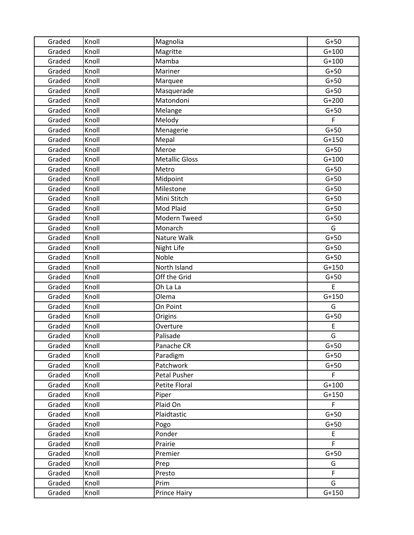| Graded | Knoll | Magnolia              | $G+50$      |
|--------|-------|-----------------------|-------------|
| Graded | Knoll | Magritte              | $G+100$     |
| Graded | Knoll | Mamba                 | $G+100$     |
| Graded | Knoll | Mariner               | $G+50$      |
| Graded | Knoll | Marquee               | $G+50$      |
| Graded | Knoll | Masquerade            | $G+50$      |
| Graded | Knoll | Matondoni             | $G+200$     |
| Graded | Knoll | Melange               | $G+50$      |
| Graded | Knoll | Melody                | F           |
| Graded | Knoll | Menagerie             | $G+50$      |
| Graded | Knoll | Mepal                 | $G+150$     |
| Graded | Knoll | Meroe                 | $G+50$      |
| Graded | Knoll | <b>Metallic Gloss</b> | $G+100$     |
| Graded | Knoll | Metro                 | $G+50$      |
| Graded | Knoll | Midpoint              | $G+50$      |
| Graded | Knoll | Milestone             | $G+50$      |
| Graded | Knoll | Mini Stitch           | $G+50$      |
| Graded | Knoll | Mod Plaid             | $G+50$      |
| Graded | Knoll | Modern Tweed          | $G+50$      |
| Graded | Knoll | Monarch               | G           |
| Graded | Knoll | Nature Walk           | $G+50$      |
| Graded | Knoll | Night Life            | $G+50$      |
| Graded | Knoll | Noble                 | $G+50$      |
| Graded | Knoll | North Island          | $G+150$     |
| Graded | Knoll | Off the Grid          | $G+50$      |
| Graded | Knoll | Oh La La              | $\mathsf E$ |
| Graded | Knoll | Olema                 | $G+150$     |
| Graded | Knoll | On Point              | G           |
| Graded | Knoll | Origins               | $G+50$      |
| Graded | Knoll | Overture              | E           |
| Graded | Knoll | Palisade              | G           |
| Graded | Knoll | Panache CR            | $G+50$      |
| Graded | Knoll | Paradigm              | $G+50$      |
| Graded | Knoll | Patchwork             | $G+50$      |
| Graded | Knoll | Petal Pusher          | F.          |
| Graded | Knoll | Petite Floral         | $G+100$     |
| Graded | Knoll | Piper                 | $G+150$     |
| Graded | Knoll | Plaid On              | F.          |
| Graded | Knoll | Plaidtastic           | $G+50$      |
| Graded | Knoll | Pogo                  | $G+50$      |
| Graded | Knoll | Ponder                | E           |
| Graded | Knoll | Prairie               | F.          |
| Graded | Knoll | Premier               | $G+50$      |
| Graded | Knoll | Prep                  | G           |
| Graded | Knoll | Presto                | F.          |
| Graded | Knoll | Prim                  | G           |
| Graded | Knoll | Prince Hairy          | $G+150$     |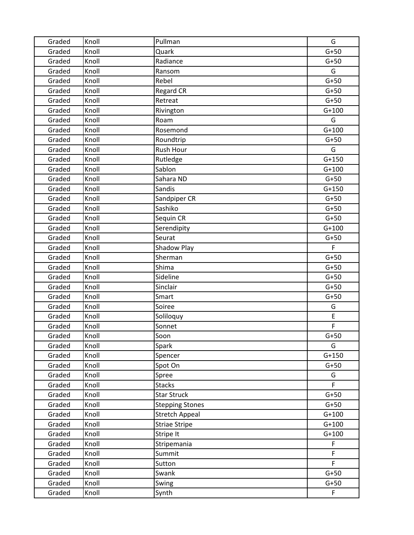| Graded | Knoll | Pullman                | G           |
|--------|-------|------------------------|-------------|
| Graded | Knoll | Quark                  | $G+50$      |
| Graded | Knoll | Radiance               | $G+50$      |
| Graded | Knoll | Ransom                 | G           |
| Graded | Knoll | Rebel                  | $G+50$      |
| Graded | Knoll | <b>Regard CR</b>       | $G+50$      |
| Graded | Knoll | Retreat                | $G+50$      |
| Graded | Knoll | Rivington              | $G+100$     |
| Graded | Knoll | Roam                   | G           |
| Graded | Knoll | Rosemond               | $G+100$     |
| Graded | Knoll | Roundtrip              | $G+50$      |
| Graded | Knoll | Rush Hour              | G           |
| Graded | Knoll | Rutledge               | $G+150$     |
| Graded | Knoll | Sablon                 | $G+100$     |
| Graded | Knoll | Sahara ND              | $G+50$      |
| Graded | Knoll | Sandis                 | $G+150$     |
| Graded | Knoll | Sandpiper CR           | $G+50$      |
| Graded | Knoll | Sashiko                | $G+50$      |
| Graded | Knoll | Sequin CR              | $G+50$      |
| Graded | Knoll | Serendipity            | $G+100$     |
| Graded | Knoll | Seurat                 | $G+50$      |
| Graded | Knoll | Shadow Play            | F           |
| Graded | Knoll | Sherman                | $G+50$      |
| Graded | Knoll | Shima                  | $G+50$      |
| Graded | Knoll | Sideline               | $G+50$      |
| Graded | Knoll | Sinclair               | $G+50$      |
| Graded | Knoll | Smart                  | $G+50$      |
| Graded | Knoll | Soiree                 | G           |
| Graded | Knoll | Soliloquy              | E           |
| Graded | Knoll | Sonnet                 | F           |
| Graded | Knoll | Soon                   | $G+50$      |
| Graded | Knoll | Spark                  | G           |
| Graded | Knoll | Spencer                | $G+150$     |
| Graded | Knoll | Spot On                | $G+50$      |
| Graded | Knoll | Spree                  | G           |
| Graded | Knoll | <b>Stacks</b>          | F.          |
| Graded | Knoll | <b>Star Struck</b>     | $G+50$      |
| Graded | Knoll | <b>Stepping Stones</b> | $G+50$      |
| Graded | Knoll | <b>Stretch Appeal</b>  | $G+100$     |
| Graded | Knoll | <b>Striae Stripe</b>   | $G+100$     |
| Graded | Knoll | Stripe It              | $G+100$     |
| Graded | Knoll | Stripemania            | $\mathsf F$ |
| Graded | Knoll | Summit                 | F           |
| Graded | Knoll | Sutton                 | F           |
| Graded | Knoll | Swank                  | $G+50$      |
| Graded | Knoll | Swing                  | $G+50$      |
| Graded | Knoll | Synth                  | F           |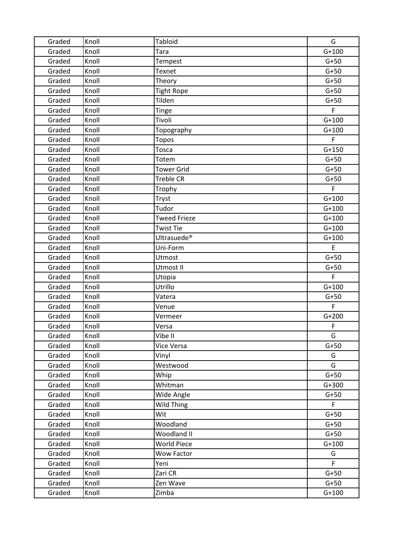| Graded | Knoll | <b>Tabloid</b>          | G       |
|--------|-------|-------------------------|---------|
| Graded | Knoll | Tara                    | $G+100$ |
| Graded | Knoll | Tempest                 | $G+50$  |
| Graded | Knoll | Texnet                  | $G+50$  |
| Graded | Knoll | Theory                  | $G+50$  |
| Graded | Knoll | <b>Tight Rope</b>       | $G+50$  |
| Graded | Knoll | Tilden                  | $G+50$  |
| Graded | Knoll | Tinge                   | F       |
| Graded | Knoll | Tivoli                  | $G+100$ |
| Graded | Knoll | Topography              | $G+100$ |
| Graded | Knoll | <b>Topos</b>            | F.      |
| Graded | Knoll | Tosca                   | $G+150$ |
| Graded | Knoll | Totem                   | $G+50$  |
| Graded | Knoll | <b>Tower Grid</b>       | $G+50$  |
| Graded | Knoll | <b>Treble CR</b>        | $G+50$  |
| Graded | Knoll | Trophy                  | F       |
| Graded | Knoll | Tryst                   | $G+100$ |
| Graded | Knoll | Tudor                   | $G+100$ |
| Graded | Knoll | <b>Tweed Frieze</b>     | $G+100$ |
| Graded | Knoll | <b>Twist Tie</b>        | $G+100$ |
| Graded | Knoll | Ultrasuede <sup>®</sup> | $G+100$ |
| Graded | Knoll | Uni-Form                | E       |
| Graded | Knoll | Utmost                  | $G+50$  |
| Graded | Knoll | Utmost II               | $G+50$  |
| Graded | Knoll | Utopia                  | F       |
| Graded | Knoll | Utrillo                 | $G+100$ |
| Graded | Knoll | Vatera                  | $G+50$  |
| Graded | Knoll | Venue                   | F.      |
| Graded | Knoll | Vermeer                 | $G+200$ |
| Graded | Knoll | Versa                   | F       |
| Graded | Knoll | Vibe II                 | G       |
| Graded | Knoll | Vice Versa              | $G+50$  |
| Graded | Knoll | Vinyl                   | G       |
| Graded | Knoll | Westwood                | G       |
| Graded | Knoll | Whip                    | $G+50$  |
| Graded | Knoll | Whitman                 | $G+300$ |
| Graded | Knoll | Wide Angle              | $G+50$  |
| Graded | Knoll | Wild Thing              | F       |
| Graded | Knoll | Wit                     | $G+50$  |
| Graded | Knoll | Woodland                | $G+50$  |
| Graded | Knoll | Woodland II             | $G+50$  |
| Graded | Knoll | <b>World Piece</b>      | $G+100$ |
| Graded | Knoll | Wow Factor              | G       |
| Graded | Knoll | Yeni                    | F       |
| Graded | Knoll | Zari CR                 | $G+50$  |
| Graded | Knoll | Zen Wave                | $G+50$  |
| Graded | Knoll | Zimba                   | $G+100$ |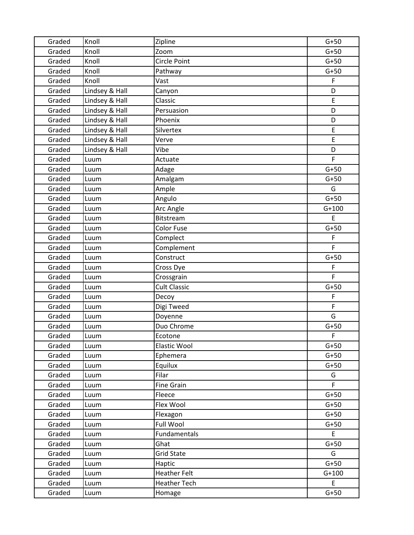| Graded | Knoll          | Zipline             | $G+50$       |
|--------|----------------|---------------------|--------------|
| Graded | Knoll          | Zoom                | $G+50$       |
| Graded | Knoll          | Circle Point        | $G+50$       |
| Graded | Knoll          | Pathway             | $G+50$       |
| Graded | Knoll          | Vast                | F            |
| Graded | Lindsey & Hall | Canyon              | D            |
| Graded | Lindsey & Hall | Classic             | E            |
| Graded | Lindsey & Hall | Persuasion          | D            |
| Graded | Lindsey & Hall | Phoenix             | D            |
| Graded | Lindsey & Hall | Silvertex           | E            |
| Graded | Lindsey & Hall | Verve               | E            |
| Graded | Lindsey & Hall | Vibe                | D            |
| Graded | Luum           | Actuate             | F            |
| Graded | Luum           | Adage               | $G+50$       |
| Graded | Luum           | Amalgam             | $G+50$       |
| Graded | Luum           | Ample               | G            |
| Graded | Luum           | Angulo              | $G+50$       |
| Graded | Luum           | Arc Angle           | $G+100$      |
| Graded | Luum           | Bitstream           | E            |
| Graded | Luum           | <b>Color Fuse</b>   | $G+50$       |
| Graded | Luum           | Complect            | F            |
| Graded | Luum           | Complement          | F            |
| Graded | Luum           | Construct           | $G+50$       |
| Graded | Luum           | Cross Dye           | F            |
| Graded | Luum           | Crossgrain          | F            |
| Graded | Luum           | <b>Cult Classic</b> | $G+50$       |
| Graded | Luum           | Decoy               | F            |
| Graded | Luum           | Digi Tweed          | $\mathsf{F}$ |
| Graded | Luum           | Doyenne             | G            |
| Graded | Luum           | Duo Chrome          | $G+50$       |
| Graded | Luum           | Ecotone             | F            |
| Graded | Luum           | Elastic Wool        | $G+50$       |
| Graded | Luum           | Ephemera            | $G+50$       |
| Graded | Luum           | Equilux             | $G+50$       |
| Graded | Luum           | Filar               | G            |
| Graded | Luum           | <b>Fine Grain</b>   | F            |
| Graded | Luum           | Fleece              | $G+50$       |
| Graded | Luum           | Flex Wool           | $G+50$       |
| Graded | Luum           | Flexagon            | $G+50$       |
| Graded | Luum           | Full Wool           | $G+50$       |
| Graded | Luum           | Fundamentals        | E            |
| Graded | Luum           | Ghat                | $G+50$       |
| Graded | Luum           | <b>Grid State</b>   | G            |
| Graded | Luum           | Haptic              | $G+50$       |
| Graded | Luum           | <b>Heather Felt</b> | $G+100$      |
| Graded | Luum           | <b>Heather Tech</b> | E.           |
| Graded | Luum           | Homage              | $G+50$       |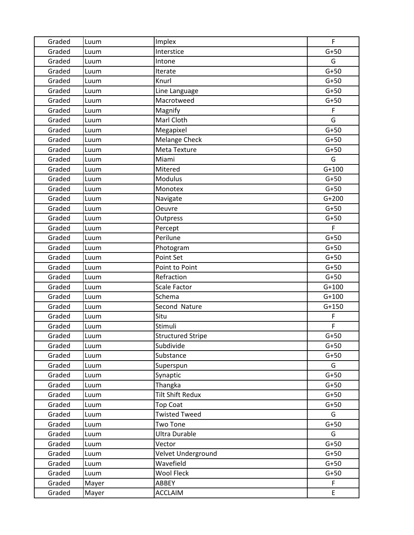| Graded | Luum  | Implex                   | F       |
|--------|-------|--------------------------|---------|
| Graded | Luum  | Interstice               | $G+50$  |
| Graded | Luum  | Intone                   | G       |
| Graded | Luum  | Iterate                  | $G+50$  |
| Graded | Luum  | Knurl                    | $G+50$  |
| Graded | Luum  | Line Language            | $G+50$  |
| Graded | Luum  | Macrotweed               | $G+50$  |
| Graded | Luum  | Magnify                  | F       |
| Graded | Luum  | Marl Cloth               | G       |
| Graded | Luum  | Megapixel                | $G+50$  |
| Graded | Luum  | <b>Melange Check</b>     | $G+50$  |
| Graded | Luum  | Meta Texture             | $G+50$  |
| Graded | Luum  | Miami                    | G       |
| Graded | Luum  | Mitered                  | $G+100$ |
| Graded | Luum  | Modulus                  | $G+50$  |
| Graded | Luum  | Monotex                  | $G+50$  |
| Graded | Luum  | Navigate                 | $G+200$ |
| Graded | Luum  | <b>Oeuvre</b>            | $G+50$  |
| Graded | Luum  | Outpress                 | $G+50$  |
| Graded | Luum  | Percept                  | F.      |
| Graded | Luum  | Perilune                 | $G+50$  |
| Graded | Luum  | Photogram                | $G+50$  |
| Graded | Luum  | Point Set                | $G+50$  |
| Graded | Luum  | Point to Point           | $G+50$  |
| Graded | Luum  | Refraction               | $G+50$  |
| Graded | Luum  | <b>Scale Factor</b>      | $G+100$ |
| Graded | Luum  | Schema                   | $G+100$ |
| Graded | Luum  | Second Nature            | $G+150$ |
| Graded | Luum  | Situ                     | F       |
| Graded | Luum  | Stimuli                  | F       |
| Graded | Luum  | <b>Structured Stripe</b> | $G+50$  |
| Graded | Luum  | Subdivide                | $G+50$  |
| Graded | Luum  | Substance                | $G+50$  |
| Graded | Luum  | Superspun                | G       |
| Graded | Luum  | Synaptic                 | $G+50$  |
| Graded | Luum  | Thangka                  | $G+50$  |
| Graded | Luum  | <b>Tilt Shift Redux</b>  | $G+50$  |
| Graded | Luum  | <b>Top Coat</b>          | $G+50$  |
| Graded | Luum  | <b>Twisted Tweed</b>     | G       |
| Graded | Luum  | <b>Two Tone</b>          | $G+50$  |
| Graded | Luum  | <b>Ultra Durable</b>     | G       |
| Graded | Luum  | Vector                   | $G+50$  |
| Graded | Luum  | Velvet Underground       | $G+50$  |
| Graded | Luum  | Wavefield                | $G+50$  |
| Graded | Luum  | <b>Wool Fleck</b>        | $G+50$  |
| Graded | Mayer | ABBEY                    | F       |
| Graded | Mayer | <b>ACCLAIM</b>           | E       |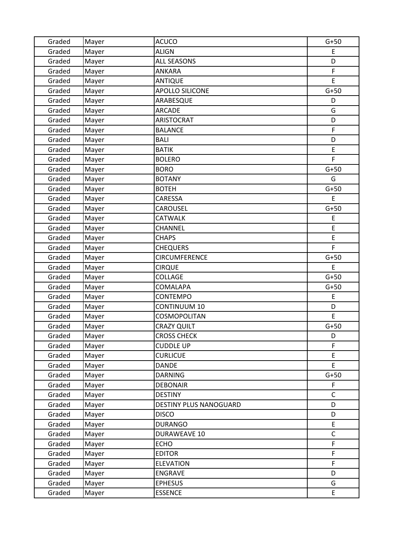| Graded | Mayer | <b>ACUCO</b>           | $G+50$      |
|--------|-------|------------------------|-------------|
| Graded | Mayer | <b>ALIGN</b>           | E           |
| Graded | Mayer | <b>ALL SEASONS</b>     | D           |
| Graded | Mayer | <b>ANKARA</b>          | F           |
| Graded | Mayer | <b>ANTIQUE</b>         | E           |
| Graded | Mayer | <b>APOLLO SILICONE</b> | $G+50$      |
| Graded | Mayer | ARABESQUE              | D           |
| Graded | Mayer | <b>ARCADE</b>          | G           |
| Graded | Mayer | ARISTOCRAT             | D           |
| Graded | Mayer | <b>BALANCE</b>         | F           |
| Graded | Mayer | <b>BALI</b>            | D           |
| Graded | Mayer | <b>BATIK</b>           | E           |
| Graded | Mayer | <b>BOLERO</b>          | F           |
| Graded | Mayer | <b>BORO</b>            | $G+50$      |
| Graded | Mayer | <b>BOTANY</b>          | G           |
| Graded | Mayer | <b>BOTEH</b>           | $G+50$      |
| Graded | Mayer | CARESSA                | E           |
| Graded | Mayer | CAROUSEL               | $G+50$      |
| Graded | Mayer | <b>CATWALK</b>         | E           |
| Graded | Mayer | CHANNEL                | E           |
| Graded | Mayer | <b>CHAPS</b>           | E           |
| Graded | Mayer | <b>CHEQUERS</b>        | F           |
| Graded | Mayer | <b>CIRCUMFERENCE</b>   | $G+50$      |
| Graded | Mayer | <b>CIRQUE</b>          | E           |
| Graded | Mayer | <b>COLLAGE</b>         | $G+50$      |
| Graded | Mayer | COMALAPA               | $G+50$      |
| Graded | Mayer | <b>CONTEMPO</b>        | E           |
| Graded | Mayer | <b>CONTINUUM 10</b>    | D           |
| Graded | Mayer | COSMOPOLITAN           | E           |
| Graded | Mayer | <b>CRAZY QUILT</b>     | $G+50$      |
| Graded | Mayer | <b>CROSS CHECK</b>     | D           |
| Graded | Mayer | <b>CUDDLE UP</b>       | F           |
| Graded | Mayer | <b>CURLICUE</b>        | E           |
| Graded | Mayer | DANDE                  | E           |
| Graded | Mayer | <b>DARNING</b>         | $G+50$      |
| Graded | Mayer | <b>DEBONAIR</b>        | F           |
| Graded | Mayer | <b>DESTINY</b>         | C           |
| Graded | Mayer | DESTINY PLUS NANOGUARD | D           |
| Graded | Mayer | <b>DISCO</b>           | D           |
| Graded | Mayer | <b>DURANGO</b>         | E           |
| Graded | Mayer | <b>DURAWEAVE 10</b>    | $\mathsf C$ |
| Graded | Mayer | <b>ECHO</b>            | F           |
| Graded | Mayer | <b>EDITOR</b>          | F           |
| Graded | Mayer | <b>ELEVATION</b>       | F           |
| Graded | Mayer | ENGRAVE                | D           |
| Graded | Mayer | <b>EPHESUS</b>         | G           |
| Graded | Mayer | <b>ESSENCE</b>         | E           |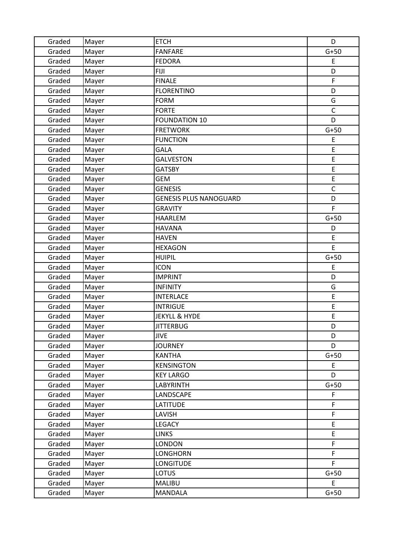| Graded | Mayer | <b>ETCH</b>                   | D           |
|--------|-------|-------------------------------|-------------|
| Graded | Mayer | <b>FANFARE</b>                | $G+50$      |
| Graded | Mayer | <b>FEDORA</b>                 | E           |
| Graded | Mayer | <b>FIJI</b>                   | D           |
| Graded | Mayer | <b>FINALE</b>                 | F           |
| Graded | Mayer | <b>FLORENTINO</b>             | D           |
| Graded | Mayer | <b>FORM</b>                   | G           |
| Graded | Mayer | <b>FORTE</b>                  | $\mathsf C$ |
| Graded | Mayer | <b>FOUNDATION 10</b>          | D           |
| Graded | Mayer | <b>FRETWORK</b>               | $G+50$      |
| Graded | Mayer | <b>FUNCTION</b>               | E           |
| Graded | Mayer | GALA                          | E           |
| Graded | Mayer | <b>GALVESTON</b>              | E           |
| Graded | Mayer | <b>GATSBY</b>                 | E           |
| Graded | Mayer | <b>GEM</b>                    | E           |
| Graded | Mayer | <b>GENESIS</b>                | $\mathsf C$ |
| Graded | Mayer | <b>GENESIS PLUS NANOGUARD</b> | D           |
| Graded | Mayer | <b>GRAVITY</b>                | F           |
| Graded | Mayer | <b>HAARLEM</b>                | $G+50$      |
| Graded | Mayer | <b>HAVANA</b>                 | D           |
| Graded | Mayer | <b>HAVEN</b>                  | E           |
| Graded | Mayer | <b>HEXAGON</b>                | E           |
| Graded | Mayer | <b>HUIPIL</b>                 | $G+50$      |
| Graded | Mayer | <b>ICON</b>                   | E           |
| Graded | Mayer | <b>IMPRINT</b>                | D           |
| Graded | Mayer | <b>INFINITY</b>               | G           |
| Graded | Mayer | <b>INTERLACE</b>              | E           |
| Graded | Mayer | <b>INTRIGUE</b>               | E           |
| Graded | Mayer | <b>JEKYLL &amp; HYDE</b>      | E           |
| Graded | Mayer | <b>JITTERBUG</b>              | D           |
| Graded | Mayer | <b>JIVE</b>                   | D           |
| Graded | Mayer | <b>JOURNEY</b>                | D           |
| Graded | Mayer | <b>KANTHA</b>                 | $G+50$      |
| Graded | Mayer | <b>KENSINGTON</b>             | E           |
| Graded | Mayer | <b>KEY LARGO</b>              | D           |
| Graded | Mayer | <b>LABYRINTH</b>              | $G+50$      |
| Graded | Mayer | LANDSCAPE                     | F           |
| Graded | Mayer | LATITUDE                      | F           |
| Graded | Mayer | LAVISH                        | $\mathsf F$ |
| Graded | Mayer | LEGACY                        | E           |
| Graded | Mayer | <b>LINKS</b>                  | E           |
| Graded | Mayer | <b>LONDON</b>                 | F           |
| Graded | Mayer | LONGHORN                      | F           |
| Graded | Mayer | <b>LONGITUDE</b>              | F           |
| Graded | Mayer | <b>LOTUS</b>                  | $G+50$      |
| Graded | Mayer | MALIBU                        | E           |
| Graded | Mayer | <b>MANDALA</b>                | $G+50$      |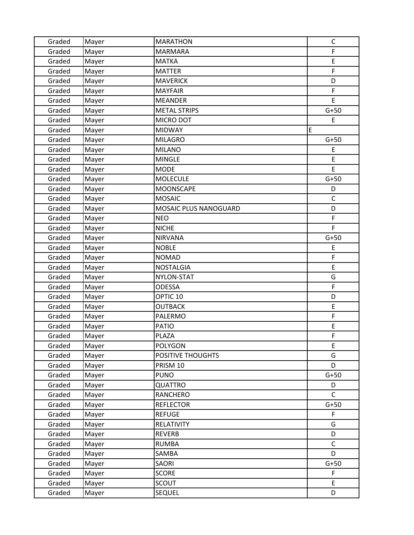| Graded | Mayer | <b>MARATHON</b>       | $\mathsf C$  |
|--------|-------|-----------------------|--------------|
| Graded | Mayer | <b>MARMARA</b>        | F            |
| Graded | Mayer | <b>MATKA</b>          | E            |
| Graded | Mayer | <b>MATTER</b>         | F            |
| Graded | Mayer | <b>MAVERICK</b>       | D            |
| Graded | Mayer | <b>MAYFAIR</b>        | F            |
| Graded | Mayer | <b>MEANDER</b>        | E            |
| Graded | Mayer | <b>METAL STRIPS</b>   | $G+50$       |
| Graded | Mayer | MICRO DOT             | E            |
| Graded | Mayer | <b>MIDWAY</b>         | E            |
| Graded | Mayer | <b>MILAGRO</b>        | $G+50$       |
| Graded | Mayer | <b>MILANO</b>         | E            |
| Graded | Mayer | <b>MINGLE</b>         | E            |
| Graded | Mayer | <b>MODE</b>           | E            |
| Graded | Mayer | <b>MOLECULE</b>       | $G+50$       |
| Graded | Mayer | <b>MOONSCAPE</b>      | D            |
| Graded | Mayer | <b>MOSAIC</b>         | $\mathsf{C}$ |
| Graded | Mayer | MOSAIC PLUS NANOGUARD | D            |
| Graded | Mayer | <b>NEO</b>            | $\mathsf F$  |
| Graded | Mayer | <b>NICHE</b>          | $\mathsf F$  |
| Graded | Mayer | <b>NIRVANA</b>        | $G+50$       |
| Graded | Mayer | <b>NOBLE</b>          | E            |
| Graded | Mayer | <b>NOMAD</b>          | F            |
| Graded | Mayer | <b>NOSTALGIA</b>      | E            |
| Graded | Mayer | NYLON-STAT            | G            |
| Graded | Mayer | <b>ODESSA</b>         | $\mathsf F$  |
| Graded | Mayer | OPTIC <sub>10</sub>   | D            |
| Graded | Mayer | <b>OUTBACK</b>        | E            |
| Graded | Mayer | PALERMO               | F            |
| Graded | Mayer | <b>PATIO</b>          | E            |
| Graded | Mayer | PLAZA                 | F            |
| Graded | Mayer | POLYGON               | E            |
| Graded | Mayer | POSITIVE THOUGHTS     | G            |
| Graded | Mayer | PRISM 10              | D            |
| Graded | Mayer | <b>PUNO</b>           | $G+50$       |
| Graded | Mayer | QUATTRO               | D            |
| Graded | Mayer | RANCHERO              | $\mathsf{C}$ |
| Graded | Mayer | <b>REFLECTOR</b>      | $G+50$       |
| Graded | Mayer | <b>REFUGE</b>         | $\mathsf F$  |
| Graded | Mayer | RELATIVITY            | G            |
| Graded | Mayer | <b>REVERB</b>         | D            |
| Graded | Mayer | <b>RUMBA</b>          | $\mathsf{C}$ |
| Graded | Mayer | SAMBA                 | D            |
| Graded | Mayer | SAORI                 | $G+50$       |
| Graded | Mayer | <b>SCORE</b>          | F            |
| Graded | Mayer | <b>SCOUT</b>          | E            |
| Graded | Mayer | <b>SEQUEL</b>         | D            |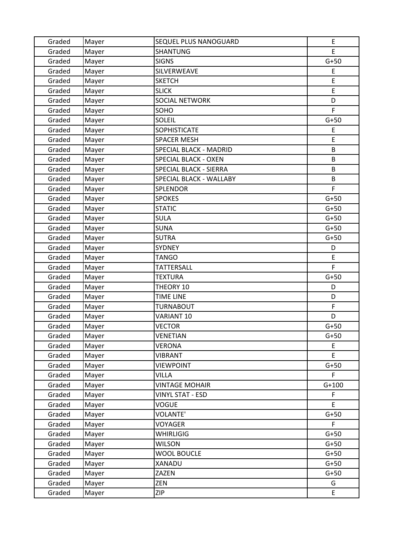| Graded | Mayer | SEQUEL PLUS NANOGUARD   | E       |
|--------|-------|-------------------------|---------|
| Graded | Mayer | <b>SHANTUNG</b>         | E       |
| Graded | Mayer | <b>SIGNS</b>            | $G+50$  |
| Graded | Mayer | SILVERWEAVE             | E       |
| Graded | Mayer | <b>SKETCH</b>           | E       |
| Graded | Mayer | <b>SLICK</b>            | E       |
| Graded | Mayer | <b>SOCIAL NETWORK</b>   | D       |
| Graded | Mayer | SOHO                    | F       |
| Graded | Mayer | <b>SOLEIL</b>           | $G+50$  |
| Graded | Mayer | <b>SOPHISTICATE</b>     | E       |
| Graded | Mayer | <b>SPACER MESH</b>      | E       |
| Graded | Mayer | SPECIAL BLACK - MADRID  | B       |
| Graded | Mayer | SPECIAL BLACK - OXEN    | B       |
| Graded | Mayer | SPECIAL BLACK - SIERRA  | B       |
| Graded | Mayer | SPECIAL BLACK - WALLABY | B       |
| Graded | Mayer | SPLENDOR                | F       |
| Graded | Mayer | <b>SPOKES</b>           | $G+50$  |
| Graded | Mayer | <b>STATIC</b>           | $G+50$  |
| Graded | Mayer | <b>SULA</b>             | $G+50$  |
| Graded | Mayer | <b>SUNA</b>             | $G+50$  |
| Graded | Mayer | <b>SUTRA</b>            | $G+50$  |
| Graded | Mayer | <b>SYDNEY</b>           | D       |
| Graded | Mayer | <b>TANGO</b>            | E       |
| Graded | Mayer | <b>TATTERSALL</b>       | F       |
| Graded | Mayer | <b>TEXTURA</b>          | $G+50$  |
| Graded | Mayer | THEORY 10               | D       |
| Graded | Mayer | <b>TIME LINE</b>        | D       |
| Graded | Mayer | <b>TURNABOUT</b>        | F       |
| Graded | Mayer | VARIANT <sub>10</sub>   | D       |
| Graded | Mayer | <b>VECTOR</b>           | $G+50$  |
| Graded | Mayer | <b>VENETIAN</b>         | $G+50$  |
| Graded | Mayer | VERONA                  | E       |
| Graded | Mayer | <b>VIBRANT</b>          | E       |
| Graded | Mayer | <b>VIEWPOINT</b>        | $G+50$  |
| Graded | Mayer | <b>VILLA</b>            | F       |
| Graded | Mayer | <b>VINTAGE MOHAIR</b>   | $G+100$ |
| Graded | Mayer | <b>VINYL STAT - ESD</b> | F       |
| Graded | Mayer | <b>VOGUE</b>            | E       |
| Graded | Mayer | <b>VOLANTE'</b>         | $G+50$  |
| Graded | Mayer | VOYAGER                 | F       |
| Graded | Mayer | <b>WHIRLIGIG</b>        | $G+50$  |
| Graded | Mayer | <b>WILSON</b>           | $G+50$  |
| Graded | Mayer | <b>WOOL BOUCLE</b>      | $G+50$  |
| Graded | Mayer | XANADU                  | $G+50$  |
| Graded | Mayer | ZAZEN                   | $G+50$  |
| Graded | Mayer | ZEN                     | G       |
| Graded | Mayer | <b>ZIP</b>              | E       |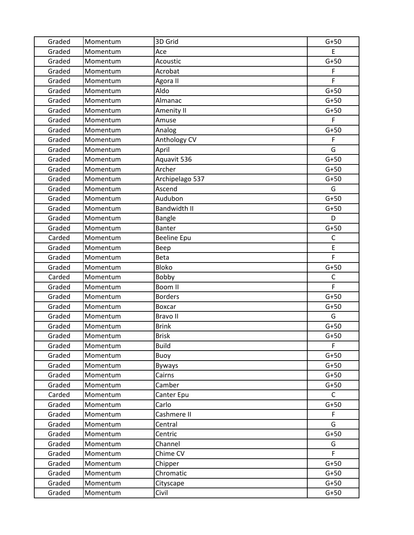| Graded | Momentum | 3D Grid             | $G+50$      |
|--------|----------|---------------------|-------------|
| Graded | Momentum | Ace                 | E           |
| Graded | Momentum | Acoustic            | $G+50$      |
| Graded | Momentum | Acrobat             | F           |
| Graded | Momentum | Agora II            | F           |
| Graded | Momentum | Aldo                | $G+50$      |
| Graded | Momentum | Almanac             | $G+50$      |
| Graded | Momentum | Amenity II          | $G+50$      |
| Graded | Momentum | Amuse               | F           |
| Graded | Momentum | Analog              | $G+50$      |
| Graded | Momentum | Anthology CV        | F           |
| Graded | Momentum | April               | G           |
| Graded | Momentum | Aquavit 536         | $G+50$      |
| Graded | Momentum | Archer              | $G+50$      |
| Graded | Momentum | Archipelago 537     | $G+50$      |
| Graded | Momentum | Ascend              | G           |
| Graded | Momentum | Audubon             | $G+50$      |
| Graded | Momentum | <b>Bandwidth II</b> | $G+50$      |
| Graded | Momentum | <b>Bangle</b>       | D           |
| Graded | Momentum | <b>Banter</b>       | $G+50$      |
| Carded | Momentum | <b>Beeline Epu</b>  | $\mathsf C$ |
| Graded | Momentum | Beep                | E           |
| Graded | Momentum | <b>Beta</b>         | F           |
| Graded | Momentum | <b>Bloko</b>        | $G+50$      |
| Carded | Momentum | Bobby               | C           |
| Graded | Momentum | Boom II             | F           |
| Graded | Momentum | <b>Borders</b>      | $G+50$      |
| Graded | Momentum | <b>Boxcar</b>       | $G+50$      |
| Graded | Momentum | <b>Bravo II</b>     | G           |
| Graded | Momentum | <b>Brink</b>        | $G+50$      |
| Graded | Momentum | <b>Brisk</b>        | $G+50$      |
| Graded | Momentum | <b>Build</b>        | F           |
| Graded | Momentum | Buoy                | $G+50$      |
| Graded | Momentum | <b>Byways</b>       | $G+50$      |
| Graded | Momentum | Cairns              | $G+50$      |
| Graded | Momentum | Camber              | $G+50$      |
| Carded | Momentum | Canter Epu          | C           |
| Graded | Momentum | Carlo               | $G+50$      |
| Graded | Momentum | Cashmere II         | F           |
| Graded | Momentum | Central             | G           |
| Graded | Momentum | Centric             | $G+50$      |
| Graded | Momentum | Channel             | G           |
| Graded | Momentum | Chime CV            | F           |
| Graded | Momentum | Chipper             | $G+50$      |
| Graded | Momentum | Chromatic           | $G+50$      |
| Graded | Momentum | Cityscape           | $G+50$      |
| Graded | Momentum | Civil               | $G+50$      |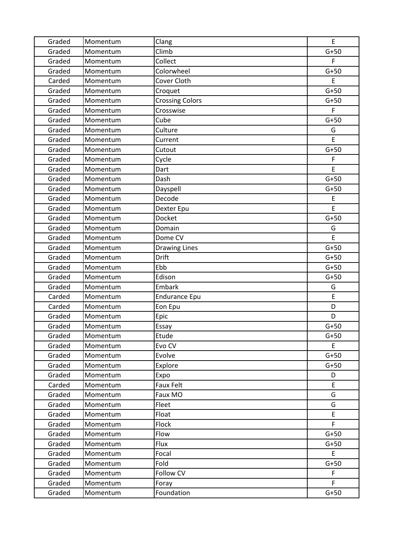| Graded | Momentum | Clang                  | E           |
|--------|----------|------------------------|-------------|
| Graded | Momentum | Climb                  | $G+50$      |
| Graded | Momentum | Collect                | F           |
| Graded | Momentum | Colorwheel             | $G+50$      |
| Carded | Momentum | Cover Cloth            | E           |
| Graded | Momentum | Croquet                | $G+50$      |
| Graded | Momentum | <b>Crossing Colors</b> | $G+50$      |
| Graded | Momentum | Crosswise              | F           |
| Graded | Momentum | Cube                   | $G+50$      |
| Graded | Momentum | Culture                | G           |
| Graded | Momentum | Current                | E           |
| Graded | Momentum | Cutout                 | $G+50$      |
| Graded | Momentum | Cycle                  | F           |
| Graded | Momentum | Dart                   | E           |
| Graded | Momentum | Dash                   | $G+50$      |
| Graded | Momentum | Dayspell               | $G+50$      |
| Graded | Momentum | Decode                 | E           |
| Graded | Momentum | Dexter Epu             | E           |
| Graded | Momentum | Docket                 | $G+50$      |
| Graded | Momentum | Domain                 | G           |
| Graded | Momentum | Dome CV                | E.          |
| Graded | Momentum | <b>Drawing Lines</b>   | $G+50$      |
| Graded | Momentum | <b>Drift</b>           | $G+50$      |
| Graded | Momentum | Ebb                    | $G+50$      |
| Graded | Momentum | Edison                 | $G+50$      |
| Graded | Momentum | Embark                 | G           |
| Carded | Momentum | <b>Endurance Epu</b>   | $\mathsf E$ |
| Carded | Momentum | Eon Epu                | D           |
| Graded | Momentum | Epic                   | D           |
| Graded | Momentum | Essay                  | $G+50$      |
| Graded | Momentum | Etude                  | $G+50$      |
| Graded | Momentum | Evo CV                 | E           |
| Graded | Momentum | Evolve                 | $G+50$      |
| Graded | Momentum | Explore                | $G+50$      |
| Graded | Momentum | Expo                   | D           |
| Carded | Momentum | <b>Faux Felt</b>       | E           |
| Graded | Momentum | Faux MO                | G           |
| Graded | Momentum | Fleet                  | G           |
| Graded | Momentum | Float                  | E           |
| Graded | Momentum | Flock                  | F.          |
| Graded | Momentum | Flow                   | $G+50$      |
| Graded | Momentum | Flux                   | $G+50$      |
| Graded | Momentum | Focal                  | E           |
| Graded | Momentum | Fold                   | $G+50$      |
| Graded | Momentum | Follow CV              | F           |
| Graded | Momentum | Foray                  | F.          |
| Graded | Momentum | Foundation             | $G+50$      |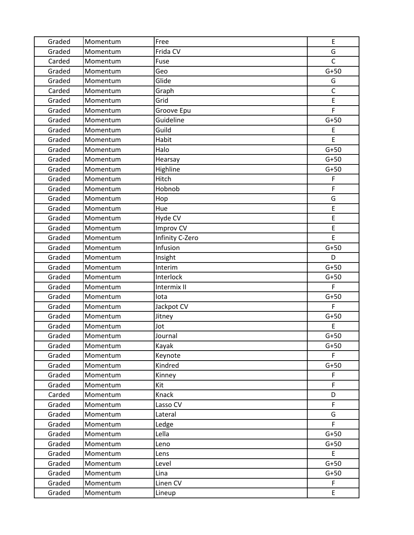| Graded | Momentum | Free            | E            |
|--------|----------|-----------------|--------------|
| Graded | Momentum | Frida CV        | G            |
| Carded | Momentum | Fuse            | $\mathsf C$  |
| Graded | Momentum | Geo             | $G+50$       |
| Graded | Momentum | Glide           | G            |
| Carded | Momentum | Graph           | $\mathsf{C}$ |
| Graded | Momentum | Grid            | E            |
| Graded | Momentum | Groove Epu      | F            |
| Graded | Momentum | Guideline       | $G+50$       |
| Graded | Momentum | Guild           | E            |
| Graded | Momentum | Habit           | E            |
| Graded | Momentum | Halo            | $G+50$       |
| Graded | Momentum | Hearsay         | $G+50$       |
| Graded | Momentum | Highline        | $G+50$       |
| Graded | Momentum | Hitch           | F            |
| Graded | Momentum | Hobnob          | F            |
| Graded | Momentum | Hop             | G            |
| Graded | Momentum | Hue             | E            |
| Graded | Momentum | Hyde CV         | E            |
| Graded | Momentum | Improv CV       | E            |
| Graded | Momentum | Infinity C-Zero | E            |
| Graded | Momentum | Infusion        | $G+50$       |
| Graded | Momentum | Insight         | D            |
| Graded | Momentum | Interim         | $G+50$       |
| Graded | Momentum | Interlock       | $G+50$       |
| Graded | Momentum | Intermix II     | F            |
| Graded | Momentum | lota            | $G+50$       |
| Graded | Momentum | Jackpot CV      | F            |
| Graded | Momentum | Jitney          | $G+50$       |
| Graded | Momentum | Jot             | E            |
| Graded | Momentum | Journal         | $G+50$       |
| Graded | Momentum | Kayak           | $G+50$       |
| Graded | Momentum | Keynote         | F.           |
| Graded | Momentum | Kindred         | $G+50$       |
| Graded | Momentum | Kinney          | F            |
| Graded | Momentum | Kit             | F            |
| Carded | Momentum | Knack           | D            |
| Graded | Momentum | Lasso CV        | F            |
| Graded | Momentum | Lateral         | G            |
| Graded | Momentum | Ledge           | F            |
| Graded | Momentum | Lella           | $G+50$       |
| Graded | Momentum | Leno            | $G+50$       |
| Graded | Momentum | Lens            | E            |
| Graded | Momentum | Level           | $G+50$       |
| Graded | Momentum | Lina            | $G+50$       |
| Graded | Momentum | Linen CV        | F            |
| Graded | Momentum | Lineup          | E            |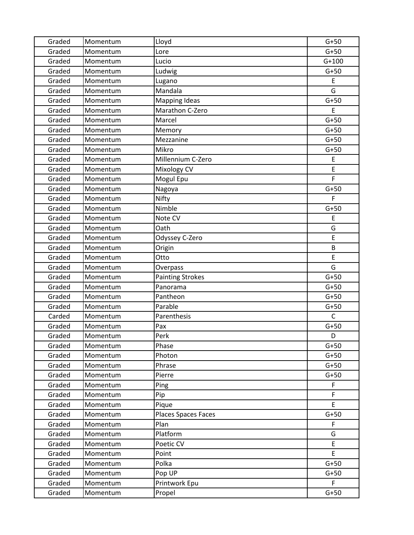| Graded | Momentum | Lloyd                   | $G+50$       |
|--------|----------|-------------------------|--------------|
| Graded | Momentum | Lore                    | $G+50$       |
| Graded | Momentum | Lucio                   | $G+100$      |
| Graded | Momentum | Ludwig                  | $G+50$       |
| Graded | Momentum | Lugano                  | E            |
| Graded | Momentum | Mandala                 | G            |
| Graded | Momentum | <b>Mapping Ideas</b>    | $G+50$       |
| Graded | Momentum | Marathon C-Zero         | E            |
| Graded | Momentum | Marcel                  | $G+50$       |
| Graded | Momentum | Memory                  | $G+50$       |
| Graded | Momentum | Mezzanine               | $G+50$       |
| Graded | Momentum | Mikro                   | $G+50$       |
| Graded | Momentum | Millennium C-Zero       | E            |
| Graded | Momentum | Mixology CV             | E            |
| Graded | Momentum | Mogul Epu               | F            |
| Graded | Momentum | Nagoya                  | $G+50$       |
| Graded | Momentum | Nifty                   | F            |
| Graded | Momentum | Nimble                  | $G+50$       |
| Graded | Momentum | Note CV                 | E            |
| Graded | Momentum | Oath                    | G            |
| Graded | Momentum | Odyssey C-Zero          | E            |
| Graded | Momentum | Origin                  | B            |
| Graded | Momentum | Otto                    | E            |
| Graded | Momentum | Overpass                | G            |
| Graded | Momentum | <b>Painting Strokes</b> | $G+50$       |
| Graded | Momentum | Panorama                | $G+50$       |
| Graded | Momentum | Pantheon                | $G+50$       |
| Graded | Momentum | Parable                 | $G+50$       |
| Carded | Momentum | Parenthesis             | $\mathsf{C}$ |
| Graded | Momentum | Pax                     | $G+50$       |
| Graded | Momentum | Perk                    | D            |
| Graded | Momentum | Phase                   | $G+50$       |
| Graded | Momentum | Photon                  | $G+50$       |
| Graded | Momentum | Phrase                  | $G+50$       |
| Graded | Momentum | Pierre                  | $G+50$       |
| Graded | Momentum | Ping                    | F            |
| Graded | Momentum | Pip                     | F            |
| Graded | Momentum | Pique                   | E            |
| Graded | Momentum | Places Spaces Faces     | $G+50$       |
| Graded | Momentum | Plan                    | F            |
| Graded | Momentum | Platform                | G            |
| Graded | Momentum | Poetic CV               | E            |
| Graded | Momentum | Point                   | E            |
| Graded | Momentum | Polka                   | $G+50$       |
| Graded | Momentum | Pop UP                  | $G+50$       |
| Graded | Momentum | Printwork Epu           | F.           |
| Graded | Momentum | Propel                  | $G+50$       |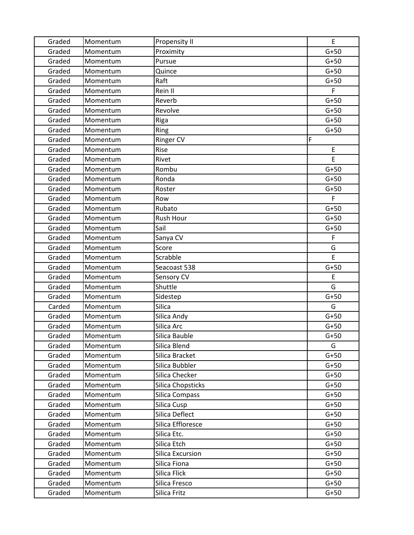| Graded | Momentum | Propensity II           | E           |
|--------|----------|-------------------------|-------------|
| Graded | Momentum | Proximity               | $G+50$      |
| Graded | Momentum | Pursue                  | $G+50$      |
| Graded | Momentum | Quince                  | $G+50$      |
| Graded | Momentum | Raft                    | $G+50$      |
| Graded | Momentum | Rein II                 | F           |
| Graded | Momentum | Reverb                  | $G+50$      |
| Graded | Momentum | Revolve                 | $G+50$      |
| Graded | Momentum | Riga                    | $G+50$      |
| Graded | Momentum | Ring                    | $G+50$      |
| Graded | Momentum | <b>Ringer CV</b>        | F           |
| Graded | Momentum | Rise                    | E           |
| Graded | Momentum | Rivet                   | E           |
| Graded | Momentum | Rombu                   | $G+50$      |
| Graded | Momentum | Ronda                   | $G+50$      |
| Graded | Momentum | Roster                  | $G+50$      |
| Graded | Momentum | Row                     | F           |
| Graded | Momentum | Rubato                  | $G+50$      |
| Graded | Momentum | Rush Hour               | $G+50$      |
| Graded | Momentum | Sail                    | $G+50$      |
| Graded | Momentum | Sanya CV                | $\mathsf F$ |
| Graded | Momentum | Score                   | G           |
| Graded | Momentum | Scrabble                | E           |
| Graded | Momentum | Seacoast 538            | $G+50$      |
| Graded | Momentum | Sensory CV              | E           |
| Graded | Momentum | Shuttle                 | G           |
| Graded | Momentum | Sidestep                | $G+50$      |
| Carded | Momentum | Silica                  | G           |
| Graded | Momentum | Silica Andy             | $G+50$      |
| Graded | Momentum | Silica Arc              | $G+50$      |
| Graded | Momentum | Silica Bauble           | $G+50$      |
| Graded | Momentum | Silica Blend            | G           |
| Graded | Momentum | Silica Bracket          | $G+50$      |
| Graded | Momentum | Silica Bubbler          | $G+50$      |
| Graded | Momentum | Silica Checker          | $G+50$      |
| Graded | Momentum | Silica Chopsticks       | $G+50$      |
| Graded | Momentum | Silica Compass          | $G+50$      |
| Graded | Momentum | Silica Cusp             | $G+50$      |
| Graded | Momentum | Silica Deflect          | $G+50$      |
| Graded | Momentum | Silica Effloresce       | $G+50$      |
| Graded | Momentum | Silica Etc.             | $G+50$      |
| Graded | Momentum | Silica Etch             | $G+50$      |
| Graded | Momentum | <b>Silica Excursion</b> | $G+50$      |
| Graded | Momentum | Silica Fiona            | $G+50$      |
| Graded | Momentum | Silica Flick            | $G+50$      |
| Graded | Momentum | Silica Fresco           | $G+50$      |
| Graded | Momentum | Silica Fritz            | $G+50$      |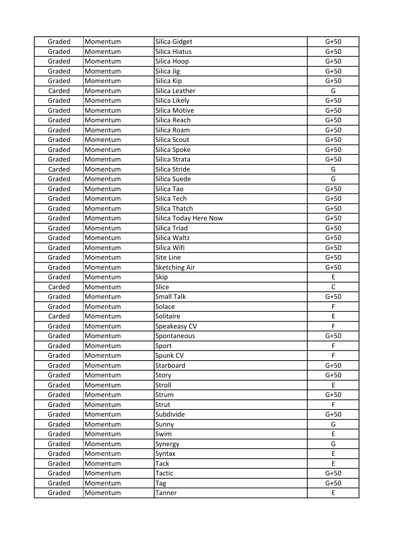| Graded | Momentum | Silica Gidget         | $G+50$       |
|--------|----------|-----------------------|--------------|
| Graded | Momentum | Silica Hiatus         | $G+50$       |
| Graded | Momentum | Silica Hoop           | $G+50$       |
| Graded | Momentum | Silica Jig            | $G+50$       |
| Graded | Momentum | Silica Kip            | $G+50$       |
| Carded | Momentum | Silica Leather        | G            |
| Graded | Momentum | Silica Likely         | $G+50$       |
| Graded | Momentum | Silica Motive         | $G+50$       |
| Graded | Momentum | Silica Reach          | $G+50$       |
| Graded | Momentum | Silica Roam           | $G+50$       |
| Graded | Momentum | Silica Scout          | $G+50$       |
| Graded | Momentum | Silica Spoke          | $G+50$       |
| Graded | Momentum | Silica Strata         | $G+50$       |
| Carded | Momentum | Silica Stride         | G            |
| Graded | Momentum | Silica Suede          | G            |
| Graded | Momentum | Silica Tao            | $G+50$       |
| Graded | Momentum | Silica Tech           | $G+50$       |
| Graded | Momentum | Silica Thatch         | $G+50$       |
| Graded | Momentum | Silica Today Here Now | $G+50$       |
| Graded | Momentum | Silica Triad          | $G+50$       |
| Graded | Momentum | Silica Waltz          | $G+50$       |
| Graded | Momentum | Silica Wifi           | $G+50$       |
| Graded | Momentum | Site Line             | $G+50$       |
| Graded | Momentum | Sketching Air         | $G+50$       |
| Graded | Momentum | Skip                  | E            |
| Carded | Momentum | Slice                 | $\mathsf{C}$ |
| Graded | Momentum | <b>Small Talk</b>     | $G+50$       |
| Graded | Momentum | Solace                | F            |
| Carded | Momentum | Solitaire             | E            |
| Graded | Momentum | Speakeasy CV          | F            |
| Graded | Momentum | Spontaneous           | $G+50$       |
| Graded | Momentum | Sport                 | F            |
| Graded | Momentum | Spunk CV              | F            |
| Graded | Momentum | Starboard             | $G+50$       |
| Graded | Momentum | Story                 | $G+50$       |
| Graded | Momentum | Stroll                | E            |
| Graded | Momentum | Strum                 | $G+50$       |
| Graded | Momentum | Strut                 | F            |
| Graded | Momentum | Subdivide             | $G+50$       |
| Graded | Momentum | Sunny                 | G            |
| Graded | Momentum | Swim                  | E            |
| Graded | Momentum | Synergy               | G            |
| Graded | Momentum | Syntax                | E            |
| Graded | Momentum | Tack                  | E            |
| Graded | Momentum | Tactic                | $G+50$       |
| Graded | Momentum | Tag                   | $G+50$       |
| Graded | Momentum | Tanner                | E            |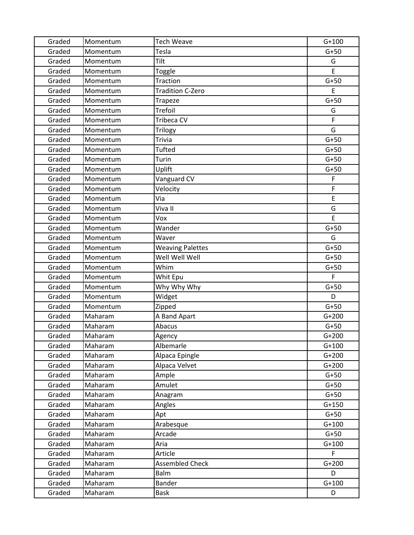| Graded | Momentum | <b>Tech Weave</b>       | $G+100$       |
|--------|----------|-------------------------|---------------|
| Graded | Momentum | Tesla                   | $G+50$        |
| Graded | Momentum | Tilt                    | G             |
| Graded | Momentum | Toggle                  | E             |
| Graded | Momentum | Traction                | $G+50$        |
| Graded | Momentum | <b>Tradition C-Zero</b> | E             |
| Graded | Momentum | Trapeze                 | $G+50$        |
| Graded | Momentum | <b>Trefoil</b>          | G             |
| Graded | Momentum | Tribeca CV              | F             |
| Graded | Momentum | <b>Trilogy</b>          | G             |
| Graded | Momentum | <b>Trivia</b>           | $G+50$        |
| Graded | Momentum | <b>Tufted</b>           | $G+50$        |
| Graded | Momentum | Turin                   | $G+50$        |
| Graded | Momentum | Uplift                  | $G+50$        |
| Graded | Momentum | Vanguard CV             | F             |
| Graded | Momentum | Velocity                | F             |
| Graded | Momentum | Via                     | E             |
| Graded | Momentum | Viva II                 | G             |
| Graded | Momentum | Vox                     | E             |
| Graded | Momentum | Wander                  | $G+50$        |
| Graded | Momentum | Waver                   | G             |
| Graded | Momentum | <b>Weaving Palettes</b> | $G+50$        |
| Graded | Momentum | Well Well Well          | $G+50$        |
| Graded | Momentum | Whim                    | $G+50$        |
| Graded | Momentum | Whit Epu                | F             |
| Graded | Momentum | Why Why Why             | $G+50$        |
| Graded | Momentum | Widget                  | D             |
| Graded | Momentum | Zipped                  | $G+50$        |
| Graded | Maharam  | A Band Apart            | $G+200$       |
| Graded | Maharam  | Abacus                  | $G+50$        |
| Graded | Maharam  | Agency                  | $G+200$       |
| Graded | Maharam  | Albemarle               | $G+100$       |
| Graded | Maharam  | Alpaca Epingle          | $G+200$       |
| Graded | Maharam  | Alpaca Velvet           | $G+200$       |
| Graded | Maharam  | Ample                   | $G+50$        |
| Graded | Maharam  | Amulet                  | $G+50$        |
| Graded | Maharam  | Anagram                 | $G+50$        |
| Graded | Maharam  | Angles                  | $G+150$       |
| Graded | Maharam  | Apt                     | $G+50$        |
| Graded | Maharam  | Arabesque               | $G+100$       |
| Graded | Maharam  | Arcade                  | $G+50$        |
| Graded | Maharam  | Aria                    | $G+100$<br>F. |
| Graded | Maharam  | Article                 |               |
| Graded | Maharam  | <b>Assembled Check</b>  | $G+200$       |
| Graded | Maharam  | Balm                    | D             |
| Graded | Maharam  | <b>Bander</b>           | $G+100$       |
| Graded | Maharam  | <b>Bask</b>             | D             |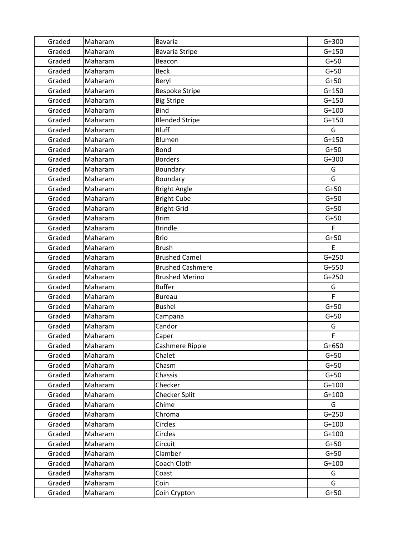| Graded | Maharam | <b>Bavaria</b>          | $G+300$ |
|--------|---------|-------------------------|---------|
| Graded | Maharam | <b>Bavaria Stripe</b>   | $G+150$ |
| Graded | Maharam | Beacon                  | $G+50$  |
| Graded | Maharam | <b>Beck</b>             | $G+50$  |
| Graded | Maharam | Beryl                   | $G+50$  |
| Graded | Maharam | <b>Bespoke Stripe</b>   | $G+150$ |
| Graded | Maharam | <b>Big Stripe</b>       | $G+150$ |
| Graded | Maharam | <b>Bind</b>             | $G+100$ |
| Graded | Maharam | <b>Blended Stripe</b>   | $G+150$ |
| Graded | Maharam | <b>Bluff</b>            | G       |
| Graded | Maharam | Blumen                  | $G+150$ |
| Graded | Maharam | Bond                    | $G+50$  |
| Graded | Maharam | <b>Borders</b>          | $G+300$ |
| Graded | Maharam | Boundary                | G       |
| Graded | Maharam | Boundary                | G       |
| Graded | Maharam | <b>Bright Angle</b>     | $G+50$  |
| Graded | Maharam | <b>Bright Cube</b>      | $G+50$  |
| Graded | Maharam | <b>Bright Grid</b>      | $G+50$  |
| Graded | Maharam | <b>Brim</b>             | $G+50$  |
| Graded | Maharam | <b>Brindle</b>          | F       |
| Graded | Maharam | <b>Brio</b>             | $G+50$  |
| Graded | Maharam | <b>Brush</b>            | E       |
| Graded | Maharam | <b>Brushed Camel</b>    | $G+250$ |
| Graded | Maharam | <b>Brushed Cashmere</b> | $G+550$ |
| Graded | Maharam | <b>Brushed Merino</b>   | $G+250$ |
| Graded | Maharam | <b>Buffer</b>           | G       |
| Graded | Maharam | <b>Bureau</b>           | F       |
| Graded | Maharam | <b>Bushel</b>           | $G+50$  |
| Graded | Maharam | Campana                 | $G+50$  |
| Graded | Maharam | Candor                  | G       |
| Graded | Maharam | Caper                   | F       |
| Graded | Maharam | Cashmere Ripple         | $G+650$ |
| Graded | Maharam | Chalet                  | $G+50$  |
| Graded | Maharam | Chasm                   | $G+50$  |
| Graded | Maharam | Chassis                 | $G+50$  |
| Graded | Maharam | Checker                 | $G+100$ |
| Graded | Maharam | <b>Checker Split</b>    | $G+100$ |
| Graded | Maharam | Chime                   | G       |
| Graded | Maharam | Chroma                  | $G+250$ |
| Graded | Maharam | Circles                 | $G+100$ |
| Graded | Maharam | Circles                 | $G+100$ |
| Graded | Maharam | Circuit                 | $G+50$  |
| Graded | Maharam | Clamber                 | $G+50$  |
| Graded | Maharam | Coach Cloth             | $G+100$ |
| Graded | Maharam | Coast                   | G       |
| Graded | Maharam | Coin                    | G       |
| Graded | Maharam | Coin Crypton            | $G+50$  |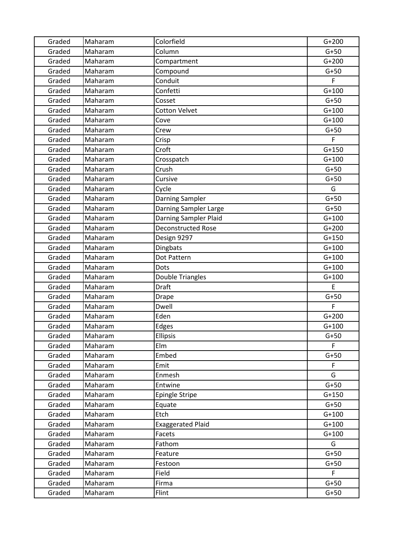| Graded | Maharam | Colorfield                | $G+200$ |
|--------|---------|---------------------------|---------|
| Graded | Maharam | Column                    | $G+50$  |
| Graded | Maharam | Compartment               | $G+200$ |
| Graded | Maharam | Compound                  | $G+50$  |
| Graded | Maharam | Conduit                   | F       |
| Graded | Maharam | Confetti                  | $G+100$ |
| Graded | Maharam | Cosset                    | $G+50$  |
| Graded | Maharam | <b>Cotton Velvet</b>      | $G+100$ |
| Graded | Maharam | Cove                      | $G+100$ |
| Graded | Maharam | Crew                      | $G+50$  |
| Graded | Maharam | Crisp                     | F       |
| Graded | Maharam | Croft                     | $G+150$ |
| Graded | Maharam | Crosspatch                | $G+100$ |
| Graded | Maharam | Crush                     | $G+50$  |
| Graded | Maharam | Cursive                   | $G+50$  |
| Graded | Maharam | Cycle                     | G       |
| Graded | Maharam | Darning Sampler           | $G+50$  |
| Graded | Maharam | Darning Sampler Large     | $G+50$  |
| Graded | Maharam | Darning Sampler Plaid     | $G+100$ |
| Graded | Maharam | <b>Deconstructed Rose</b> | $G+200$ |
| Graded | Maharam | Design 9297               | $G+150$ |
| Graded | Maharam | Dingbats                  | $G+100$ |
| Graded | Maharam | Dot Pattern               | $G+100$ |
| Graded | Maharam | Dots                      | $G+100$ |
| Graded | Maharam | Double Triangles          | $G+100$ |
| Graded | Maharam | <b>Draft</b>              | E       |
| Graded | Maharam | Drape                     | $G+50$  |
| Graded | Maharam | Dwell                     | F       |
| Graded | Maharam | Eden                      | $G+200$ |
| Graded | Maharam | Edges                     | $G+100$ |
| Graded | Maharam | <b>Ellipsis</b>           | $G+50$  |
| Graded | Maharam | Elm                       | F       |
| Graded | Maharam | Embed                     | $G+50$  |
| Graded | Maharam | Emit                      | F       |
| Graded | Maharam | Enmesh                    | G       |
| Graded | Maharam | Entwine                   | $G+50$  |
| Graded | Maharam | <b>Epingle Stripe</b>     | $G+150$ |
| Graded | Maharam | Equate                    | $G+50$  |
| Graded | Maharam | Etch                      | $G+100$ |
| Graded | Maharam | <b>Exaggerated Plaid</b>  | $G+100$ |
| Graded | Maharam | Facets                    | $G+100$ |
| Graded | Maharam | Fathom                    | G       |
| Graded | Maharam | Feature                   | $G+50$  |
| Graded | Maharam | Festoon                   | $G+50$  |
| Graded | Maharam | Field                     | F       |
| Graded | Maharam | Firma                     | $G+50$  |
| Graded | Maharam | Flint                     | $G+50$  |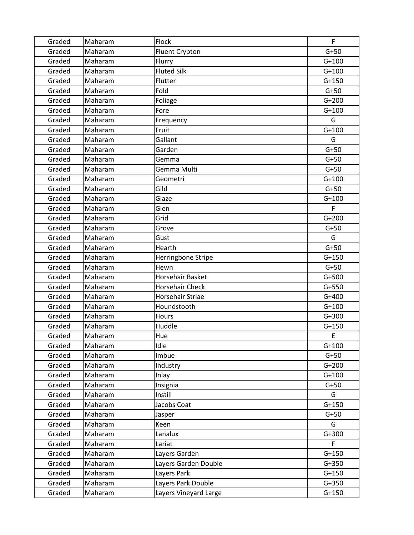| Graded | Maharam | Flock                  | F           |
|--------|---------|------------------------|-------------|
| Graded | Maharam | Fluent Crypton         | $G+50$      |
| Graded | Maharam | Flurry                 | $G+100$     |
| Graded | Maharam | <b>Fluted Silk</b>     | $G+100$     |
| Graded | Maharam | Flutter                | $G+150$     |
| Graded | Maharam | Fold                   | $G+50$      |
| Graded | Maharam | Foliage                | $G+200$     |
| Graded | Maharam | Fore                   | $G+100$     |
| Graded | Maharam | Frequency              | G           |
| Graded | Maharam | Fruit                  | $G+100$     |
| Graded | Maharam | Gallant                | G           |
| Graded | Maharam | Garden                 | $G+50$      |
| Graded | Maharam | Gemma                  | $G+50$      |
| Graded | Maharam | Gemma Multi            | $G+50$      |
| Graded | Maharam | Geometri               | $G+100$     |
| Graded | Maharam | Gild                   | $G+50$      |
| Graded | Maharam | Glaze                  | $G+100$     |
| Graded | Maharam | Glen                   | $\mathsf F$ |
| Graded | Maharam | Grid                   | $G+200$     |
| Graded | Maharam | Grove                  | $G+50$      |
| Graded | Maharam | Gust                   | G           |
| Graded | Maharam | Hearth                 | $G+50$      |
| Graded | Maharam | Herringbone Stripe     | $G+150$     |
| Graded | Maharam | Hewn                   | $G+50$      |
| Graded | Maharam | Horsehair Basket       | $G+500$     |
| Graded | Maharam | <b>Horsehair Check</b> | $G+550$     |
| Graded | Maharam | Horsehair Striae       | $G+400$     |
| Graded | Maharam | Houndstooth            | $G+100$     |
| Graded | Maharam | Hours                  | $G+300$     |
| Graded | Maharam | Huddle                 | $G+150$     |
| Graded | Maharam | Hue                    | E           |
| Graded | Maharam | Idle                   | $G+100$     |
| Graded | Maharam | Imbue                  | $G+50$      |
| Graded | Maharam | Industry               | $G+200$     |
| Graded | Maharam | Inlay                  | $G+100$     |
| Graded | Maharam | Insignia               | $G+50$      |
| Graded | Maharam | Instill                | G           |
| Graded | Maharam | Jacobs Coat            | $G+150$     |
| Graded | Maharam | Jasper                 | $G+50$      |
| Graded | Maharam | Keen                   | G           |
| Graded | Maharam | Lanalux                | $G+300$     |
| Graded | Maharam | Lariat                 | F.          |
| Graded | Maharam | Layers Garden          | $G+150$     |
| Graded | Maharam | Layers Garden Double   | $G+350$     |
| Graded | Maharam | Layers Park            | $G+150$     |
| Graded | Maharam | Layers Park Double     | $G+350$     |
| Graded | Maharam | Layers Vineyard Large  | $G+150$     |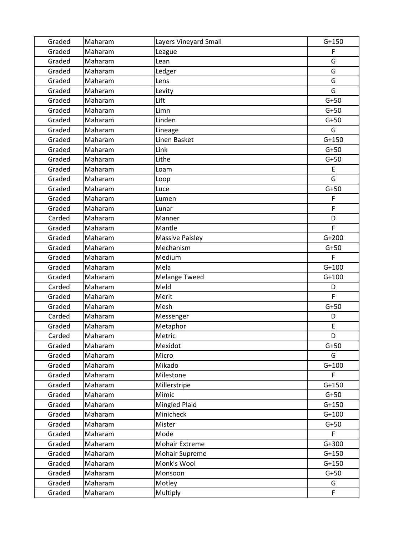| Graded | Maharam | Layers Vineyard Small  | $G+150$     |
|--------|---------|------------------------|-------------|
| Graded | Maharam | League                 | F           |
| Graded | Maharam | Lean                   | G           |
| Graded | Maharam | Ledger                 | G           |
| Graded | Maharam | Lens                   | G           |
| Graded | Maharam | Levity                 | G           |
| Graded | Maharam | Lift                   | $G+50$      |
| Graded | Maharam | Limn                   | $G+50$      |
| Graded | Maharam | Linden                 | $G+50$      |
| Graded | Maharam | Lineage                | G           |
| Graded | Maharam | Linen Basket           | $G+150$     |
| Graded | Maharam | Link                   | $G+50$      |
| Graded | Maharam | Lithe                  | $G+50$      |
| Graded | Maharam | Loam                   | E           |
| Graded | Maharam | Loop                   | G           |
| Graded | Maharam | Luce                   | $G+50$      |
| Graded | Maharam | Lumen                  | F           |
| Graded | Maharam | Lunar                  | $\mathsf F$ |
| Carded | Maharam | Manner                 | D           |
| Graded | Maharam | Mantle                 | F           |
| Graded | Maharam | <b>Massive Paisley</b> | $G+200$     |
| Graded | Maharam | Mechanism              | $G+50$      |
| Graded | Maharam | Medium                 | F           |
| Graded | Maharam | Mela                   | $G+100$     |
| Graded | Maharam | <b>Melange Tweed</b>   | $G+100$     |
| Carded | Maharam | Meld                   | D           |
| Graded | Maharam | Merit                  | F           |
| Graded | Maharam | Mesh                   | $G+50$      |
| Carded | Maharam | Messenger              | D           |
| Graded | Maharam | Metaphor               | E           |
| Carded | Maharam | Metric                 | D           |
| Graded | Maharam | Mexidot                | $G+50$      |
| Graded | Maharam | Micro                  | G           |
| Graded | Maharam | Mikado                 | $G+100$     |
| Graded | Maharam | Milestone              | F           |
| Graded | Maharam | Millerstripe           | $G+150$     |
| Graded | Maharam | Mimic                  | $G+50$      |
| Graded | Maharam | Mingled Plaid          | $G+150$     |
| Graded | Maharam | Minicheck              | $G+100$     |
| Graded | Maharam | Mister                 | $G+50$      |
| Graded | Maharam | Mode                   | F.          |
| Graded | Maharam | <b>Mohair Extreme</b>  | $G+300$     |
| Graded | Maharam | Mohair Supreme         | $G+150$     |
| Graded | Maharam | Monk's Wool            | $G+150$     |
| Graded | Maharam | Monsoon                | $G+50$      |
| Graded | Maharam | Motley                 | G           |
| Graded | Maharam | Multiply               | F           |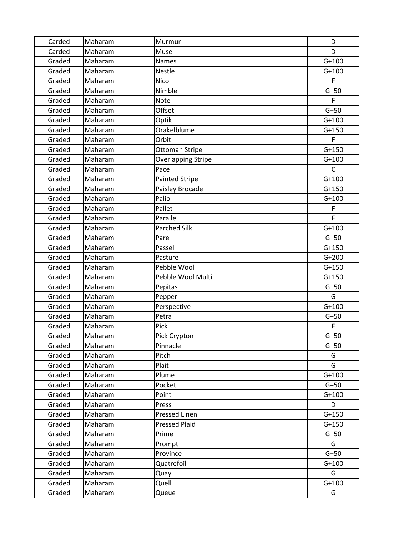| Carded | Maharam | Murmur                    | D            |
|--------|---------|---------------------------|--------------|
| Carded | Maharam | Muse                      | D            |
| Graded | Maharam | <b>Names</b>              | $G+100$      |
| Graded | Maharam | <b>Nestle</b>             | $G+100$      |
| Graded | Maharam | <b>Nico</b>               | F            |
| Graded | Maharam | Nimble                    | $G+50$       |
| Graded | Maharam | <b>Note</b>               | F.           |
| Graded | Maharam | Offset                    | $G+50$       |
| Graded | Maharam | Optik                     | $G+100$      |
| Graded | Maharam | Orakelblume               | $G+150$      |
| Graded | Maharam | Orbit                     | F            |
| Graded | Maharam | <b>Ottoman Stripe</b>     | $G+150$      |
| Graded | Maharam | <b>Overlapping Stripe</b> | $G+100$      |
| Graded | Maharam | Pace                      | $\mathsf{C}$ |
| Graded | Maharam | <b>Painted Stripe</b>     | $G+100$      |
| Graded | Maharam | Paisley Brocade           | $G+150$      |
| Graded | Maharam | Palio                     | $G+100$      |
| Graded | Maharam | Pallet                    | F            |
| Graded | Maharam | Parallel                  | F            |
| Graded | Maharam | <b>Parched Silk</b>       | $G+100$      |
| Graded | Maharam | Pare                      | $G+50$       |
| Graded | Maharam | Passel                    | $G+150$      |
| Graded | Maharam | Pasture                   | $G+200$      |
| Graded | Maharam | Pebble Wool               | $G+150$      |
| Graded | Maharam | Pebble Wool Multi         | $G+150$      |
| Graded | Maharam | Pepitas                   | $G+50$       |
| Graded | Maharam | Pepper                    | G            |
| Graded | Maharam | Perspective               | $G+100$      |
| Graded | Maharam | Petra                     | $G+50$       |
| Graded | Maharam | Pick                      | F            |
| Graded | Maharam | Pick Crypton              | $G+50$       |
| Graded | Maharam | Pinnacle                  | $G+50$       |
| Graded | Maharam | Pitch                     | G            |
| Graded | Maharam | Plait                     | G            |
| Graded | Maharam | Plume                     | $G+100$      |
| Graded | Maharam | Pocket                    | $G+50$       |
| Graded | Maharam | Point                     | $G+100$      |
| Graded | Maharam | Press                     | D            |
| Graded | Maharam | Pressed Linen             | $G+150$      |
| Graded | Maharam | <b>Pressed Plaid</b>      | $G+150$      |
| Graded | Maharam | Prime                     | $G+50$       |
| Graded | Maharam | Prompt                    | G            |
| Graded | Maharam | Province                  | $G+50$       |
| Graded | Maharam | Quatrefoil                | $G+100$      |
| Graded | Maharam | Quay                      | G            |
| Graded | Maharam | Quell                     | $G+100$      |
| Graded | Maharam | Queue                     | G            |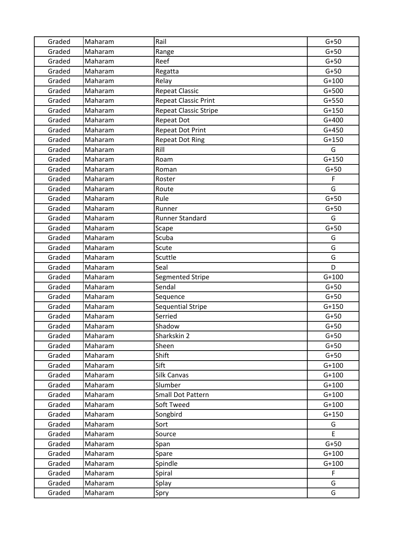| Graded | Maharam | Rail                        | $G+50$  |
|--------|---------|-----------------------------|---------|
| Graded | Maharam | Range                       | $G+50$  |
| Graded | Maharam | Reef                        | $G+50$  |
| Graded | Maharam | Regatta                     | $G+50$  |
| Graded | Maharam | Relay                       | $G+100$ |
| Graded | Maharam | <b>Repeat Classic</b>       | $G+500$ |
| Graded | Maharam | <b>Repeat Classic Print</b> | $G+550$ |
| Graded | Maharam | Repeat Classic Stripe       | $G+150$ |
| Graded | Maharam | <b>Repeat Dot</b>           | $G+400$ |
| Graded | Maharam | <b>Repeat Dot Print</b>     | $G+450$ |
| Graded | Maharam | <b>Repeat Dot Ring</b>      | $G+150$ |
| Graded | Maharam | Rill                        | G       |
| Graded | Maharam | Roam                        | $G+150$ |
| Graded | Maharam | Roman                       | $G+50$  |
| Graded | Maharam | Roster                      | F       |
| Graded | Maharam | Route                       | G       |
| Graded | Maharam | Rule                        | $G+50$  |
| Graded | Maharam | Runner                      | $G+50$  |
| Graded | Maharam | Runner Standard             | G       |
| Graded | Maharam | Scape                       | $G+50$  |
| Graded | Maharam | Scuba                       | G       |
| Graded | Maharam | Scute                       | G       |
| Graded | Maharam | Scuttle                     | G       |
| Graded | Maharam | Seal                        | D       |
| Graded | Maharam | Segmented Stripe            | $G+100$ |
| Graded | Maharam | Sendal                      | $G+50$  |
| Graded | Maharam | Sequence                    | $G+50$  |
| Graded | Maharam | Sequential Stripe           | $G+150$ |
| Graded | Maharam | Serried                     | $G+50$  |
| Graded | Maharam | Shadow                      | $G+50$  |
| Graded | Maharam | Sharkskin 2                 | $G+50$  |
| Graded | Maharam | Sheen                       | $G+50$  |
| Graded | Maharam | Shift                       | $G+50$  |
| Graded | Maharam | Sift                        | $G+100$ |
| Graded | Maharam | Silk Canvas                 | $G+100$ |
| Graded | Maharam | Slumber                     | $G+100$ |
| Graded | Maharam | Small Dot Pattern           | $G+100$ |
| Graded | Maharam | Soft Tweed                  | $G+100$ |
| Graded | Maharam | Songbird                    | $G+150$ |
| Graded | Maharam | Sort                        | G       |
| Graded | Maharam | Source                      | E       |
| Graded | Maharam | Span                        | $G+50$  |
| Graded | Maharam | Spare                       | $G+100$ |
| Graded | Maharam | Spindle                     | $G+100$ |
| Graded | Maharam | Spiral                      | F       |
| Graded | Maharam | Splay                       | G       |
| Graded | Maharam | Spry                        | G       |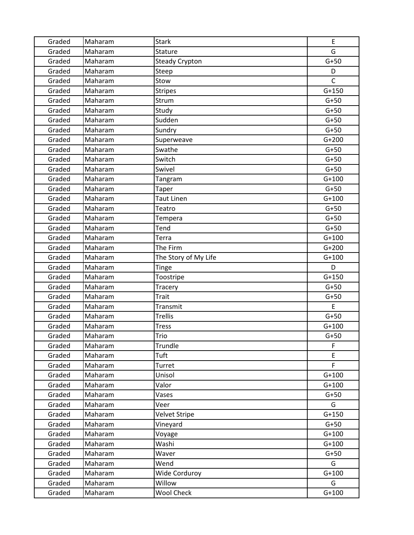| Graded | Maharam | <b>Stark</b>          | E            |
|--------|---------|-----------------------|--------------|
| Graded | Maharam | Stature               | G            |
| Graded | Maharam | <b>Steady Crypton</b> | $G+50$       |
| Graded | Maharam | Steep                 | D            |
| Graded | Maharam | Stow                  | $\mathsf{C}$ |
| Graded | Maharam | <b>Stripes</b>        | $G+150$      |
| Graded | Maharam | Strum                 | $G+50$       |
| Graded | Maharam | Study                 | $G+50$       |
| Graded | Maharam | Sudden                | $G+50$       |
| Graded | Maharam | Sundry                | $G+50$       |
| Graded | Maharam | Superweave            | $G+200$      |
| Graded | Maharam | Swathe                | $G+50$       |
| Graded | Maharam | Switch                | $G+50$       |
| Graded | Maharam | Swivel                | $G+50$       |
| Graded | Maharam | Tangram               | $G+100$      |
| Graded | Maharam | <b>Taper</b>          | $G+50$       |
| Graded | Maharam | <b>Taut Linen</b>     | $G+100$      |
| Graded | Maharam | Teatro                | $G+50$       |
| Graded | Maharam | Tempera               | $G+50$       |
| Graded | Maharam | Tend                  | $G+50$       |
| Graded | Maharam | Terra                 | $G+100$      |
| Graded | Maharam | The Firm              | $G+200$      |
| Graded | Maharam | The Story of My Life  | $G+100$      |
| Graded | Maharam | <b>Tinge</b>          | D            |
| Graded | Maharam | Toostripe             | $G+150$      |
| Graded | Maharam | Tracery               | $G+50$       |
| Graded | Maharam | <b>Trait</b>          | $G+50$       |
| Graded | Maharam | Transmit              | E.           |
| Graded | Maharam | <b>Trellis</b>        | $G+50$       |
| Graded | Maharam | <b>Tress</b>          | $G+100$      |
| Graded | Maharam | Trio                  | $G+50$       |
| Graded | Maharam | Trundle               | F            |
| Graded | Maharam | Tuft                  | E            |
| Graded | Maharam | Turret                | F            |
| Graded | Maharam | Unisol                | $G+100$      |
| Graded | Maharam | Valor                 | $G+100$      |
| Graded | Maharam | Vases                 | $G+50$       |
| Graded | Maharam | Veer                  | G            |
| Graded | Maharam | Velvet Stripe         | $G+150$      |
| Graded | Maharam | Vineyard              | $G+50$       |
| Graded | Maharam | Voyage                | $G+100$      |
| Graded | Maharam | Washi                 | $G+100$      |
| Graded | Maharam | Waver                 | $G+50$       |
| Graded | Maharam | Wend                  | G            |
| Graded | Maharam | Wide Corduroy         | $G+100$      |
| Graded | Maharam | Willow                | G            |
| Graded | Maharam | <b>Wool Check</b>     | $G+100$      |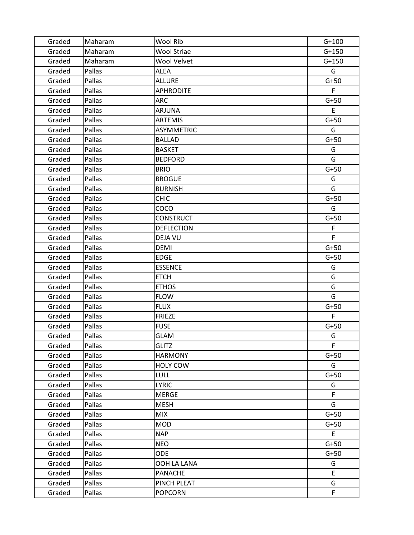| Graded | Maharam | Wool Rib           | $G+100$ |
|--------|---------|--------------------|---------|
| Graded | Maharam | <b>Wool Striae</b> | $G+150$ |
| Graded | Maharam | Wool Velvet        | $G+150$ |
| Graded | Pallas  | <b>ALEA</b>        | G       |
| Graded | Pallas  | <b>ALLURE</b>      | $G+50$  |
| Graded | Pallas  | <b>APHRODITE</b>   | F.      |
| Graded | Pallas  | <b>ARC</b>         | $G+50$  |
| Graded | Pallas  | ARJUNA             | E       |
| Graded | Pallas  | <b>ARTEMIS</b>     | $G+50$  |
| Graded | Pallas  | <b>ASYMMETRIC</b>  | G       |
| Graded | Pallas  | <b>BALLAD</b>      | $G+50$  |
| Graded | Pallas  | <b>BASKET</b>      | G       |
| Graded | Pallas  | <b>BEDFORD</b>     | G       |
| Graded | Pallas  | <b>BRIO</b>        | $G+50$  |
| Graded | Pallas  | <b>BROGUE</b>      | G       |
| Graded | Pallas  | <b>BURNISH</b>     | G       |
| Graded | Pallas  | <b>CHIC</b>        | $G+50$  |
| Graded | Pallas  | COCO               | G       |
| Graded | Pallas  | <b>CONSTRUCT</b>   | $G+50$  |
| Graded | Pallas  | <b>DEFLECTION</b>  | F       |
| Graded | Pallas  | <b>DEJA VU</b>     | F       |
| Graded | Pallas  | DEMI               | $G+50$  |
| Graded | Pallas  | <b>EDGE</b>        | $G+50$  |
| Graded | Pallas  | <b>ESSENCE</b>     | G       |
| Graded | Pallas  | <b>ETCH</b>        | G       |
| Graded | Pallas  | <b>ETHOS</b>       | G       |
| Graded | Pallas  | <b>FLOW</b>        | G       |
| Graded | Pallas  | <b>FLUX</b>        | $G+50$  |
| Graded | Pallas  | <b>FRIEZE</b>      | F.      |
| Graded | Pallas  | <b>FUSE</b>        | $G+50$  |
| Graded | Pallas  | <b>GLAM</b>        | G       |
| Graded | Pallas  | <b>GLITZ</b>       | F       |
| Graded | Pallas  | <b>HARMONY</b>     | $G+50$  |
| Graded | Pallas  | <b>HOLY COW</b>    | G       |
| Graded | Pallas  | <b>LULL</b>        | $G+50$  |
| Graded | Pallas  | <b>LYRIC</b>       | G       |
| Graded | Pallas  | <b>MERGE</b>       | F       |
| Graded | Pallas  | <b>MESH</b>        | G       |
| Graded | Pallas  | <b>MIX</b>         | $G+50$  |
| Graded | Pallas  | <b>MOD</b>         | $G+50$  |
| Graded | Pallas  | <b>NAP</b>         | E       |
| Graded | Pallas  | <b>NEO</b>         | $G+50$  |
| Graded | Pallas  | <b>ODE</b>         | $G+50$  |
| Graded | Pallas  | OOH LA LANA        | G       |
| Graded | Pallas  | <b>PANACHE</b>     | E.      |
| Graded | Pallas  | PINCH PLEAT        | G       |
| Graded | Pallas  | <b>POPCORN</b>     | F.      |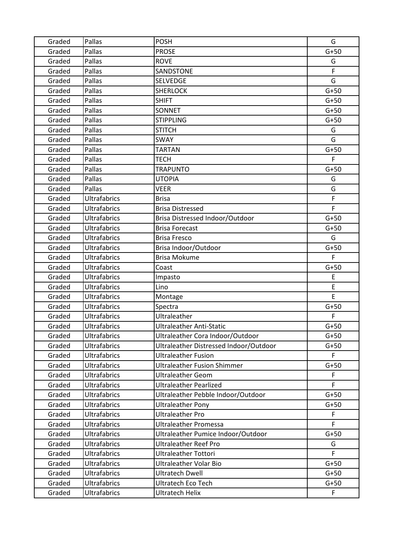| Graded | Pallas              | <b>POSH</b>                            | G      |
|--------|---------------------|----------------------------------------|--------|
| Graded | Pallas              | <b>PROSE</b>                           | $G+50$ |
| Graded | Pallas              | <b>ROVE</b>                            | G      |
| Graded | Pallas              | SANDSTONE                              | F      |
| Graded | Pallas              | <b>SELVEDGE</b>                        | G      |
| Graded | Pallas              | <b>SHERLOCK</b>                        | $G+50$ |
| Graded | Pallas              | <b>SHIFT</b>                           | $G+50$ |
| Graded | Pallas              | <b>SONNET</b>                          | $G+50$ |
| Graded | Pallas              | <b>STIPPLING</b>                       | $G+50$ |
| Graded | Pallas              | <b>STITCH</b>                          | G      |
| Graded | Pallas              | SWAY                                   | G      |
| Graded | Pallas              | <b>TARTAN</b>                          | $G+50$ |
| Graded | Pallas              | TECH                                   | F      |
| Graded | Pallas              | <b>TRAPUNTO</b>                        | $G+50$ |
| Graded | Pallas              | <b>UTOPIA</b>                          | G      |
| Graded | Pallas              | <b>VEER</b>                            | G      |
| Graded | <b>Ultrafabrics</b> | <b>Brisa</b>                           | F      |
| Graded | <b>Ultrafabrics</b> | <b>Brisa Distressed</b>                | F      |
| Graded | <b>Ultrafabrics</b> | Brisa Distressed Indoor/Outdoor        | $G+50$ |
| Graded | <b>Ultrafabrics</b> | <b>Brisa Forecast</b>                  | $G+50$ |
| Graded | <b>Ultrafabrics</b> | <b>Brisa Fresco</b>                    | G      |
| Graded | <b>Ultrafabrics</b> | Brisa Indoor/Outdoor                   | $G+50$ |
| Graded | <b>Ultrafabrics</b> | <b>Brisa Mokume</b>                    | F      |
| Graded | <b>Ultrafabrics</b> | Coast                                  | $G+50$ |
| Graded | <b>Ultrafabrics</b> | Impasto                                | E      |
| Graded | <b>Ultrafabrics</b> | Lino                                   | E.     |
| Graded | <b>Ultrafabrics</b> | Montage                                | E      |
| Graded | <b>Ultrafabrics</b> | Spectra                                | $G+50$ |
| Graded | <b>Ultrafabrics</b> | Ultraleather                           | F      |
| Graded | <b>Ultrafabrics</b> | <b>Ultraleather Anti-Static</b>        | $G+50$ |
| Graded | <b>Ultrafabrics</b> | Ultraleather Cora Indoor/Outdoor       | $G+50$ |
| Graded | <b>Ultrafabrics</b> | Ultraleather Distressed Indoor/Outdoor | $G+50$ |
| Graded | <b>Ultrafabrics</b> | <b>Ultraleather Fusion</b>             | F.     |
| Graded | <b>Ultrafabrics</b> | <b>Ultraleather Fusion Shimmer</b>     | $G+50$ |
| Graded | <b>Ultrafabrics</b> | <b>Ultraleather Geom</b>               | F.     |
| Graded | <b>Ultrafabrics</b> | <b>Ultraleather Pearlized</b>          | F.     |
| Graded | <b>Ultrafabrics</b> | Ultraleather Pebble Indoor/Outdoor     | $G+50$ |
| Graded | <b>Ultrafabrics</b> | <b>Ultraleather Pony</b>               | $G+50$ |
| Graded | <b>Ultrafabrics</b> | <b>Ultraleather Pro</b>                | F      |
| Graded | <b>Ultrafabrics</b> | <b>Ultraleather Promessa</b>           | F      |
| Graded | <b>Ultrafabrics</b> | Ultraleather Pumice Indoor/Outdoor     | $G+50$ |
| Graded | <b>Ultrafabrics</b> | <b>Ultraleather Reef Pro</b>           | G      |
| Graded | Ultrafabrics        | <b>Ultraleather Tottori</b>            | F.     |
| Graded | <b>Ultrafabrics</b> | <b>Ultraleather Volar Bio</b>          | $G+50$ |
| Graded | <b>Ultrafabrics</b> | <b>Ultratech Dwell</b>                 | $G+50$ |
| Graded | <b>Ultrafabrics</b> | <b>Ultratech Eco Tech</b>              | $G+50$ |
| Graded | <b>Ultrafabrics</b> | <b>Ultratech Helix</b>                 | F.     |